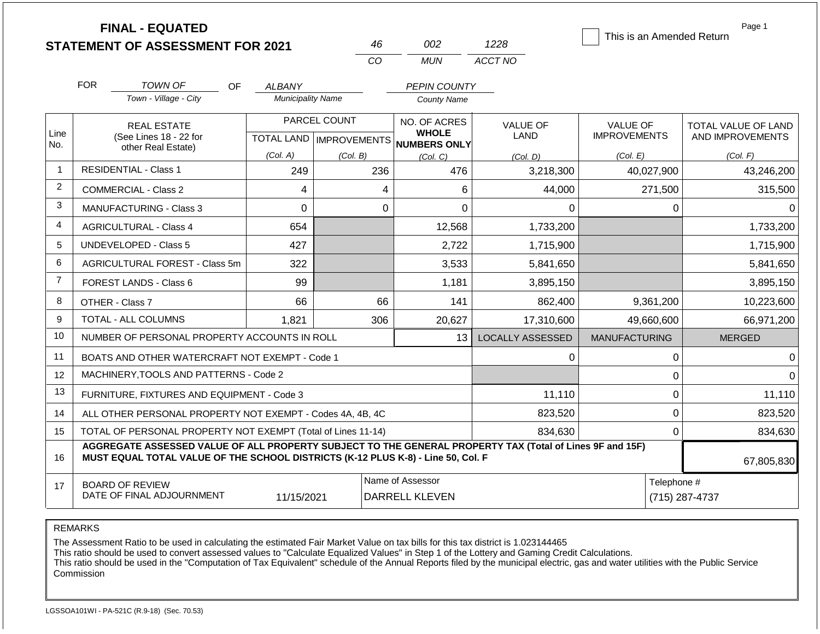|                |            | <b>FINAL - EQUATED</b><br><b>STATEMENT OF ASSESSMENT FOR 2021</b>                                                                                                                            |                          | 46           | 002                                                      | 1228                    | This is an Amended Return | Page 1              |
|----------------|------------|----------------------------------------------------------------------------------------------------------------------------------------------------------------------------------------------|--------------------------|--------------|----------------------------------------------------------|-------------------------|---------------------------|---------------------|
|                |            |                                                                                                                                                                                              |                          | CO           | <b>MUN</b>                                               | ACCT NO                 |                           |                     |
|                | <b>FOR</b> | <b>TOWN OF</b><br><b>OF</b>                                                                                                                                                                  | ALBANY                   |              | <b>PEPIN COUNTY</b>                                      |                         |                           |                     |
|                |            | Town - Village - City                                                                                                                                                                        | <b>Municipality Name</b> |              | <b>County Name</b>                                       |                         |                           |                     |
|                |            | <b>REAL ESTATE</b>                                                                                                                                                                           |                          | PARCEL COUNT | NO. OF ACRES                                             | <b>VALUE OF</b>         | VALUE OF                  | TOTAL VALUE OF LAND |
| Line<br>No.    |            | (See Lines 18 - 22 for<br>other Real Estate)                                                                                                                                                 |                          |              | <b>WHOLE</b><br>TOTAL LAND   IMPROVEMENTS   NUMBERS ONLY | <b>LAND</b>             | <b>IMPROVEMENTS</b>       | AND IMPROVEMENTS    |
|                |            |                                                                                                                                                                                              | (Col. A)                 | (Col. B)     | (Col. C)                                                 | (Col. D)                | (Col. E)                  | (Col. F)            |
| -1             |            | <b>RESIDENTIAL - Class 1</b>                                                                                                                                                                 | 249                      | 236          | 476                                                      | 3,218,300               | 40,027,900                | 43,246,200          |
| $\overline{2}$ |            | <b>COMMERCIAL - Class 2</b>                                                                                                                                                                  | 4                        | 4            | 6                                                        | 44,000                  | 271,500                   | 315,500             |
| 3              |            | <b>MANUFACTURING - Class 3</b>                                                                                                                                                               | $\Omega$                 | $\Omega$     | $\Omega$                                                 | $\Omega$                | 0                         | $\Omega$            |
| 4              |            | <b>AGRICULTURAL - Class 4</b>                                                                                                                                                                | 654                      |              | 12,568                                                   | 1,733,200               |                           | 1,733,200           |
| 5              |            | UNDEVELOPED - Class 5                                                                                                                                                                        | 427                      |              | 2,722                                                    | 1,715,900               |                           | 1,715,900           |
| 6              |            | AGRICULTURAL FOREST - Class 5m                                                                                                                                                               | 322                      |              | 3,533                                                    | 5,841,650               |                           | 5,841,650           |
| $\overline{7}$ |            | FOREST LANDS - Class 6                                                                                                                                                                       | 99                       |              | 1,181                                                    | 3,895,150               |                           | 3,895,150           |
| 8              |            | OTHER - Class 7                                                                                                                                                                              | 66                       | 66           | 141                                                      | 862,400                 | 9,361,200                 | 10,223,600          |
| 9              |            | <b>TOTAL - ALL COLUMNS</b>                                                                                                                                                                   | 1,821                    | 306          | 20,627                                                   | 17,310,600              | 49,660,600                | 66,971,200          |
| 10             |            | NUMBER OF PERSONAL PROPERTY ACCOUNTS IN ROLL                                                                                                                                                 |                          |              | 13                                                       | <b>LOCALLY ASSESSED</b> | <b>MANUFACTURING</b>      | <b>MERGED</b>       |
| 11             |            | BOATS AND OTHER WATERCRAFT NOT EXEMPT - Code 1                                                                                                                                               |                          |              |                                                          | 0                       | 0                         | $\Omega$            |
| 12             |            | MACHINERY, TOOLS AND PATTERNS - Code 2                                                                                                                                                       |                          |              |                                                          |                         | $\mathbf{0}$              | $\Omega$            |
| 13             |            | FURNITURE, FIXTURES AND EQUIPMENT - Code 3                                                                                                                                                   |                          |              |                                                          | 11,110                  | $\boldsymbol{0}$          | 11,110              |
| 14             |            | ALL OTHER PERSONAL PROPERTY NOT EXEMPT - Codes 4A, 4B, 4C                                                                                                                                    |                          |              |                                                          | 823,520                 | $\mathbf 0$               | 823,520             |
| 15             |            | TOTAL OF PERSONAL PROPERTY NOT EXEMPT (Total of Lines 11-14)                                                                                                                                 |                          |              |                                                          | 834,630                 | $\mathbf 0$               | 834,630             |
| 16             |            | AGGREGATE ASSESSED VALUE OF ALL PROPERTY SUBJECT TO THE GENERAL PROPERTY TAX (Total of Lines 9F and 15F)<br>MUST EQUAL TOTAL VALUE OF THE SCHOOL DISTRICTS (K-12 PLUS K-8) - Line 50, Col. F |                          |              |                                                          |                         |                           | 67,805,830          |
| 17             |            | <b>BOARD OF REVIEW</b><br>DATE OF FINAL ADJOURNMENT                                                                                                                                          | 11/15/2021               |              | Name of Assessor<br><b>DARRELL KLEVEN</b>                | Telephone #             | (715) 287-4737            |                     |

The Assessment Ratio to be used in calculating the estimated Fair Market Value on tax bills for this tax district is 1.023144465

This ratio should be used to convert assessed values to "Calculate Equalized Values" in Step 1 of the Lottery and Gaming Credit Calculations.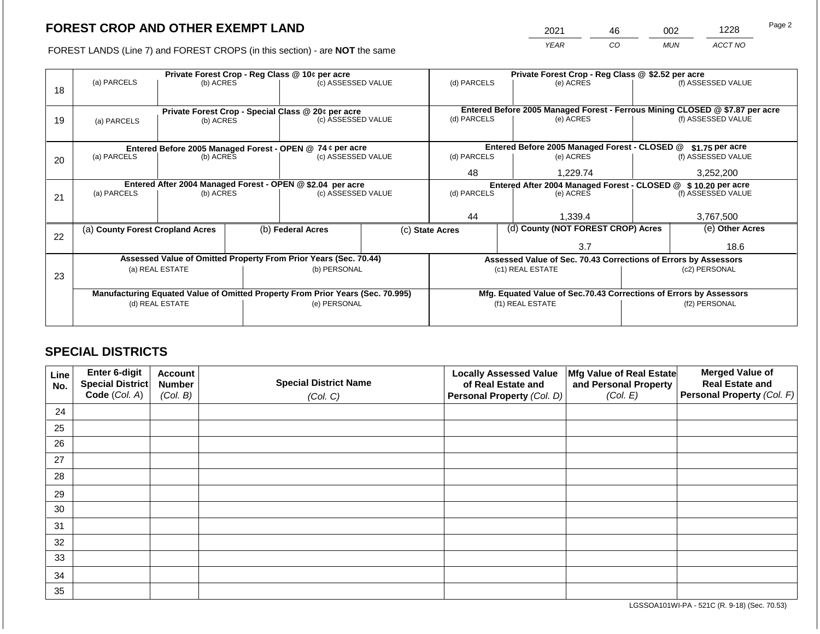2021 46 002 1228

FOREST LANDS (Line 7) and FOREST CROPS (in this section) - are **NOT** the same *YEAR CO MUN ACCT NO*

|    |                                                                                        |           | Private Forest Crop - Reg Class @ 10¢ per acre |                                                                          | Private Forest Crop - Reg Class @ \$2.52 per acre |                 |  |                                                                             |               |                                                                              |
|----|----------------------------------------------------------------------------------------|-----------|------------------------------------------------|--------------------------------------------------------------------------|---------------------------------------------------|-----------------|--|-----------------------------------------------------------------------------|---------------|------------------------------------------------------------------------------|
|    | (a) PARCELS                                                                            | (b) ACRES |                                                | (c) ASSESSED VALUE                                                       |                                                   | (d) PARCELS     |  | (e) ACRES                                                                   |               | (f) ASSESSED VALUE                                                           |
| 18 |                                                                                        |           |                                                |                                                                          |                                                   |                 |  |                                                                             |               |                                                                              |
|    |                                                                                        |           |                                                |                                                                          |                                                   |                 |  |                                                                             |               | Entered Before 2005 Managed Forest - Ferrous Mining CLOSED @ \$7.87 per acre |
| 19 | (a) PARCELS                                                                            | (b) ACRES |                                                | Private Forest Crop - Special Class @ 20¢ per acre<br>(c) ASSESSED VALUE |                                                   | (d) PARCELS     |  | (e) ACRES                                                                   |               | (f) ASSESSED VALUE                                                           |
|    |                                                                                        |           |                                                |                                                                          |                                                   |                 |  |                                                                             |               |                                                                              |
|    |                                                                                        |           |                                                |                                                                          |                                                   |                 |  |                                                                             |               |                                                                              |
|    |                                                                                        |           |                                                | Entered Before 2005 Managed Forest - OPEN @ 74 ¢ per acre                |                                                   |                 |  | Entered Before 2005 Managed Forest - CLOSED @                               |               | \$1.75 per acre                                                              |
| 20 | (a) PARCELS<br>(b) ACRES                                                               |           |                                                | (c) ASSESSED VALUE                                                       |                                                   | (d) PARCELS     |  | (e) ACRES                                                                   |               | (f) ASSESSED VALUE                                                           |
|    |                                                                                        |           |                                                |                                                                          |                                                   | 48              |  | 1,229.74                                                                    |               | 3,252,200                                                                    |
|    |                                                                                        |           |                                                |                                                                          |                                                   |                 |  |                                                                             |               |                                                                              |
|    | Entered After 2004 Managed Forest - OPEN @ \$2.04 per acre<br>(a) PARCELS<br>(b) ACRES |           |                                                | (c) ASSESSED VALUE                                                       |                                                   | (d) PARCELS     |  | Entered After 2004 Managed Forest - CLOSED @ \$ 10.20 per acre<br>(e) ACRES |               | (f) ASSESSED VALUE                                                           |
| 21 |                                                                                        |           |                                                |                                                                          |                                                   |                 |  |                                                                             |               |                                                                              |
|    |                                                                                        |           |                                                |                                                                          |                                                   |                 |  |                                                                             |               |                                                                              |
|    |                                                                                        |           |                                                |                                                                          |                                                   | 44              |  | 1,339.4                                                                     |               | 3,767,500                                                                    |
|    | (a) County Forest Cropland Acres                                                       |           |                                                | (b) Federal Acres                                                        |                                                   | (c) State Acres |  | (d) County (NOT FOREST CROP) Acres                                          |               | (e) Other Acres                                                              |
| 22 |                                                                                        |           |                                                |                                                                          |                                                   |                 |  |                                                                             |               |                                                                              |
|    |                                                                                        |           |                                                |                                                                          |                                                   |                 |  | 3.7                                                                         |               | 18.6                                                                         |
|    |                                                                                        |           |                                                | Assessed Value of Omitted Property From Prior Years (Sec. 70.44)         |                                                   |                 |  | Assessed Value of Sec. 70.43 Corrections of Errors by Assessors             |               |                                                                              |
|    | (a) REAL ESTATE                                                                        |           |                                                | (b) PERSONAL                                                             |                                                   |                 |  | (c1) REAL ESTATE                                                            |               | (c2) PERSONAL                                                                |
| 23 |                                                                                        |           |                                                |                                                                          |                                                   |                 |  |                                                                             |               |                                                                              |
|    | Manufacturing Equated Value of Omitted Property From Prior Years (Sec. 70.995)         |           |                                                |                                                                          |                                                   |                 |  | Mfg. Equated Value of Sec.70.43 Corrections of Errors by Assessors          |               |                                                                              |
|    | (d) REAL ESTATE                                                                        |           |                                                | (e) PERSONAL                                                             |                                                   |                 |  | (f1) REAL ESTATE                                                            | (f2) PERSONAL |                                                                              |
|    |                                                                                        |           |                                                |                                                                          |                                                   |                 |  |                                                                             |               |                                                                              |
|    |                                                                                        |           |                                                |                                                                          |                                                   |                 |  |                                                                             |               |                                                                              |

# **SPECIAL DISTRICTS**

| Line<br>No. | Enter 6-digit<br>Special District<br>Code (Col. A) | <b>Account</b><br><b>Number</b><br>(Col. B) | <b>Special District Name</b><br>(Col. C) | <b>Locally Assessed Value</b><br>of Real Estate and<br><b>Personal Property (Col. D)</b> | Mfg Value of Real Estate<br>and Personal Property<br>(Col. E) | <b>Merged Value of</b><br><b>Real Estate and</b><br>Personal Property (Col. F) |
|-------------|----------------------------------------------------|---------------------------------------------|------------------------------------------|------------------------------------------------------------------------------------------|---------------------------------------------------------------|--------------------------------------------------------------------------------|
| 24          |                                                    |                                             |                                          |                                                                                          |                                                               |                                                                                |
| 25          |                                                    |                                             |                                          |                                                                                          |                                                               |                                                                                |
| 26          |                                                    |                                             |                                          |                                                                                          |                                                               |                                                                                |
| 27          |                                                    |                                             |                                          |                                                                                          |                                                               |                                                                                |
| 28          |                                                    |                                             |                                          |                                                                                          |                                                               |                                                                                |
| 29          |                                                    |                                             |                                          |                                                                                          |                                                               |                                                                                |
| 30          |                                                    |                                             |                                          |                                                                                          |                                                               |                                                                                |
| 31          |                                                    |                                             |                                          |                                                                                          |                                                               |                                                                                |
| 32          |                                                    |                                             |                                          |                                                                                          |                                                               |                                                                                |
| 33          |                                                    |                                             |                                          |                                                                                          |                                                               |                                                                                |
| 34          |                                                    |                                             |                                          |                                                                                          |                                                               |                                                                                |
| 35          |                                                    |                                             |                                          |                                                                                          |                                                               |                                                                                |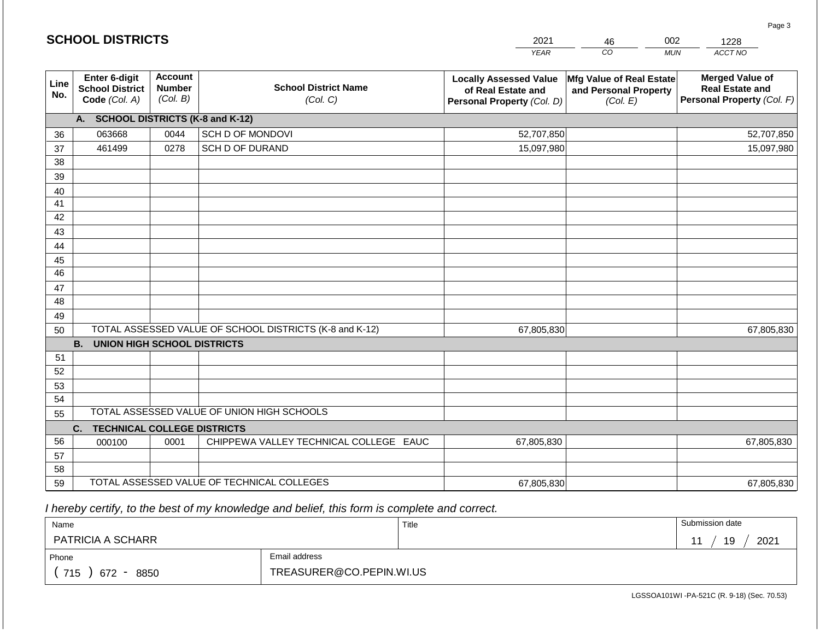|             |                                                          |                                             |                                                         | <b>YEAR</b>                                                                       | CO<br><b>MUN</b>                                              | ACCT NO                                                                        |
|-------------|----------------------------------------------------------|---------------------------------------------|---------------------------------------------------------|-----------------------------------------------------------------------------------|---------------------------------------------------------------|--------------------------------------------------------------------------------|
| Line<br>No. | Enter 6-digit<br><b>School District</b><br>Code (Col. A) | <b>Account</b><br><b>Number</b><br>(Col. B) | <b>School District Name</b><br>(Col. C)                 | <b>Locally Assessed Value</b><br>of Real Estate and<br>Personal Property (Col. D) | Mfg Value of Real Estate<br>and Personal Property<br>(Col. E) | <b>Merged Value of</b><br><b>Real Estate and</b><br>Personal Property (Col. F) |
|             | A. SCHOOL DISTRICTS (K-8 and K-12)                       |                                             |                                                         |                                                                                   |                                                               |                                                                                |
| 36          | 063668                                                   | 0044                                        | SCH D OF MONDOVI                                        | 52,707,850                                                                        |                                                               | 52,707,850                                                                     |
| 37          | 461499                                                   | 0278                                        | <b>SCH D OF DURAND</b>                                  | 15,097,980                                                                        |                                                               | 15,097,980                                                                     |
| 38          |                                                          |                                             |                                                         |                                                                                   |                                                               |                                                                                |
| 39          |                                                          |                                             |                                                         |                                                                                   |                                                               |                                                                                |
| 40          |                                                          |                                             |                                                         |                                                                                   |                                                               |                                                                                |
| 41          |                                                          |                                             |                                                         |                                                                                   |                                                               |                                                                                |
| 42          |                                                          |                                             |                                                         |                                                                                   |                                                               |                                                                                |
| 43          |                                                          |                                             |                                                         |                                                                                   |                                                               |                                                                                |
| 44          |                                                          |                                             |                                                         |                                                                                   |                                                               |                                                                                |
| 45          |                                                          |                                             |                                                         |                                                                                   |                                                               |                                                                                |
| 46          |                                                          |                                             |                                                         |                                                                                   |                                                               |                                                                                |
| 47          |                                                          |                                             |                                                         |                                                                                   |                                                               |                                                                                |
| 48          |                                                          |                                             |                                                         |                                                                                   |                                                               |                                                                                |
| 49          |                                                          |                                             | TOTAL ASSESSED VALUE OF SCHOOL DISTRICTS (K-8 and K-12) | 67,805,830                                                                        |                                                               | 67,805,830                                                                     |
| 50          | <b>B.</b><br><b>UNION HIGH SCHOOL DISTRICTS</b>          |                                             |                                                         |                                                                                   |                                                               |                                                                                |
| 51          |                                                          |                                             |                                                         |                                                                                   |                                                               |                                                                                |
| 52          |                                                          |                                             |                                                         |                                                                                   |                                                               |                                                                                |
| 53          |                                                          |                                             |                                                         |                                                                                   |                                                               |                                                                                |
| 54          |                                                          |                                             |                                                         |                                                                                   |                                                               |                                                                                |
| 55          |                                                          |                                             | TOTAL ASSESSED VALUE OF UNION HIGH SCHOOLS              |                                                                                   |                                                               |                                                                                |
|             | <b>TECHNICAL COLLEGE DISTRICTS</b><br>C.                 |                                             |                                                         |                                                                                   |                                                               |                                                                                |
| 56          | 000100                                                   | 0001                                        | CHIPPEWA VALLEY TECHNICAL COLLEGE EAUC                  | 67,805,830                                                                        |                                                               | 67,805,830                                                                     |
| 57          |                                                          |                                             |                                                         |                                                                                   |                                                               |                                                                                |
| 58          |                                                          |                                             |                                                         |                                                                                   |                                                               |                                                                                |
| 59          |                                                          |                                             | TOTAL ASSESSED VALUE OF TECHNICAL COLLEGES              | 67,805,830                                                                        |                                                               | 67,805,830                                                                     |

2021

46

002

 *I hereby certify, to the best of my knowledge and belief, this form is complete and correct.*

**SCHOOL DISTRICTS**

| Name               |                          | Title | Submission date |
|--------------------|--------------------------|-------|-----------------|
| PATRICIA A SCHARR  |                          |       | 2021<br>19      |
| Phone              | Email address            |       |                 |
| 715<br>672<br>8850 | TREASURER@CO.PEPIN.WI.US |       |                 |

LGSSOA101WI -PA-521C (R. 9-18) (Sec. 70.53)

Page 3

1228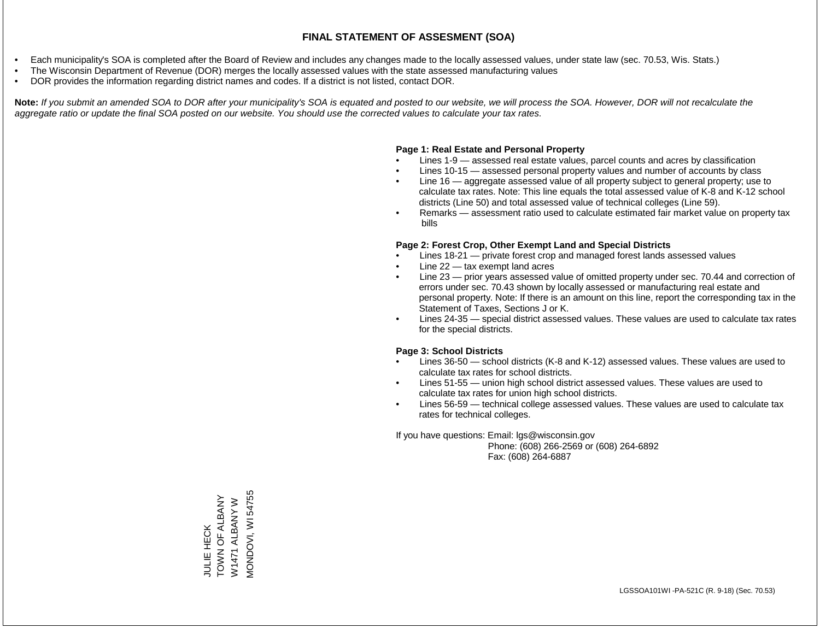- Each municipality's SOA is completed after the Board of Review and includes any changes made to the locally assessed values, under state law (sec. 70.53, Wis. Stats.)
- The Wisconsin Department of Revenue (DOR) merges the locally assessed values with the state assessed manufacturing values
- DOR provides the information regarding district names and codes. If a district is not listed, contact DOR.

Note: If you submit an amended SOA to DOR after your municipality's SOA is equated and posted to our website, we will process the SOA. However, DOR will not recalculate the *aggregate ratio or update the final SOA posted on our website. You should use the corrected values to calculate your tax rates.*

#### **Page 1: Real Estate and Personal Property**

- Lines 1-9 assessed real estate values, parcel counts and acres by classification
- Lines 10-15 assessed personal property values and number of accounts by class
- Line 16 aggregate assessed value of all property subject to general property; use to calculate tax rates. Note: This line equals the total assessed value of K-8 and K-12 school districts (Line 50) and total assessed value of technical colleges (Line 59).
- Remarks assessment ratio used to calculate estimated fair market value on property tax bills

#### **Page 2: Forest Crop, Other Exempt Land and Special Districts**

- Lines 18-21 private forest crop and managed forest lands assessed values
- Line  $22 -$  tax exempt land acres
- Line 23 prior years assessed value of omitted property under sec. 70.44 and correction of errors under sec. 70.43 shown by locally assessed or manufacturing real estate and personal property. Note: If there is an amount on this line, report the corresponding tax in the Statement of Taxes, Sections J or K.
- Lines 24-35 special district assessed values. These values are used to calculate tax rates for the special districts.

#### **Page 3: School Districts**

- Lines 36-50 school districts (K-8 and K-12) assessed values. These values are used to calculate tax rates for school districts.
- Lines 51-55 union high school district assessed values. These values are used to calculate tax rates for union high school districts.
- Lines 56-59 technical college assessed values. These values are used to calculate tax rates for technical colleges.

If you have questions: Email: lgs@wisconsin.gov

 Phone: (608) 266-2569 or (608) 264-6892 Fax: (608) 264-6887

JULIE HECK<br>TOWN OF ALBANY TOWN OF ALBANY W1471 ALBANY W<br>VIONDOVI, WI 54755 MONDOVI, WI 54755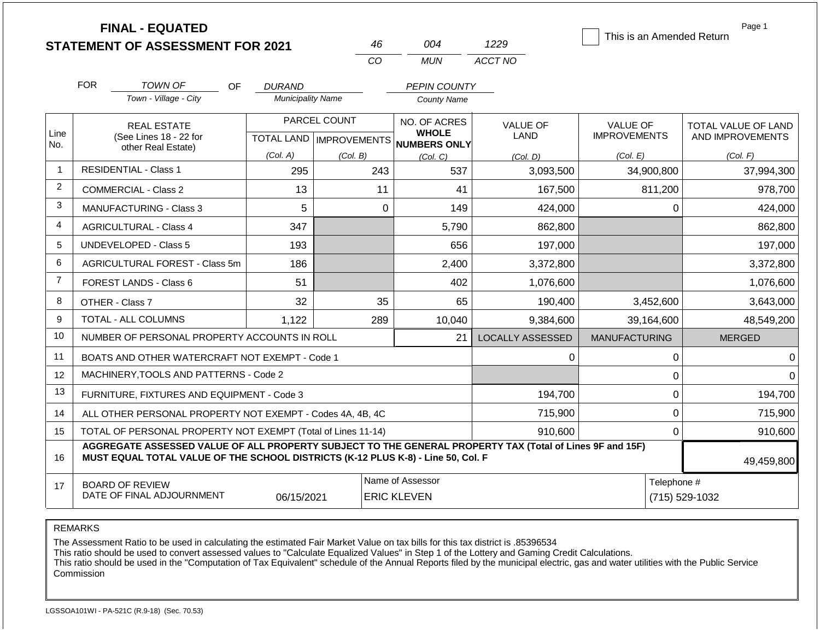|                |            | <b>FINAL - EQUATED</b><br><b>STATEMENT OF ASSESSMENT FOR 2021</b>                                                                                                                            |                          |              | 46                                     | 004                                                      | 1229                    | This is an Amended Return | Page 1                        |
|----------------|------------|----------------------------------------------------------------------------------------------------------------------------------------------------------------------------------------------|--------------------------|--------------|----------------------------------------|----------------------------------------------------------|-------------------------|---------------------------|-------------------------------|
|                |            |                                                                                                                                                                                              |                          |              | CO                                     | <b>MUN</b>                                               | ACCT NO                 |                           |                               |
|                | <b>FOR</b> | <b>TOWN OF</b><br>OF.                                                                                                                                                                        | <b>DURAND</b>            |              |                                        | <b>PEPIN COUNTY</b>                                      |                         |                           |                               |
|                |            | Town - Village - City                                                                                                                                                                        | <b>Municipality Name</b> |              |                                        | County Name                                              |                         |                           |                               |
|                |            | <b>REAL ESTATE</b>                                                                                                                                                                           |                          | PARCEL COUNT | NO. OF ACRES                           |                                                          | <b>VALUE OF</b>         | <b>VALUE OF</b>           | TOTAL VALUE OF LAND           |
| Line<br>No.    |            | (See Lines 18 - 22 for<br>other Real Estate)                                                                                                                                                 |                          |              |                                        | <b>WHOLE</b><br>TOTAL LAND   IMPROVEMENTS   NUMBERS ONLY | <b>LAND</b>             | <b>IMPROVEMENTS</b>       | AND IMPROVEMENTS              |
|                |            |                                                                                                                                                                                              | (Col. A)                 | (Col. B)     |                                        | (Col, C)                                                 | (Col. D)                | (Col. E)                  | (Col. F)                      |
| -1             |            | <b>RESIDENTIAL - Class 1</b>                                                                                                                                                                 | 295                      |              | 243                                    | 537                                                      | 3,093,500               | 34,900,800                | 37,994,300                    |
| 2              |            | <b>COMMERCIAL - Class 2</b>                                                                                                                                                                  | 13                       |              | 11                                     | 41                                                       | 167,500                 | 811,200                   | 978,700                       |
| 3              |            | <b>MANUFACTURING - Class 3</b>                                                                                                                                                               | 5                        |              | $\mathbf 0$                            | 149                                                      | 424,000                 | 0                         | 424,000                       |
| 4              |            | <b>AGRICULTURAL - Class 4</b>                                                                                                                                                                | 347                      |              |                                        | 5,790                                                    | 862,800                 |                           | 862,800                       |
| 5              |            | UNDEVELOPED - Class 5                                                                                                                                                                        | 193                      |              |                                        | 656                                                      | 197,000                 |                           | 197,000                       |
| 6              |            | AGRICULTURAL FOREST - Class 5m                                                                                                                                                               | 186                      |              |                                        | 2,400                                                    | 3,372,800               |                           | 3,372,800                     |
| $\overline{7}$ |            | FOREST LANDS - Class 6                                                                                                                                                                       | 51                       |              |                                        | 402                                                      | 1,076,600               |                           | 1,076,600                     |
| 8              |            | OTHER - Class 7                                                                                                                                                                              | 32                       |              | 35                                     | 65                                                       | 190,400                 | 3,452,600                 | 3,643,000                     |
| 9              |            | <b>TOTAL - ALL COLUMNS</b>                                                                                                                                                                   | 1,122                    |              | 289                                    | 10,040                                                   | 9,384,600               | 39,164,600                | 48,549,200                    |
| 10             |            | NUMBER OF PERSONAL PROPERTY ACCOUNTS IN ROLL                                                                                                                                                 |                          |              |                                        | 21                                                       | <b>LOCALLY ASSESSED</b> | <b>MANUFACTURING</b>      | <b>MERGED</b>                 |
| 11             |            | BOATS AND OTHER WATERCRAFT NOT EXEMPT - Code 1                                                                                                                                               |                          |              |                                        |                                                          | 0                       | $\pmb{0}$                 | $\Omega$                      |
| 12             |            | MACHINERY, TOOLS AND PATTERNS - Code 2                                                                                                                                                       |                          |              |                                        |                                                          |                         | $\mathbf 0$               | $\Omega$                      |
| 13             |            | FURNITURE, FIXTURES AND EQUIPMENT - Code 3                                                                                                                                                   |                          |              |                                        |                                                          | 194,700                 | $\pmb{0}$                 | 194,700                       |
| 14             |            | ALL OTHER PERSONAL PROPERTY NOT EXEMPT - Codes 4A, 4B, 4C                                                                                                                                    |                          |              |                                        |                                                          | 715,900                 | $\mathbf 0$               | 715,900                       |
| 15             |            | TOTAL OF PERSONAL PROPERTY NOT EXEMPT (Total of Lines 11-14)                                                                                                                                 |                          |              |                                        |                                                          | 910,600                 | $\mathbf 0$               | 910,600                       |
| 16             |            | AGGREGATE ASSESSED VALUE OF ALL PROPERTY SUBJECT TO THE GENERAL PROPERTY TAX (Total of Lines 9F and 15F)<br>MUST EQUAL TOTAL VALUE OF THE SCHOOL DISTRICTS (K-12 PLUS K-8) - Line 50, Col. F |                          |              |                                        |                                                          |                         |                           | 49,459,800                    |
| 17             |            | <b>BOARD OF REVIEW</b><br>DATE OF FINAL ADJOURNMENT                                                                                                                                          | 06/15/2021               |              | Name of Assessor<br><b>ERIC KLEVEN</b> |                                                          |                         |                           | Telephone #<br>(715) 529-1032 |

The Assessment Ratio to be used in calculating the estimated Fair Market Value on tax bills for this tax district is .85396534

This ratio should be used to convert assessed values to "Calculate Equalized Values" in Step 1 of the Lottery and Gaming Credit Calculations.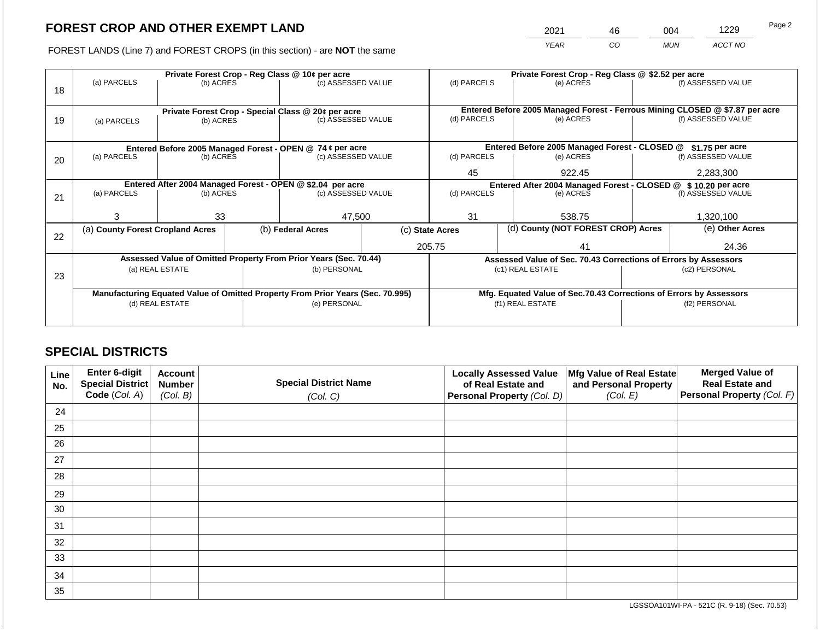2021 46 004 1229

FOREST LANDS (Line 7) and FOREST CROPS (in this section) - are **NOT** the same *YEAR CO MUN ACCT NO*

|    |                                                                                |           |  | Private Forest Crop - Reg Class @ 10¢ per acre                   |                                                                    |                  |  | Private Forest Crop - Reg Class @ \$2.52 per acre               |  |                                                                              |  |
|----|--------------------------------------------------------------------------------|-----------|--|------------------------------------------------------------------|--------------------------------------------------------------------|------------------|--|-----------------------------------------------------------------|--|------------------------------------------------------------------------------|--|
| 18 | (a) PARCELS                                                                    | (b) ACRES |  | (c) ASSESSED VALUE                                               |                                                                    | (d) PARCELS      |  | (e) ACRES                                                       |  | (f) ASSESSED VALUE                                                           |  |
|    |                                                                                |           |  |                                                                  |                                                                    |                  |  |                                                                 |  |                                                                              |  |
|    |                                                                                |           |  | Private Forest Crop - Special Class @ 20¢ per acre               |                                                                    |                  |  |                                                                 |  | Entered Before 2005 Managed Forest - Ferrous Mining CLOSED @ \$7.87 per acre |  |
| 19 | (a) PARCELS                                                                    | (b) ACRES |  | (c) ASSESSED VALUE                                               |                                                                    | (d) PARCELS      |  | (e) ACRES                                                       |  | (f) ASSESSED VALUE                                                           |  |
|    |                                                                                |           |  |                                                                  |                                                                    |                  |  |                                                                 |  |                                                                              |  |
|    |                                                                                |           |  | Entered Before 2005 Managed Forest - OPEN @ 74 ¢ per acre        |                                                                    |                  |  | Entered Before 2005 Managed Forest - CLOSED @                   |  | $$1.75$ per acre                                                             |  |
| 20 | (a) PARCELS<br>(b) ACRES                                                       |           |  | (c) ASSESSED VALUE                                               |                                                                    | (d) PARCELS      |  | (e) ACRES                                                       |  | (f) ASSESSED VALUE                                                           |  |
|    |                                                                                |           |  | 45                                                               |                                                                    | 922.45           |  | 2,283,300                                                       |  |                                                                              |  |
|    | Entered After 2004 Managed Forest - OPEN @ \$2.04 per acre                     |           |  |                                                                  |                                                                    |                  |  | Entered After 2004 Managed Forest - CLOSED @ \$10.20 per acre   |  |                                                                              |  |
| 21 | (a) PARCELS                                                                    | (b) ACRES |  | (c) ASSESSED VALUE                                               |                                                                    | (d) PARCELS      |  | (e) ACRES                                                       |  | (f) ASSESSED VALUE                                                           |  |
|    |                                                                                |           |  |                                                                  |                                                                    |                  |  |                                                                 |  |                                                                              |  |
|    | 3                                                                              | 33        |  | 47,500                                                           |                                                                    | 31               |  | 538.75                                                          |  | 1,320,100                                                                    |  |
| 22 | (a) County Forest Cropland Acres                                               |           |  | (b) Federal Acres                                                |                                                                    | (c) State Acres  |  | (d) County (NOT FOREST CROP) Acres                              |  | (e) Other Acres                                                              |  |
|    |                                                                                |           |  |                                                                  |                                                                    | 205.75           |  | 41                                                              |  | 24.36                                                                        |  |
|    |                                                                                |           |  |                                                                  |                                                                    |                  |  |                                                                 |  |                                                                              |  |
|    |                                                                                |           |  | Assessed Value of Omitted Property From Prior Years (Sec. 70.44) |                                                                    |                  |  | Assessed Value of Sec. 70.43 Corrections of Errors by Assessors |  |                                                                              |  |
| 23 | (a) REAL ESTATE                                                                |           |  | (b) PERSONAL                                                     |                                                                    |                  |  | (c1) REAL ESTATE                                                |  | (c2) PERSONAL                                                                |  |
|    |                                                                                |           |  |                                                                  |                                                                    |                  |  |                                                                 |  |                                                                              |  |
|    | Manufacturing Equated Value of Omitted Property From Prior Years (Sec. 70.995) |           |  |                                                                  | Mfg. Equated Value of Sec.70.43 Corrections of Errors by Assessors |                  |  |                                                                 |  |                                                                              |  |
|    | (d) REAL ESTATE                                                                |           |  | (e) PERSONAL                                                     |                                                                    | (f1) REAL ESTATE |  |                                                                 |  | (f2) PERSONAL                                                                |  |
|    |                                                                                |           |  |                                                                  |                                                                    |                  |  |                                                                 |  |                                                                              |  |
|    |                                                                                |           |  |                                                                  |                                                                    |                  |  |                                                                 |  |                                                                              |  |

# **SPECIAL DISTRICTS**

| Line<br>No. | Enter 6-digit<br>Special District<br>Code (Col. A) | <b>Account</b><br><b>Number</b><br>(Col. B) | <b>Special District Name</b><br>(Col. C) | <b>Locally Assessed Value</b><br>of Real Estate and<br><b>Personal Property (Col. D)</b> | Mfg Value of Real Estate<br>and Personal Property<br>(Col. E) | <b>Merged Value of</b><br><b>Real Estate and</b><br>Personal Property (Col. F) |
|-------------|----------------------------------------------------|---------------------------------------------|------------------------------------------|------------------------------------------------------------------------------------------|---------------------------------------------------------------|--------------------------------------------------------------------------------|
| 24          |                                                    |                                             |                                          |                                                                                          |                                                               |                                                                                |
| 25          |                                                    |                                             |                                          |                                                                                          |                                                               |                                                                                |
| 26          |                                                    |                                             |                                          |                                                                                          |                                                               |                                                                                |
| 27          |                                                    |                                             |                                          |                                                                                          |                                                               |                                                                                |
| 28          |                                                    |                                             |                                          |                                                                                          |                                                               |                                                                                |
| 29          |                                                    |                                             |                                          |                                                                                          |                                                               |                                                                                |
| 30          |                                                    |                                             |                                          |                                                                                          |                                                               |                                                                                |
| 31          |                                                    |                                             |                                          |                                                                                          |                                                               |                                                                                |
| 32          |                                                    |                                             |                                          |                                                                                          |                                                               |                                                                                |
| 33          |                                                    |                                             |                                          |                                                                                          |                                                               |                                                                                |
| 34          |                                                    |                                             |                                          |                                                                                          |                                                               |                                                                                |
| 35          |                                                    |                                             |                                          |                                                                                          |                                                               |                                                                                |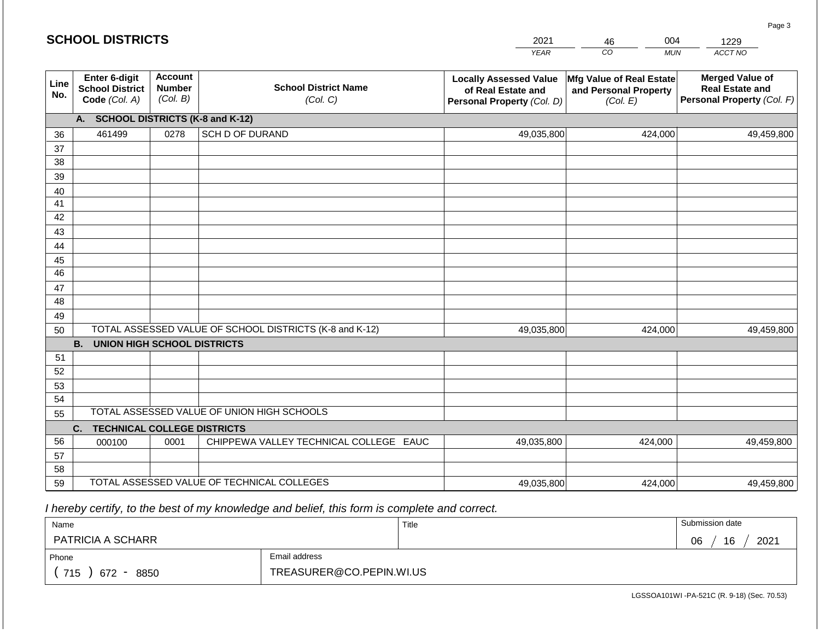|             | <b>SCHOOL DISTRICTS</b>                                  |                                             |                                                         | 2021                                                                              | 004<br>46                                                            | 1229                                                                           |
|-------------|----------------------------------------------------------|---------------------------------------------|---------------------------------------------------------|-----------------------------------------------------------------------------------|----------------------------------------------------------------------|--------------------------------------------------------------------------------|
|             |                                                          |                                             |                                                         | <b>YEAR</b>                                                                       | CO<br><b>MUN</b>                                                     | ACCT NO                                                                        |
| Line<br>No. | Enter 6-digit<br><b>School District</b><br>Code (Col. A) | <b>Account</b><br><b>Number</b><br>(Col. B) | <b>School District Name</b><br>(Col. C)                 | <b>Locally Assessed Value</b><br>of Real Estate and<br>Personal Property (Col. D) | <b>Mfg Value of Real Estate</b><br>and Personal Property<br>(Col. E) | <b>Merged Value of</b><br><b>Real Estate and</b><br>Personal Property (Col. F) |
|             | <b>SCHOOL DISTRICTS (K-8 and K-12)</b><br>A.             |                                             |                                                         |                                                                                   |                                                                      |                                                                                |
| 36          | 461499                                                   | 0278                                        | <b>SCH D OF DURAND</b>                                  | 49,035,800                                                                        | 424,000                                                              | 49,459,800                                                                     |
| 37          |                                                          |                                             |                                                         |                                                                                   |                                                                      |                                                                                |
| 38          |                                                          |                                             |                                                         |                                                                                   |                                                                      |                                                                                |
| 39          |                                                          |                                             |                                                         |                                                                                   |                                                                      |                                                                                |
| 40          |                                                          |                                             |                                                         |                                                                                   |                                                                      |                                                                                |
| 41          |                                                          |                                             |                                                         |                                                                                   |                                                                      |                                                                                |
| 42          |                                                          |                                             |                                                         |                                                                                   |                                                                      |                                                                                |
| 43          |                                                          |                                             |                                                         |                                                                                   |                                                                      |                                                                                |
| 44<br>45    |                                                          |                                             |                                                         |                                                                                   |                                                                      |                                                                                |
| 46          |                                                          |                                             |                                                         |                                                                                   |                                                                      |                                                                                |
| 47          |                                                          |                                             |                                                         |                                                                                   |                                                                      |                                                                                |
| 48          |                                                          |                                             |                                                         |                                                                                   |                                                                      |                                                                                |
| 49          |                                                          |                                             |                                                         |                                                                                   |                                                                      |                                                                                |
| 50          |                                                          |                                             | TOTAL ASSESSED VALUE OF SCHOOL DISTRICTS (K-8 and K-12) | 49,035,800                                                                        | 424,000                                                              | 49,459,800                                                                     |
|             | <b>B.</b><br><b>UNION HIGH SCHOOL DISTRICTS</b>          |                                             |                                                         |                                                                                   |                                                                      |                                                                                |
| 51          |                                                          |                                             |                                                         |                                                                                   |                                                                      |                                                                                |
| 52          |                                                          |                                             |                                                         |                                                                                   |                                                                      |                                                                                |
| 53          |                                                          |                                             |                                                         |                                                                                   |                                                                      |                                                                                |
| 54          |                                                          |                                             |                                                         |                                                                                   |                                                                      |                                                                                |
| 55          |                                                          |                                             | TOTAL ASSESSED VALUE OF UNION HIGH SCHOOLS              |                                                                                   |                                                                      |                                                                                |
|             | <b>TECHNICAL COLLEGE DISTRICTS</b><br>C.                 |                                             |                                                         |                                                                                   |                                                                      |                                                                                |
| 56          | 000100                                                   | 0001                                        | CHIPPEWA VALLEY TECHNICAL COLLEGE EAUC                  | 49,035,800                                                                        | 424,000                                                              | 49,459,800                                                                     |
| 57<br>58    |                                                          |                                             |                                                         |                                                                                   |                                                                      |                                                                                |
|             |                                                          |                                             |                                                         |                                                                                   |                                                                      |                                                                                |
| 59          |                                                          |                                             | TOTAL ASSESSED VALUE OF TECHNICAL COLLEGES              | 49,035,800                                                                        | 424,000                                                              | 49,459,800                                                                     |

 *I hereby certify, to the best of my knowledge and belief, this form is complete and correct.*

| Name                                           |                          | Title | Submission date  |
|------------------------------------------------|--------------------------|-------|------------------|
| PATRICIA A SCHARR                              |                          |       | 16<br>2021<br>06 |
| Phone                                          | Email address            |       |                  |
| 715<br>672<br>8850<br>$\overline{\phantom{0}}$ | TREASURER@CO.PEPIN.WI.US |       |                  |

Page 3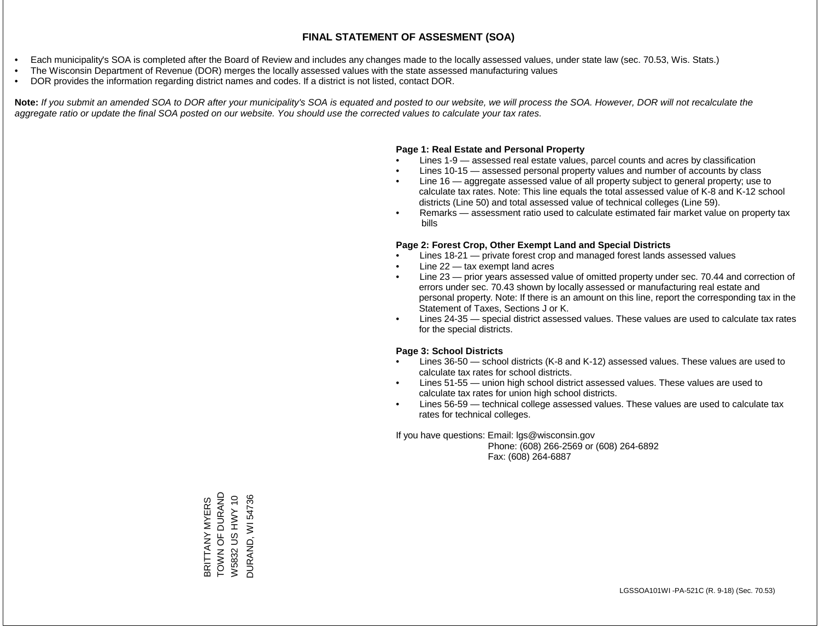- Each municipality's SOA is completed after the Board of Review and includes any changes made to the locally assessed values, under state law (sec. 70.53, Wis. Stats.)
- The Wisconsin Department of Revenue (DOR) merges the locally assessed values with the state assessed manufacturing values
- DOR provides the information regarding district names and codes. If a district is not listed, contact DOR.

Note: If you submit an amended SOA to DOR after your municipality's SOA is equated and posted to our website, we will process the SOA. However, DOR will not recalculate the *aggregate ratio or update the final SOA posted on our website. You should use the corrected values to calculate your tax rates.*

#### **Page 1: Real Estate and Personal Property**

- Lines 1-9 assessed real estate values, parcel counts and acres by classification
- Lines 10-15 assessed personal property values and number of accounts by class
- Line 16 aggregate assessed value of all property subject to general property; use to calculate tax rates. Note: This line equals the total assessed value of K-8 and K-12 school districts (Line 50) and total assessed value of technical colleges (Line 59).
- Remarks assessment ratio used to calculate estimated fair market value on property tax bills

#### **Page 2: Forest Crop, Other Exempt Land and Special Districts**

- Lines 18-21 private forest crop and managed forest lands assessed values
- Line  $22 -$  tax exempt land acres
- Line 23 prior years assessed value of omitted property under sec. 70.44 and correction of errors under sec. 70.43 shown by locally assessed or manufacturing real estate and personal property. Note: If there is an amount on this line, report the corresponding tax in the Statement of Taxes, Sections J or K.
- Lines 24-35 special district assessed values. These values are used to calculate tax rates for the special districts.

#### **Page 3: School Districts**

- Lines 36-50 school districts (K-8 and K-12) assessed values. These values are used to calculate tax rates for school districts.
- Lines 51-55 union high school district assessed values. These values are used to calculate tax rates for union high school districts.
- Lines 56-59 technical college assessed values. These values are used to calculate tax rates for technical colleges.

If you have questions: Email: lgs@wisconsin.gov

 Phone: (608) 266-2569 or (608) 264-6892 Fax: (608) 264-6887

BRITTANY MYERS<br>TOWN OF DURAND<br>W5832 US HWY 10 TOWN OF DURAND **DURAND, WI 54736** W5832 US HWY 10 DURAND, WI 54736BRITTANY MYERS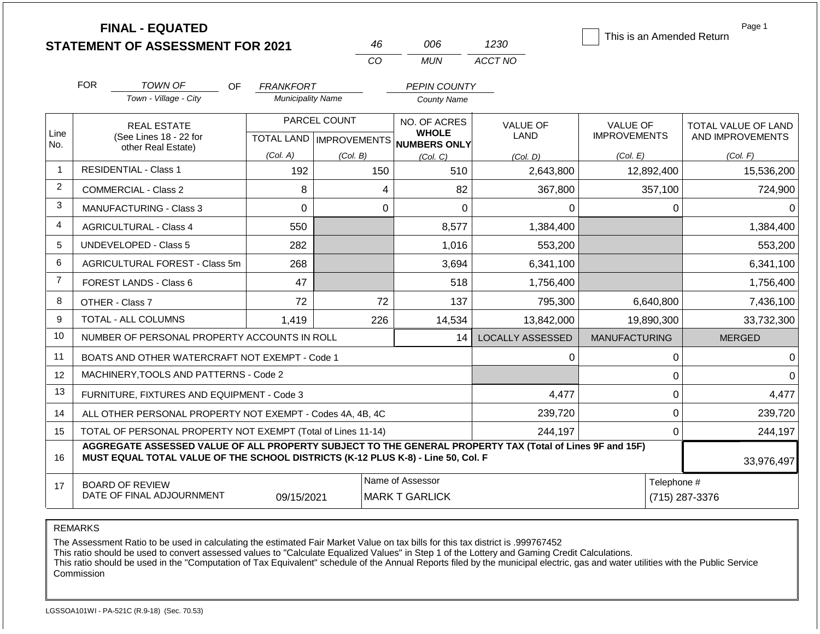|                |            | <b>FINAL - EQUATED</b><br><b>STATEMENT OF ASSESSMENT FOR 2021</b>                                                                                                                            |                          |              | 46                                                        | 006                                                  | 1230                    | This is an Amended Return | Page 1              |
|----------------|------------|----------------------------------------------------------------------------------------------------------------------------------------------------------------------------------------------|--------------------------|--------------|-----------------------------------------------------------|------------------------------------------------------|-------------------------|---------------------------|---------------------|
|                |            |                                                                                                                                                                                              |                          | CO           |                                                           | <b>MUN</b>                                           | ACCT NO                 |                           |                     |
|                | <b>FOR</b> | TOWN OF<br>OF.                                                                                                                                                                               | <b>FRANKFORT</b>         |              |                                                           | <b>PEPIN COUNTY</b>                                  |                         |                           |                     |
|                |            | Town - Village - City                                                                                                                                                                        | <b>Municipality Name</b> |              |                                                           | <b>County Name</b>                                   |                         |                           |                     |
|                |            | <b>REAL ESTATE</b>                                                                                                                                                                           |                          | PARCEL COUNT |                                                           | NO. OF ACRES                                         | <b>VALUE OF</b>         | <b>VALUE OF</b>           | TOTAL VALUE OF LAND |
| Line<br>No.    |            | (See Lines 18 - 22 for<br>other Real Estate)                                                                                                                                                 |                          |              |                                                           | <b>WHOLE</b><br>TOTAL LAND IMPROVEMENTS NUMBERS ONLY | <b>LAND</b>             | <b>IMPROVEMENTS</b>       | AND IMPROVEMENTS    |
|                |            |                                                                                                                                                                                              | (Col. A)                 | (Col. B)     |                                                           | (Col, C)                                             | (Col. D)                | (Col. E)                  | (Col. F)            |
| $\mathbf{1}$   |            | <b>RESIDENTIAL - Class 1</b>                                                                                                                                                                 | 192                      |              | 150                                                       | 510                                                  | 2,643,800               | 12,892,400                | 15,536,200          |
| $\overline{2}$ |            | <b>COMMERCIAL - Class 2</b>                                                                                                                                                                  | 8                        |              | 4                                                         | 82                                                   | 367,800                 | 357,100                   | 724,900             |
| 3              |            | MANUFACTURING - Class 3                                                                                                                                                                      | $\Omega$                 |              | $\overline{0}$                                            | $\Omega$                                             | 0                       | 0                         | 0                   |
| $\overline{4}$ |            | <b>AGRICULTURAL - Class 4</b>                                                                                                                                                                | 550                      |              |                                                           | 8,577                                                | 1,384,400               |                           | 1,384,400           |
| 5              |            | UNDEVELOPED - Class 5                                                                                                                                                                        | 282                      |              |                                                           | 1,016                                                | 553,200                 |                           | 553,200             |
| 6              |            | AGRICULTURAL FOREST - Class 5m                                                                                                                                                               | 268                      |              |                                                           | 3,694                                                | 6,341,100               |                           | 6,341,100           |
| $\overline{7}$ |            | FOREST LANDS - Class 6                                                                                                                                                                       | 47                       |              |                                                           | 518                                                  | 1,756,400               |                           | 1,756,400           |
| 8              |            | OTHER - Class 7                                                                                                                                                                              | 72                       |              | 72                                                        | 137                                                  | 795,300                 | 6,640,800                 | 7,436,100           |
| 9              |            | <b>TOTAL - ALL COLUMNS</b>                                                                                                                                                                   | 1,419                    |              | 226                                                       | 14,534                                               | 13,842,000              | 19,890,300                | 33,732,300          |
| 10             |            | NUMBER OF PERSONAL PROPERTY ACCOUNTS IN ROLL                                                                                                                                                 |                          |              |                                                           | 14                                                   | <b>LOCALLY ASSESSED</b> | <b>MANUFACTURING</b>      | <b>MERGED</b>       |
| 11             |            | BOATS AND OTHER WATERCRAFT NOT EXEMPT - Code 1                                                                                                                                               |                          |              |                                                           |                                                      | 0                       | 0                         | $\Omega$            |
| 12             |            | MACHINERY, TOOLS AND PATTERNS - Code 2                                                                                                                                                       |                          |              |                                                           |                                                      |                         | $\mathbf 0$               | $\Omega$            |
| 13             |            | FURNITURE, FIXTURES AND EQUIPMENT - Code 3                                                                                                                                                   |                          |              |                                                           |                                                      | 4,477                   | $\pmb{0}$                 | 4,477               |
| 14             |            | ALL OTHER PERSONAL PROPERTY NOT EXEMPT - Codes 4A, 4B, 4C                                                                                                                                    |                          |              |                                                           |                                                      | 239,720                 | $\pmb{0}$                 | 239,720             |
| 15             |            | TOTAL OF PERSONAL PROPERTY NOT EXEMPT (Total of Lines 11-14)                                                                                                                                 |                          |              |                                                           |                                                      | 244,197                 | $\Omega$                  | 244,197             |
| 16             |            | AGGREGATE ASSESSED VALUE OF ALL PROPERTY SUBJECT TO THE GENERAL PROPERTY TAX (Total of Lines 9F and 15F)<br>MUST EQUAL TOTAL VALUE OF THE SCHOOL DISTRICTS (K-12 PLUS K-8) - Line 50, Col. F |                          |              |                                                           |                                                      |                         |                           | 33,976,497          |
| 17             |            | <b>BOARD OF REVIEW</b><br>DATE OF FINAL ADJOURNMENT                                                                                                                                          | 09/15/2021               |              | Name of Assessor<br>Telephone #<br><b>IMARK T GARLICK</b> |                                                      |                         |                           | (715) 287-3376      |

The Assessment Ratio to be used in calculating the estimated Fair Market Value on tax bills for this tax district is .999767452

This ratio should be used to convert assessed values to "Calculate Equalized Values" in Step 1 of the Lottery and Gaming Credit Calculations.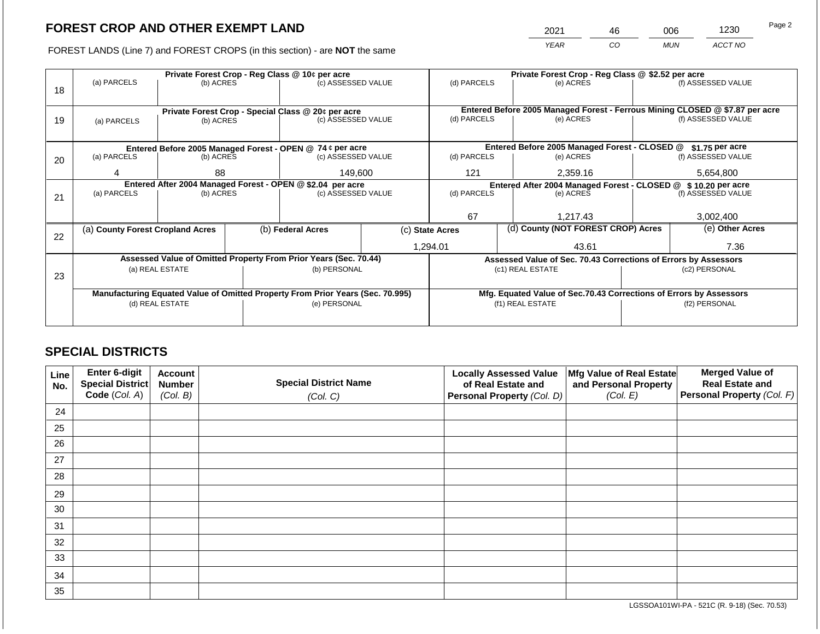2021 46 006 1230

FOREST LANDS (Line 7) and FOREST CROPS (in this section) - are **NOT** the same *YEAR CO MUN ACCT NO*

| 18 | Private Forest Crop - Reg Class @ 10¢ per acre<br>(a) PARCELS<br>(b) ACRES     |           |  | (c) ASSESSED VALUE                                               |                                                                    | (d) PARCELS     |          | Private Forest Crop - Reg Class @ \$2.52 per acre<br>(e) ACRES  |           | (f) ASSESSED VALUE                                                                                 |
|----|--------------------------------------------------------------------------------|-----------|--|------------------------------------------------------------------|--------------------------------------------------------------------|-----------------|----------|-----------------------------------------------------------------|-----------|----------------------------------------------------------------------------------------------------|
| 19 | Private Forest Crop - Special Class @ 20¢ per acre<br>(b) ACRES<br>(a) PARCELS |           |  | (c) ASSESSED VALUE                                               |                                                                    | (d) PARCELS     |          | (e) ACRES                                                       |           | Entered Before 2005 Managed Forest - Ferrous Mining CLOSED @ \$7.87 per acre<br>(f) ASSESSED VALUE |
|    |                                                                                |           |  | Entered Before 2005 Managed Forest - OPEN @ 74 ¢ per acre        |                                                                    |                 |          | Entered Before 2005 Managed Forest - CLOSED @                   |           | \$1.75 per acre                                                                                    |
| 20 | (a) PARCELS                                                                    | (b) ACRES |  | (c) ASSESSED VALUE                                               |                                                                    | (d) PARCELS     |          | (e) ACRES                                                       |           | (f) ASSESSED VALUE                                                                                 |
|    | 88                                                                             |           |  | 149,600                                                          |                                                                    | 121             |          | 2,359.16                                                        |           | 5,654,800                                                                                          |
|    | Entered After 2004 Managed Forest - OPEN @ \$2.04 per acre                     |           |  |                                                                  | Entered After 2004 Managed Forest - CLOSED @ \$10.20 per acre      |                 |          |                                                                 |           |                                                                                                    |
| 21 | (a) PARCELS                                                                    | (b) ACRES |  | (c) ASSESSED VALUE                                               |                                                                    | (d) PARCELS     |          | (e) ACRES                                                       |           | (f) ASSESSED VALUE                                                                                 |
|    |                                                                                |           |  |                                                                  |                                                                    |                 |          |                                                                 |           |                                                                                                    |
|    |                                                                                |           |  |                                                                  | 67                                                                 |                 | 1.217.43 |                                                                 | 3,002,400 |                                                                                                    |
| 22 | (a) County Forest Cropland Acres                                               |           |  | (b) Federal Acres                                                |                                                                    | (c) State Acres |          | (d) County (NOT FOREST CROP) Acres                              |           | (e) Other Acres                                                                                    |
|    |                                                                                |           |  |                                                                  |                                                                    | 1,294.01        |          | 43.61                                                           |           | 7.36                                                                                               |
|    |                                                                                |           |  | Assessed Value of Omitted Property From Prior Years (Sec. 70.44) |                                                                    |                 |          | Assessed Value of Sec. 70.43 Corrections of Errors by Assessors |           |                                                                                                    |
|    | (a) REAL ESTATE                                                                |           |  | (b) PERSONAL                                                     |                                                                    |                 |          | (c1) REAL ESTATE                                                |           | (c2) PERSONAL                                                                                      |
| 23 |                                                                                |           |  |                                                                  |                                                                    |                 |          |                                                                 |           |                                                                                                    |
|    | Manufacturing Equated Value of Omitted Property From Prior Years (Sec. 70.995) |           |  |                                                                  | Mfg. Equated Value of Sec.70.43 Corrections of Errors by Assessors |                 |          |                                                                 |           |                                                                                                    |
|    | (d) REAL ESTATE                                                                |           |  | (e) PERSONAL                                                     | (f1) REAL ESTATE                                                   |                 |          | (f2) PERSONAL                                                   |           |                                                                                                    |
|    |                                                                                |           |  |                                                                  |                                                                    |                 |          |                                                                 |           |                                                                                                    |

# **SPECIAL DISTRICTS**

| Line<br>No. | <b>Enter 6-digit</b><br>Special District | <b>Account</b><br><b>Number</b> | <b>Special District Name</b> | <b>Locally Assessed Value</b><br>of Real Estate and | Mfg Value of Real Estate<br>and Personal Property | <b>Merged Value of</b><br><b>Real Estate and</b> |
|-------------|------------------------------------------|---------------------------------|------------------------------|-----------------------------------------------------|---------------------------------------------------|--------------------------------------------------|
|             | Code (Col. A)                            | (Col. B)                        | (Col. C)                     | Personal Property (Col. D)                          | (Col. E)                                          | Personal Property (Col. F)                       |
| 24          |                                          |                                 |                              |                                                     |                                                   |                                                  |
| 25          |                                          |                                 |                              |                                                     |                                                   |                                                  |
| 26          |                                          |                                 |                              |                                                     |                                                   |                                                  |
| 27          |                                          |                                 |                              |                                                     |                                                   |                                                  |
| 28          |                                          |                                 |                              |                                                     |                                                   |                                                  |
| 29          |                                          |                                 |                              |                                                     |                                                   |                                                  |
| 30          |                                          |                                 |                              |                                                     |                                                   |                                                  |
| 31          |                                          |                                 |                              |                                                     |                                                   |                                                  |
| 32          |                                          |                                 |                              |                                                     |                                                   |                                                  |
| 33          |                                          |                                 |                              |                                                     |                                                   |                                                  |
| 34          |                                          |                                 |                              |                                                     |                                                   |                                                  |
| 35          |                                          |                                 |                              |                                                     |                                                   |                                                  |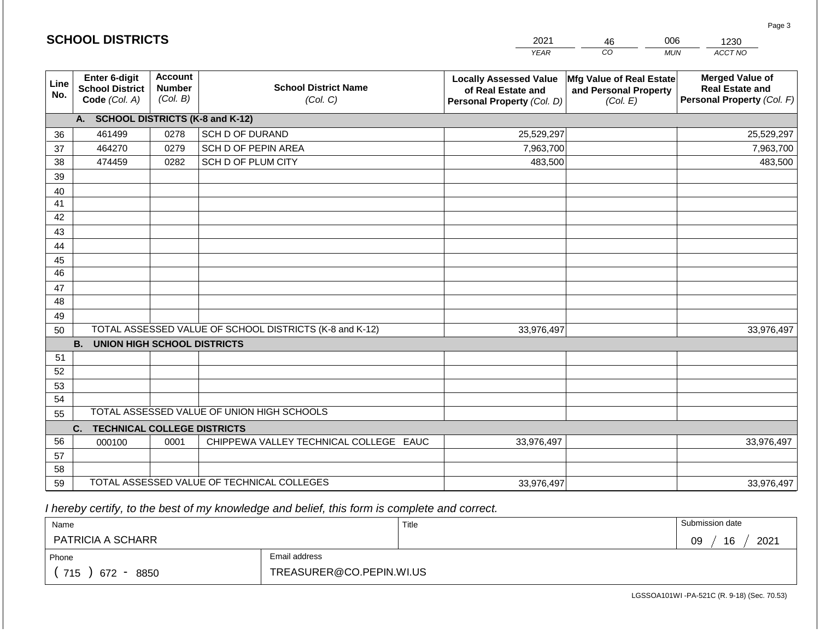|             | <b>SCHOOL DISTRICTS</b>                                  |                                             |                                                         | 2021                                                                              | 46                                                            | 006<br>1230                                                                    |
|-------------|----------------------------------------------------------|---------------------------------------------|---------------------------------------------------------|-----------------------------------------------------------------------------------|---------------------------------------------------------------|--------------------------------------------------------------------------------|
|             |                                                          |                                             |                                                         | <b>YEAR</b>                                                                       | CO                                                            | ACCT NO<br><b>MUN</b>                                                          |
| Line<br>No. | Enter 6-digit<br><b>School District</b><br>Code (Col. A) | <b>Account</b><br><b>Number</b><br>(Col. B) | <b>School District Name</b><br>(Col. C)                 | <b>Locally Assessed Value</b><br>of Real Estate and<br>Personal Property (Col. D) | Mfg Value of Real Estate<br>and Personal Property<br>(Col. E) | <b>Merged Value of</b><br><b>Real Estate and</b><br>Personal Property (Col. F) |
|             | A. SCHOOL DISTRICTS (K-8 and K-12)                       |                                             |                                                         |                                                                                   |                                                               |                                                                                |
| 36          | 461499                                                   | 0278                                        | SCH D OF DURAND                                         | 25,529,297                                                                        |                                                               | 25,529,297                                                                     |
| 37          | 464270                                                   | 0279                                        | SCH D OF PEPIN AREA                                     | 7,963,700                                                                         |                                                               | 7,963,700                                                                      |
| 38          | 474459                                                   | 0282                                        | SCH D OF PLUM CITY                                      | 483,500                                                                           |                                                               | 483,500                                                                        |
| 39          |                                                          |                                             |                                                         |                                                                                   |                                                               |                                                                                |
| 40          |                                                          |                                             |                                                         |                                                                                   |                                                               |                                                                                |
| 41          |                                                          |                                             |                                                         |                                                                                   |                                                               |                                                                                |
| 42          |                                                          |                                             |                                                         |                                                                                   |                                                               |                                                                                |
| 43          |                                                          |                                             |                                                         |                                                                                   |                                                               |                                                                                |
| 44          |                                                          |                                             |                                                         |                                                                                   |                                                               |                                                                                |
| 45          |                                                          |                                             |                                                         |                                                                                   |                                                               |                                                                                |
| 46          |                                                          |                                             |                                                         |                                                                                   |                                                               |                                                                                |
| 47          |                                                          |                                             |                                                         |                                                                                   |                                                               |                                                                                |
| 48          |                                                          |                                             |                                                         |                                                                                   |                                                               |                                                                                |
| 49<br>50    |                                                          |                                             | TOTAL ASSESSED VALUE OF SCHOOL DISTRICTS (K-8 and K-12) | 33,976,497                                                                        |                                                               | 33,976,497                                                                     |
|             | <b>B.</b><br><b>UNION HIGH SCHOOL DISTRICTS</b>          |                                             |                                                         |                                                                                   |                                                               |                                                                                |
| 51          |                                                          |                                             |                                                         |                                                                                   |                                                               |                                                                                |
| 52          |                                                          |                                             |                                                         |                                                                                   |                                                               |                                                                                |
| 53          |                                                          |                                             |                                                         |                                                                                   |                                                               |                                                                                |
| 54          |                                                          |                                             |                                                         |                                                                                   |                                                               |                                                                                |
| 55          |                                                          |                                             | TOTAL ASSESSED VALUE OF UNION HIGH SCHOOLS              |                                                                                   |                                                               |                                                                                |
|             | <b>TECHNICAL COLLEGE DISTRICTS</b><br>C.                 |                                             |                                                         |                                                                                   |                                                               |                                                                                |
| 56          | 000100                                                   | 0001                                        | CHIPPEWA VALLEY TECHNICAL COLLEGE EAUC                  | 33,976,497                                                                        |                                                               | 33,976,497                                                                     |
| 57          |                                                          |                                             |                                                         |                                                                                   |                                                               |                                                                                |
| 58          |                                                          |                                             |                                                         |                                                                                   |                                                               |                                                                                |
| 59          |                                                          |                                             | TOTAL ASSESSED VALUE OF TECHNICAL COLLEGES              | 33,976,497                                                                        |                                                               | 33,976,497                                                                     |

 *I hereby certify, to the best of my knowledge and belief, this form is complete and correct.*

**SCHOOL DISTRICTS**

| Name                     |                          | Title | Submission date  |
|--------------------------|--------------------------|-------|------------------|
| <b>PATRICIA A SCHARR</b> |                          |       | 16<br>2021<br>09 |
| Phone                    | Email address            |       |                  |
| 715<br>672<br>8850       | TREASURER@CO.PEPIN.WI.US |       |                  |

Page 3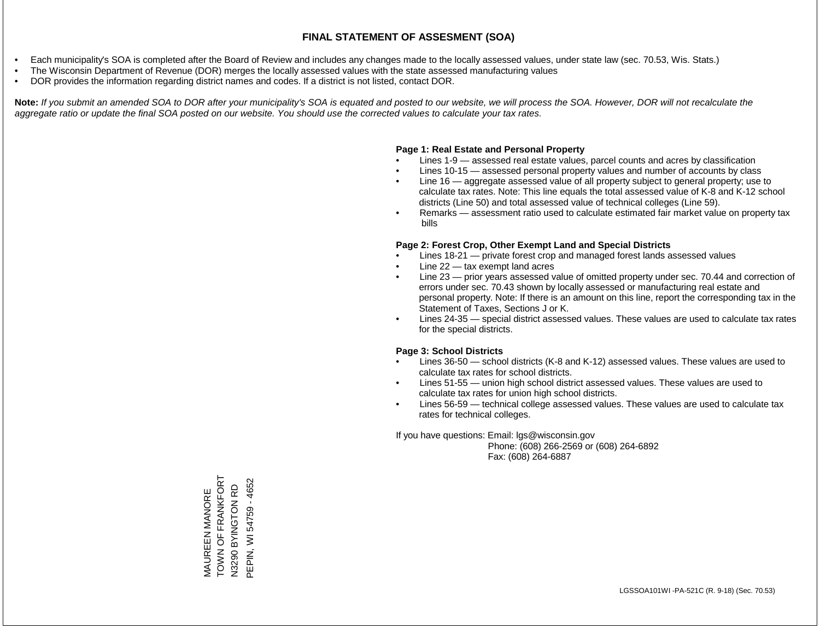- Each municipality's SOA is completed after the Board of Review and includes any changes made to the locally assessed values, under state law (sec. 70.53, Wis. Stats.)
- The Wisconsin Department of Revenue (DOR) merges the locally assessed values with the state assessed manufacturing values
- DOR provides the information regarding district names and codes. If a district is not listed, contact DOR.

Note: If you submit an amended SOA to DOR after your municipality's SOA is equated and posted to our website, we will process the SOA. However, DOR will not recalculate the *aggregate ratio or update the final SOA posted on our website. You should use the corrected values to calculate your tax rates.*

#### **Page 1: Real Estate and Personal Property**

- Lines 1-9 assessed real estate values, parcel counts and acres by classification
- Lines 10-15 assessed personal property values and number of accounts by class
- Line 16 aggregate assessed value of all property subject to general property; use to calculate tax rates. Note: This line equals the total assessed value of K-8 and K-12 school districts (Line 50) and total assessed value of technical colleges (Line 59).
- Remarks assessment ratio used to calculate estimated fair market value on property tax bills

#### **Page 2: Forest Crop, Other Exempt Land and Special Districts**

- Lines 18-21 private forest crop and managed forest lands assessed values
- Line  $22 -$  tax exempt land acres
- Line 23 prior years assessed value of omitted property under sec. 70.44 and correction of errors under sec. 70.43 shown by locally assessed or manufacturing real estate and personal property. Note: If there is an amount on this line, report the corresponding tax in the Statement of Taxes, Sections J or K.
- Lines 24-35 special district assessed values. These values are used to calculate tax rates for the special districts.

#### **Page 3: School Districts**

- Lines 36-50 school districts (K-8 and K-12) assessed values. These values are used to calculate tax rates for school districts.
- Lines 51-55 union high school district assessed values. These values are used to calculate tax rates for union high school districts.
- Lines 56-59 technical college assessed values. These values are used to calculate tax rates for technical colleges.

If you have questions: Email: lgs@wisconsin.gov

 Phone: (608) 266-2569 or (608) 264-6892 Fax: (608) 264-6887

TOWN OF FRANKFORT MAUREEN MANORE<br>TOWN OF FRANKFORT PEPIN, WI 54759 - 4652 PEPIN, WI 54759 - 4652BYINGTON RD N3290 BYINGTON RD MAUREEN MANORE N3290 E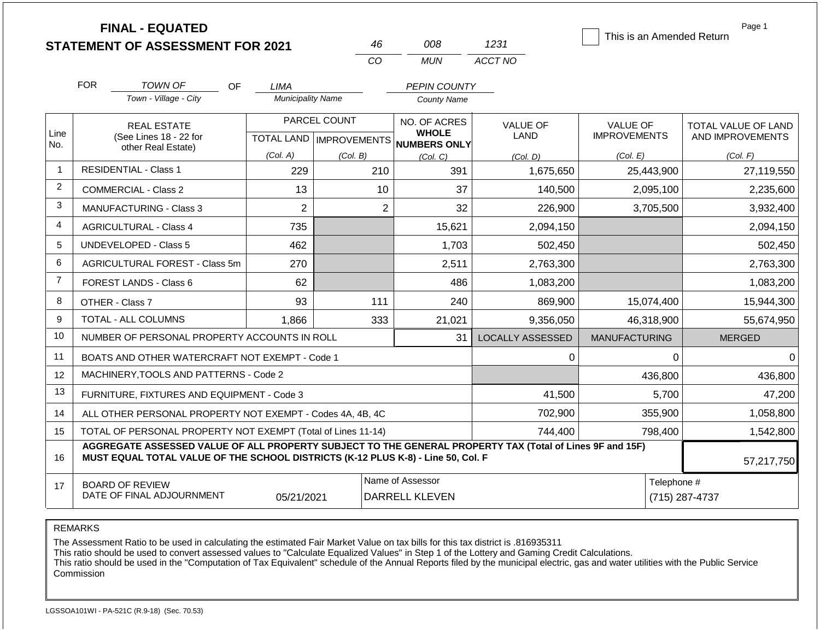|                |                                                                                                                | <b>FINAL - EQUATED</b><br><b>STATEMENT OF ASSESSMENT FOR 2021</b>                                                                                                                            |                          |                           | 46             | 008                          | 1231                    | This is an Amended Return |                               | Page 1              |
|----------------|----------------------------------------------------------------------------------------------------------------|----------------------------------------------------------------------------------------------------------------------------------------------------------------------------------------------|--------------------------|---------------------------|----------------|------------------------------|-------------------------|---------------------------|-------------------------------|---------------------|
|                |                                                                                                                |                                                                                                                                                                                              |                          |                           | CO             | <b>MUN</b>                   | ACCT NO                 |                           |                               |                     |
|                | <b>FOR</b>                                                                                                     | <b>TOWN OF</b><br>OF                                                                                                                                                                         | <b>LIMA</b>              |                           |                | <b>PEPIN COUNTY</b>          |                         |                           |                               |                     |
|                | Town - Village - City                                                                                          |                                                                                                                                                                                              | <b>Municipality Name</b> |                           |                | County Name                  |                         |                           |                               |                     |
|                | <b>REAL ESTATE</b>                                                                                             |                                                                                                                                                                                              |                          | PARCEL COUNT              |                | NO. OF ACRES                 | <b>VALUE OF</b>         | <b>VALUE OF</b>           |                               | TOTAL VALUE OF LAND |
| Line<br>No.    |                                                                                                                | (See Lines 18 - 22 for<br>other Real Estate)                                                                                                                                                 |                          | TOTAL LAND   IMPROVEMENTS |                | <b>WHOLE</b><br>NUMBERS ONLY | LAND                    | <b>IMPROVEMENTS</b>       |                               | AND IMPROVEMENTS    |
|                |                                                                                                                |                                                                                                                                                                                              | (Col. A)                 | (Col. B)                  |                | (Col, C)                     | (Col. D)                | (Col. E)                  |                               | (Col. F)            |
| -1             |                                                                                                                | <b>RESIDENTIAL - Class 1</b>                                                                                                                                                                 | 229                      |                           | 210            | 391                          | 1,675,650               | 25,443,900                |                               | 27,119,550          |
| 2              |                                                                                                                | <b>COMMERCIAL - Class 2</b>                                                                                                                                                                  | 13                       |                           | 10             | 37                           | 140,500                 | 2,095,100                 |                               | 2,235,600           |
| 3              |                                                                                                                | <b>MANUFACTURING - Class 3</b>                                                                                                                                                               | $\overline{2}$           |                           | $\overline{2}$ | 32                           | 226,900                 | 3,705,500                 |                               | 3,932,400           |
| $\overline{4}$ |                                                                                                                | <b>AGRICULTURAL - Class 4</b>                                                                                                                                                                | 735                      |                           |                | 15,621                       | 2,094,150               |                           |                               | 2,094,150           |
| 5              |                                                                                                                | <b>UNDEVELOPED - Class 5</b>                                                                                                                                                                 | 462                      |                           |                | 1,703                        | 502,450                 |                           |                               | 502,450             |
| 6              |                                                                                                                | AGRICULTURAL FOREST - Class 5m                                                                                                                                                               | 270                      |                           |                | 2,511                        | 2,763,300               |                           |                               | 2,763,300           |
| $\overline{7}$ |                                                                                                                | FOREST LANDS - Class 6                                                                                                                                                                       | 62                       |                           |                | 486                          | 1,083,200               |                           |                               | 1,083,200           |
| 8              |                                                                                                                | OTHER - Class 7                                                                                                                                                                              | 93                       |                           | 111            | 240                          | 869,900                 | 15,074,400                |                               | 15,944,300          |
| 9              |                                                                                                                | <b>TOTAL - ALL COLUMNS</b>                                                                                                                                                                   | 1,866                    |                           | 333            | 21,021                       | 9,356,050               | 46,318,900                |                               | 55,674,950          |
| 10             |                                                                                                                | NUMBER OF PERSONAL PROPERTY ACCOUNTS IN ROLL                                                                                                                                                 |                          |                           |                | 31                           | <b>LOCALLY ASSESSED</b> | <b>MANUFACTURING</b>      |                               | <b>MERGED</b>       |
| 11             |                                                                                                                | BOATS AND OTHER WATERCRAFT NOT EXEMPT - Code 1                                                                                                                                               |                          |                           |                |                              | 0                       |                           | $\Omega$                      | $\Omega$            |
| 12             |                                                                                                                | MACHINERY, TOOLS AND PATTERNS - Code 2                                                                                                                                                       |                          |                           |                |                              |                         | 436,800                   |                               | 436,800             |
| 13             |                                                                                                                | FURNITURE, FIXTURES AND EQUIPMENT - Code 3                                                                                                                                                   |                          |                           |                |                              | 41,500                  |                           | 5,700                         | 47,200              |
| 14             |                                                                                                                | ALL OTHER PERSONAL PROPERTY NOT EXEMPT - Codes 4A, 4B, 4C                                                                                                                                    |                          |                           |                |                              | 702,900                 | 355,900                   |                               | 1,058,800           |
| 15             |                                                                                                                | TOTAL OF PERSONAL PROPERTY NOT EXEMPT (Total of Lines 11-14)                                                                                                                                 |                          |                           |                |                              | 744,400                 | 798,400                   |                               | 1,542,800           |
| 16             |                                                                                                                | AGGREGATE ASSESSED VALUE OF ALL PROPERTY SUBJECT TO THE GENERAL PROPERTY TAX (Total of Lines 9F and 15F)<br>MUST EQUAL TOTAL VALUE OF THE SCHOOL DISTRICTS (K-12 PLUS K-8) - Line 50, Col. F |                          |                           |                |                              |                         |                           |                               | 57,217,750          |
| 17             | Name of Assessor<br><b>BOARD OF REVIEW</b><br>DATE OF FINAL ADJOURNMENT<br>05/21/2021<br><b>DARRELL KLEVEN</b> |                                                                                                                                                                                              |                          |                           |                |                              |                         |                           | Telephone #<br>(715) 287-4737 |                     |

The Assessment Ratio to be used in calculating the estimated Fair Market Value on tax bills for this tax district is .816935311

This ratio should be used to convert assessed values to "Calculate Equalized Values" in Step 1 of the Lottery and Gaming Credit Calculations.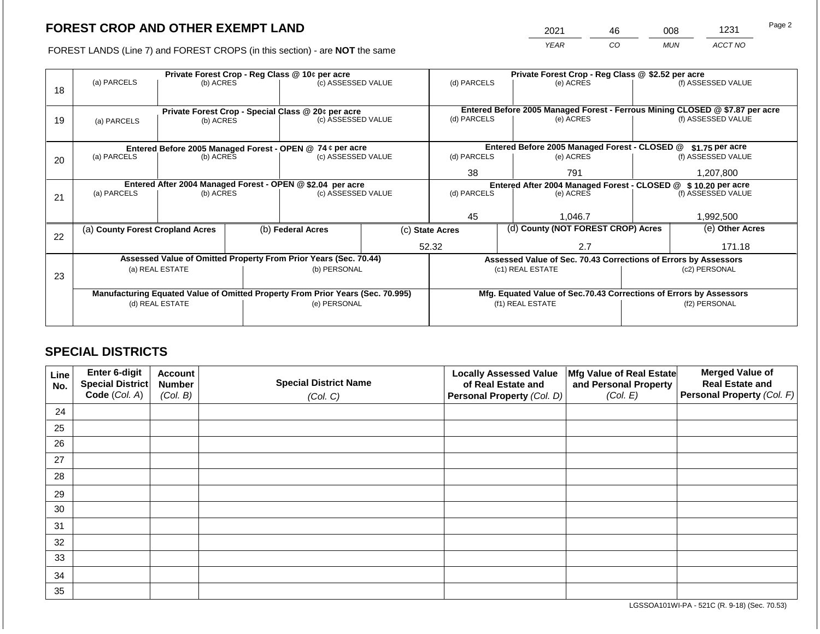2021 46 008 1231

FOREST LANDS (Line 7) and FOREST CROPS (in this section) - are **NOT** the same *YEAR CO MUN ACCT NO*

|    |                                  |                                                                                |  | Private Forest Crop - Reg Class @ 10¢ per acre                                 |  | Private Forest Crop - Reg Class @ \$2.52 per acre                            |  |                                                                    |                    |                    |
|----|----------------------------------|--------------------------------------------------------------------------------|--|--------------------------------------------------------------------------------|--|------------------------------------------------------------------------------|--|--------------------------------------------------------------------|--------------------|--------------------|
| 18 | (a) PARCELS                      | (b) ACRES                                                                      |  | (c) ASSESSED VALUE                                                             |  | (d) PARCELS                                                                  |  | (e) ACRES                                                          |                    | (f) ASSESSED VALUE |
|    |                                  |                                                                                |  |                                                                                |  |                                                                              |  |                                                                    |                    |                    |
|    |                                  |                                                                                |  |                                                                                |  | Entered Before 2005 Managed Forest - Ferrous Mining CLOSED @ \$7.87 per acre |  |                                                                    |                    |                    |
| 19 |                                  | Private Forest Crop - Special Class @ 20¢ per acre<br>(b) ACRES<br>(a) PARCELS |  | (c) ASSESSED VALUE                                                             |  | (d) PARCELS                                                                  |  | (e) ACRES                                                          | (f) ASSESSED VALUE |                    |
|    |                                  |                                                                                |  |                                                                                |  |                                                                              |  |                                                                    |                    |                    |
|    |                                  |                                                                                |  |                                                                                |  |                                                                              |  |                                                                    |                    |                    |
|    |                                  |                                                                                |  | Entered Before 2005 Managed Forest - OPEN @ 74 ¢ per acre                      |  |                                                                              |  | Entered Before 2005 Managed Forest - CLOSED @                      |                    | \$1.75 per acre    |
| 20 | (a) PARCELS                      | (b) ACRES                                                                      |  | (c) ASSESSED VALUE                                                             |  | (d) PARCELS                                                                  |  | (e) ACRES                                                          |                    | (f) ASSESSED VALUE |
|    |                                  |                                                                                |  | 38                                                                             |  | 791                                                                          |  | 1,207,800                                                          |                    |                    |
|    |                                  |                                                                                |  | Entered After 2004 Managed Forest - OPEN @ \$2.04 per acre                     |  | Entered After 2004 Managed Forest - CLOSED @ \$10.20 per acre                |  |                                                                    |                    |                    |
| 21 | (a) PARCELS                      | (b) ACRES                                                                      |  | (c) ASSESSED VALUE                                                             |  | (d) PARCELS                                                                  |  | (e) ACRES                                                          |                    | (f) ASSESSED VALUE |
|    |                                  |                                                                                |  |                                                                                |  |                                                                              |  |                                                                    |                    |                    |
|    |                                  |                                                                                |  |                                                                                |  | 45                                                                           |  | 1.046.7                                                            |                    | 1,992,500          |
|    | (a) County Forest Cropland Acres |                                                                                |  | (b) Federal Acres<br>(c) State Acres                                           |  | (d) County (NOT FOREST CROP) Acres                                           |  |                                                                    |                    | (e) Other Acres    |
| 22 |                                  |                                                                                |  |                                                                                |  |                                                                              |  |                                                                    |                    |                    |
|    |                                  |                                                                                |  |                                                                                |  | 52.32                                                                        |  | 2.7                                                                |                    | 171.18             |
|    |                                  |                                                                                |  | Assessed Value of Omitted Property From Prior Years (Sec. 70.44)               |  |                                                                              |  | Assessed Value of Sec. 70.43 Corrections of Errors by Assessors    |                    |                    |
| 23 |                                  | (a) REAL ESTATE                                                                |  | (b) PERSONAL                                                                   |  |                                                                              |  | (c1) REAL ESTATE                                                   |                    | (c2) PERSONAL      |
|    |                                  |                                                                                |  |                                                                                |  |                                                                              |  |                                                                    |                    |                    |
|    |                                  |                                                                                |  | Manufacturing Equated Value of Omitted Property From Prior Years (Sec. 70.995) |  |                                                                              |  | Mfg. Equated Value of Sec.70.43 Corrections of Errors by Assessors |                    |                    |
|    |                                  | (d) REAL ESTATE                                                                |  | (e) PERSONAL                                                                   |  | (f1) REAL ESTATE                                                             |  |                                                                    | (f2) PERSONAL      |                    |
|    |                                  |                                                                                |  |                                                                                |  |                                                                              |  |                                                                    |                    |                    |
|    |                                  |                                                                                |  |                                                                                |  |                                                                              |  |                                                                    |                    |                    |

# **SPECIAL DISTRICTS**

| Line<br>No. | Enter 6-digit<br>Special District<br>Code (Col. A) | <b>Account</b><br><b>Number</b><br>(Col. B) | <b>Special District Name</b><br>(Col. C) | <b>Locally Assessed Value</b><br>of Real Estate and<br><b>Personal Property (Col. D)</b> | Mfg Value of Real Estate<br>and Personal Property<br>(Col. E) | <b>Merged Value of</b><br><b>Real Estate and</b><br>Personal Property (Col. F) |
|-------------|----------------------------------------------------|---------------------------------------------|------------------------------------------|------------------------------------------------------------------------------------------|---------------------------------------------------------------|--------------------------------------------------------------------------------|
| 24          |                                                    |                                             |                                          |                                                                                          |                                                               |                                                                                |
| 25          |                                                    |                                             |                                          |                                                                                          |                                                               |                                                                                |
| 26          |                                                    |                                             |                                          |                                                                                          |                                                               |                                                                                |
| 27          |                                                    |                                             |                                          |                                                                                          |                                                               |                                                                                |
| 28          |                                                    |                                             |                                          |                                                                                          |                                                               |                                                                                |
| 29          |                                                    |                                             |                                          |                                                                                          |                                                               |                                                                                |
| 30          |                                                    |                                             |                                          |                                                                                          |                                                               |                                                                                |
| 31          |                                                    |                                             |                                          |                                                                                          |                                                               |                                                                                |
| 32          |                                                    |                                             |                                          |                                                                                          |                                                               |                                                                                |
| 33          |                                                    |                                             |                                          |                                                                                          |                                                               |                                                                                |
| 34          |                                                    |                                             |                                          |                                                                                          |                                                               |                                                                                |
| 35          |                                                    |                                             |                                          |                                                                                          |                                                               |                                                                                |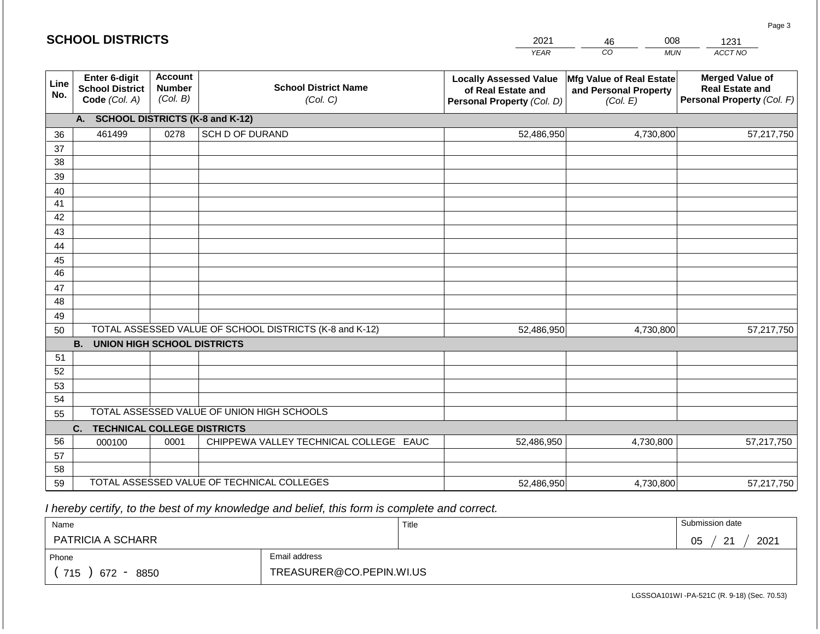|             | <b>SCHOOL DISTRICTS</b>                                  |                                             |                                                         | 2021                                                                              | 008<br>46                                                            | 1231                                                                           |
|-------------|----------------------------------------------------------|---------------------------------------------|---------------------------------------------------------|-----------------------------------------------------------------------------------|----------------------------------------------------------------------|--------------------------------------------------------------------------------|
|             |                                                          |                                             |                                                         | <b>YEAR</b>                                                                       | CO<br><b>MUN</b>                                                     | ACCT NO                                                                        |
| Line<br>No. | Enter 6-digit<br><b>School District</b><br>Code (Col. A) | <b>Account</b><br><b>Number</b><br>(Col. B) | <b>School District Name</b><br>(Col. C)                 | <b>Locally Assessed Value</b><br>of Real Estate and<br>Personal Property (Col. D) | <b>Mfg Value of Real Estate</b><br>and Personal Property<br>(Col. E) | <b>Merged Value of</b><br><b>Real Estate and</b><br>Personal Property (Col. F) |
|             | <b>SCHOOL DISTRICTS (K-8 and K-12)</b><br>A.             |                                             |                                                         |                                                                                   |                                                                      |                                                                                |
| 36          | 461499                                                   | 0278                                        | <b>SCH D OF DURAND</b>                                  | 52,486,950                                                                        | 4,730,800                                                            | 57,217,750                                                                     |
| 37          |                                                          |                                             |                                                         |                                                                                   |                                                                      |                                                                                |
| 38          |                                                          |                                             |                                                         |                                                                                   |                                                                      |                                                                                |
| 39          |                                                          |                                             |                                                         |                                                                                   |                                                                      |                                                                                |
| 40          |                                                          |                                             |                                                         |                                                                                   |                                                                      |                                                                                |
| 41          |                                                          |                                             |                                                         |                                                                                   |                                                                      |                                                                                |
| 42          |                                                          |                                             |                                                         |                                                                                   |                                                                      |                                                                                |
| 43          |                                                          |                                             |                                                         |                                                                                   |                                                                      |                                                                                |
| 44<br>45    |                                                          |                                             |                                                         |                                                                                   |                                                                      |                                                                                |
| 46          |                                                          |                                             |                                                         |                                                                                   |                                                                      |                                                                                |
| 47          |                                                          |                                             |                                                         |                                                                                   |                                                                      |                                                                                |
| 48          |                                                          |                                             |                                                         |                                                                                   |                                                                      |                                                                                |
| 49          |                                                          |                                             |                                                         |                                                                                   |                                                                      |                                                                                |
| 50          |                                                          |                                             | TOTAL ASSESSED VALUE OF SCHOOL DISTRICTS (K-8 and K-12) | 52,486,950                                                                        | 4,730,800                                                            | 57,217,750                                                                     |
|             | <b>B.</b><br><b>UNION HIGH SCHOOL DISTRICTS</b>          |                                             |                                                         |                                                                                   |                                                                      |                                                                                |
| 51          |                                                          |                                             |                                                         |                                                                                   |                                                                      |                                                                                |
| 52          |                                                          |                                             |                                                         |                                                                                   |                                                                      |                                                                                |
| 53          |                                                          |                                             |                                                         |                                                                                   |                                                                      |                                                                                |
| 54          |                                                          |                                             |                                                         |                                                                                   |                                                                      |                                                                                |
| 55          |                                                          |                                             | TOTAL ASSESSED VALUE OF UNION HIGH SCHOOLS              |                                                                                   |                                                                      |                                                                                |
|             | <b>TECHNICAL COLLEGE DISTRICTS</b><br>C.                 |                                             |                                                         |                                                                                   |                                                                      |                                                                                |
| 56          | 000100                                                   | 0001                                        | CHIPPEWA VALLEY TECHNICAL COLLEGE EAUC                  | 52,486,950                                                                        | 4,730,800                                                            | 57,217,750                                                                     |
| 57<br>58    |                                                          |                                             |                                                         |                                                                                   |                                                                      |                                                                                |
| 59          |                                                          |                                             | TOTAL ASSESSED VALUE OF TECHNICAL COLLEGES              |                                                                                   |                                                                      | 57,217,750                                                                     |
|             |                                                          |                                             |                                                         | 52,486,950                                                                        | 4,730,800                                                            |                                                                                |

 *I hereby certify, to the best of my knowledge and belief, this form is complete and correct.*

| Name               |                          | Title | Submission date                    |
|--------------------|--------------------------|-------|------------------------------------|
| PATRICIA A SCHARR  |                          |       | 2021<br>$\Omega$<br>05<br><u>_</u> |
| Phone              | Email address            |       |                                    |
| 715<br>672<br>8850 | TREASURER@CO.PEPIN.WI.US |       |                                    |

LGSSOA101WI -PA-521C (R. 9-18) (Sec. 70.53)

Page 3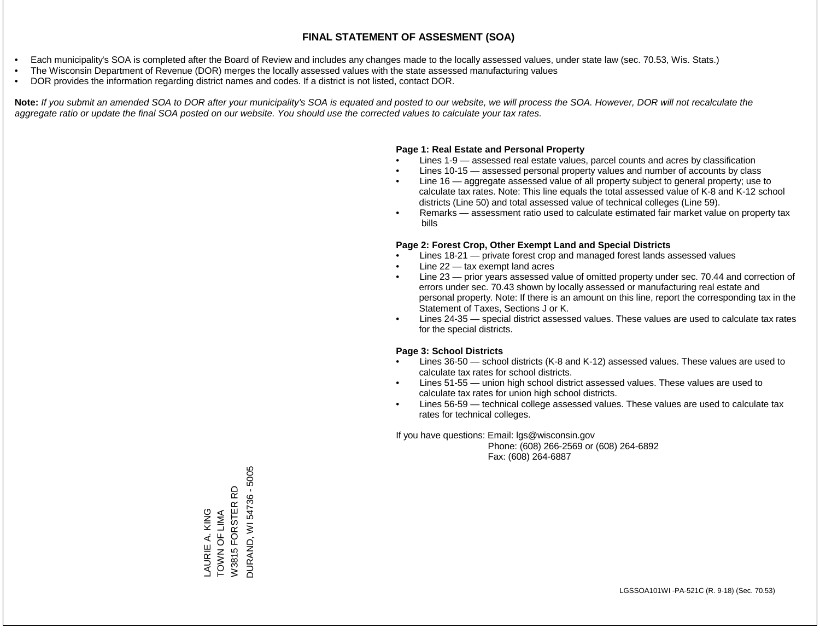- Each municipality's SOA is completed after the Board of Review and includes any changes made to the locally assessed values, under state law (sec. 70.53, Wis. Stats.)
- The Wisconsin Department of Revenue (DOR) merges the locally assessed values with the state assessed manufacturing values
- DOR provides the information regarding district names and codes. If a district is not listed, contact DOR.

Note: If you submit an amended SOA to DOR after your municipality's SOA is equated and posted to our website, we will process the SOA. However, DOR will not recalculate the *aggregate ratio or update the final SOA posted on our website. You should use the corrected values to calculate your tax rates.*

#### **Page 1: Real Estate and Personal Property**

- Lines 1-9 assessed real estate values, parcel counts and acres by classification
- Lines 10-15 assessed personal property values and number of accounts by class
- Line 16 aggregate assessed value of all property subject to general property; use to calculate tax rates. Note: This line equals the total assessed value of K-8 and K-12 school districts (Line 50) and total assessed value of technical colleges (Line 59).
- Remarks assessment ratio used to calculate estimated fair market value on property tax bills

#### **Page 2: Forest Crop, Other Exempt Land and Special Districts**

- Lines 18-21 private forest crop and managed forest lands assessed values
- Line  $22 -$  tax exempt land acres
- Line 23 prior years assessed value of omitted property under sec. 70.44 and correction of errors under sec. 70.43 shown by locally assessed or manufacturing real estate and personal property. Note: If there is an amount on this line, report the corresponding tax in the Statement of Taxes, Sections J or K.
- Lines 24-35 special district assessed values. These values are used to calculate tax rates for the special districts.

#### **Page 3: School Districts**

- Lines 36-50 school districts (K-8 and K-12) assessed values. These values are used to calculate tax rates for school districts.
- Lines 51-55 union high school district assessed values. These values are used to calculate tax rates for union high school districts.
- Lines 56-59 technical college assessed values. These values are used to calculate tax rates for technical colleges.

If you have questions: Email: lgs@wisconsin.gov

 Phone: (608) 266-2569 or (608) 264-6892 Fax: (608) 264-6887

**DURAND, WI54736 - 5005** DURAND, WI 54736 - 5005W3815 FORSTER RD W3815 FORSTER RD LAURIE A. KING TOWN OF LIMA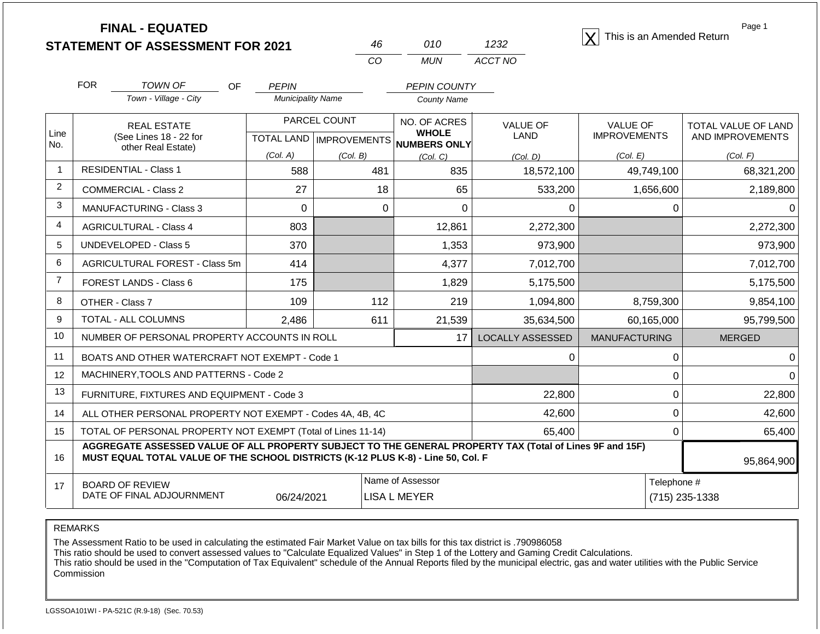**STATEMENT OF ASSESSMENT FOR 2021**

| 46  | 010   | 1232    |
|-----|-------|---------|
| CO. | MI IN | ACCT NO |

**FINAL - EQUATED**<br>  $\overline{X}$  This is an Amended Return

Page 1

|                | <b>FOR</b>                                               | <b>TOWN OF</b><br><b>OF</b>                                                                                                                                                                  | <b>PEPIN</b>             |                           | <b>PEPIN COUNTY</b>                 |                         |                      |                     |
|----------------|----------------------------------------------------------|----------------------------------------------------------------------------------------------------------------------------------------------------------------------------------------------|--------------------------|---------------------------|-------------------------------------|-------------------------|----------------------|---------------------|
|                |                                                          | Town - Village - City                                                                                                                                                                        | <b>Municipality Name</b> |                           | <b>County Name</b>                  |                         |                      |                     |
|                |                                                          | <b>REAL ESTATE</b>                                                                                                                                                                           |                          | PARCEL COUNT              | NO. OF ACRES                        | <b>VALUE OF</b>         | <b>VALUE OF</b>      | TOTAL VALUE OF LAND |
| Line<br>No.    | (See Lines 18 - 22 for<br>other Real Estate)             |                                                                                                                                                                                              |                          | TOTAL LAND   IMPROVEMENTS | <b>WHOLE</b><br><b>NUMBERS ONLY</b> | <b>LAND</b>             | <b>IMPROVEMENTS</b>  | AND IMPROVEMENTS    |
|                |                                                          |                                                                                                                                                                                              | (Col. A)                 | (Col. B)                  | (Col, C)                            | (Col. D)                | (Col. E)             | (Col. F)            |
| $\overline{1}$ |                                                          | <b>RESIDENTIAL - Class 1</b>                                                                                                                                                                 | 588                      | 481                       | 835                                 | 18,572,100              | 49,749,100           | 68,321,200          |
| $\overline{2}$ | <b>COMMERCIAL - Class 2</b>                              |                                                                                                                                                                                              | 27                       | 18                        | 65                                  | 533,200                 | 1,656,600            | 2,189,800           |
| 3              |                                                          | <b>MANUFACTURING - Class 3</b>                                                                                                                                                               | $\Omega$                 | $\mathbf{0}$              | 0                                   | 0                       | $\Omega$             | 0                   |
| $\overline{4}$ |                                                          | <b>AGRICULTURAL - Class 4</b>                                                                                                                                                                | 803                      |                           | 12,861                              | 2,272,300               |                      | 2,272,300           |
| 5              | <b>UNDEVELOPED - Class 5</b>                             |                                                                                                                                                                                              | 370                      |                           | 1,353                               | 973,900                 |                      | 973,900             |
| 6              | AGRICULTURAL FOREST - Class 5m<br>FOREST LANDS - Class 6 |                                                                                                                                                                                              | 414                      |                           | 4,377                               | 7,012,700               |                      | 7,012,700           |
| $\overline{7}$ |                                                          |                                                                                                                                                                                              | 175                      |                           | 1,829                               | 5,175,500               |                      | 5,175,500           |
| 8              |                                                          | OTHER - Class 7                                                                                                                                                                              | 109                      | 112                       | 219                                 | 1,094,800               | 8,759,300            | 9,854,100           |
| 9              |                                                          | TOTAL - ALL COLUMNS                                                                                                                                                                          | 2,486                    | 611                       | 21,539                              | 35,634,500              | 60,165,000           | 95,799,500          |
| 10             |                                                          | NUMBER OF PERSONAL PROPERTY ACCOUNTS IN ROLL                                                                                                                                                 |                          |                           | 17                                  | <b>LOCALLY ASSESSED</b> | <b>MANUFACTURING</b> | <b>MERGED</b>       |
| 11             |                                                          | BOATS AND OTHER WATERCRAFT NOT EXEMPT - Code 1                                                                                                                                               |                          |                           |                                     | 0                       | 0                    | 0                   |
| 12             |                                                          | MACHINERY, TOOLS AND PATTERNS - Code 2                                                                                                                                                       |                          |                           |                                     |                         | 0                    |                     |
| 13             |                                                          | FURNITURE, FIXTURES AND EQUIPMENT - Code 3                                                                                                                                                   |                          |                           |                                     | 22,800                  | 0                    | 22,800              |
| 14             |                                                          | ALL OTHER PERSONAL PROPERTY NOT EXEMPT - Codes 4A, 4B, 4C                                                                                                                                    |                          |                           |                                     | 42,600                  | 0                    | 42,600              |
| 15             |                                                          | TOTAL OF PERSONAL PROPERTY NOT EXEMPT (Total of Lines 11-14)                                                                                                                                 |                          |                           |                                     | 65,400                  | 0                    | 65,400              |
| 16             |                                                          | AGGREGATE ASSESSED VALUE OF ALL PROPERTY SUBJECT TO THE GENERAL PROPERTY TAX (Total of Lines 9F and 15F)<br>MUST EQUAL TOTAL VALUE OF THE SCHOOL DISTRICTS (K-12 PLUS K-8) - Line 50, Col. F |                          |                           |                                     |                         |                      | 95,864,900          |
| 17             |                                                          | <b>BOARD OF REVIEW</b>                                                                                                                                                                       |                          |                           | Name of Assessor                    |                         | Telephone #          |                     |
|                |                                                          | DATE OF FINAL ADJOURNMENT                                                                                                                                                                    | 06/24/2021               |                           | <b>LISA L MEYER</b>                 |                         |                      | (715) 235-1338      |

REMARKS

The Assessment Ratio to be used in calculating the estimated Fair Market Value on tax bills for this tax district is .790986058

This ratio should be used to convert assessed values to "Calculate Equalized Values" in Step 1 of the Lottery and Gaming Credit Calculations.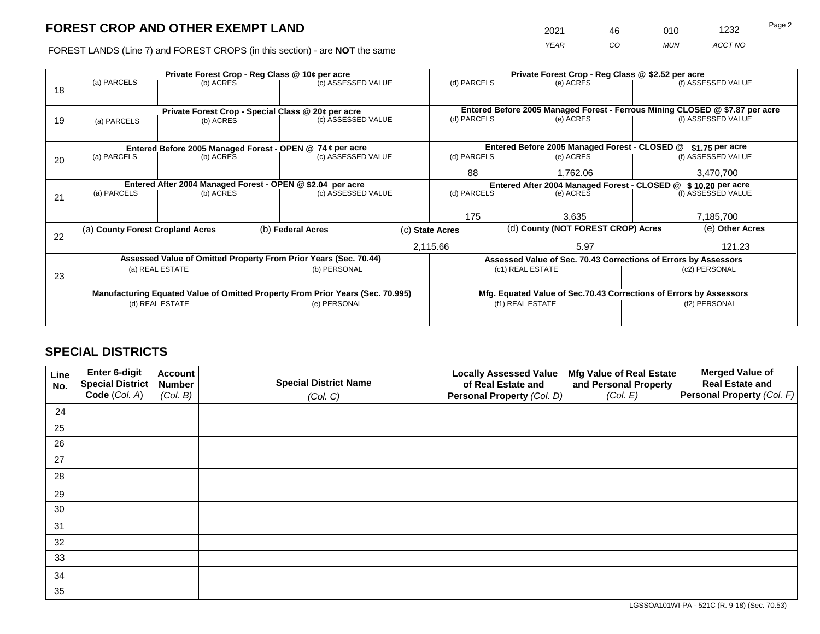2021 46 010 1232

FOREST LANDS (Line 7) and FOREST CROPS (in this section) - are **NOT** the same *YEAR CO MUN ACCT NO*

|    |                                                            | Private Forest Crop - Reg Class @ 10¢ per acre |  |                                                                                |                                                               |                  |                                    | Private Forest Crop - Reg Class @ \$2.52 per acre                  |                    |                                                                              |  |  |
|----|------------------------------------------------------------|------------------------------------------------|--|--------------------------------------------------------------------------------|---------------------------------------------------------------|------------------|------------------------------------|--------------------------------------------------------------------|--------------------|------------------------------------------------------------------------------|--|--|
| 18 | (a) PARCELS                                                | (b) ACRES                                      |  | (c) ASSESSED VALUE                                                             |                                                               | (d) PARCELS      |                                    | (e) ACRES                                                          |                    | (f) ASSESSED VALUE                                                           |  |  |
|    |                                                            |                                                |  |                                                                                |                                                               |                  |                                    |                                                                    |                    |                                                                              |  |  |
|    |                                                            |                                                |  | Private Forest Crop - Special Class @ 20¢ per acre                             |                                                               |                  |                                    |                                                                    |                    | Entered Before 2005 Managed Forest - Ferrous Mining CLOSED @ \$7.87 per acre |  |  |
| 19 | (a) PARCELS                                                | (b) ACRES                                      |  | (c) ASSESSED VALUE                                                             |                                                               | (d) PARCELS      |                                    | (e) ACRES                                                          |                    | (f) ASSESSED VALUE                                                           |  |  |
|    |                                                            |                                                |  |                                                                                |                                                               |                  |                                    |                                                                    |                    |                                                                              |  |  |
|    | Entered Before 2005 Managed Forest - OPEN @ 74 ¢ per acre  |                                                |  |                                                                                |                                                               |                  |                                    | Entered Before 2005 Managed Forest - CLOSED @                      |                    | $$1.75$ per acre                                                             |  |  |
| 20 | (a) PARCELS                                                | (c) ASSESSED VALUE<br>(b) ACRES                |  |                                                                                | (d) PARCELS                                                   |                  | (e) ACRES                          |                                                                    | (f) ASSESSED VALUE |                                                                              |  |  |
|    |                                                            |                                                |  | 88                                                                             |                                                               | 1,762.06         |                                    | 3,470,700                                                          |                    |                                                                              |  |  |
|    | Entered After 2004 Managed Forest - OPEN @ \$2.04 per acre |                                                |  |                                                                                | Entered After 2004 Managed Forest - CLOSED @ \$10.20 per acre |                  |                                    |                                                                    |                    |                                                                              |  |  |
| 21 | (a) PARCELS                                                | (b) ACRES                                      |  | (c) ASSESSED VALUE                                                             |                                                               | (d) PARCELS      |                                    | (e) ACRES                                                          |                    | (f) ASSESSED VALUE                                                           |  |  |
|    |                                                            |                                                |  |                                                                                |                                                               |                  |                                    |                                                                    |                    |                                                                              |  |  |
|    |                                                            |                                                |  |                                                                                |                                                               | 175              |                                    | 3.635                                                              |                    | 7,185,700                                                                    |  |  |
| 22 | (a) County Forest Cropland Acres                           |                                                |  | (b) Federal Acres                                                              | (c) State Acres                                               |                  | (d) County (NOT FOREST CROP) Acres |                                                                    |                    | (e) Other Acres                                                              |  |  |
|    |                                                            |                                                |  |                                                                                |                                                               | 2,115.66         |                                    | 5.97                                                               |                    | 121.23                                                                       |  |  |
|    |                                                            |                                                |  | Assessed Value of Omitted Property From Prior Years (Sec. 70.44)               |                                                               |                  |                                    | Assessed Value of Sec. 70.43 Corrections of Errors by Assessors    |                    |                                                                              |  |  |
|    |                                                            | (a) REAL ESTATE                                |  | (b) PERSONAL                                                                   |                                                               |                  |                                    | (c1) REAL ESTATE                                                   |                    | (c2) PERSONAL                                                                |  |  |
| 23 |                                                            |                                                |  |                                                                                |                                                               |                  |                                    |                                                                    |                    |                                                                              |  |  |
|    |                                                            |                                                |  | Manufacturing Equated Value of Omitted Property From Prior Years (Sec. 70.995) |                                                               |                  |                                    | Mfg. Equated Value of Sec.70.43 Corrections of Errors by Assessors |                    |                                                                              |  |  |
|    |                                                            | (d) REAL ESTATE                                |  | (e) PERSONAL                                                                   |                                                               | (f1) REAL ESTATE |                                    |                                                                    | (f2) PERSONAL      |                                                                              |  |  |
|    |                                                            |                                                |  |                                                                                |                                                               |                  |                                    |                                                                    |                    |                                                                              |  |  |
|    |                                                            |                                                |  |                                                                                |                                                               |                  |                                    |                                                                    |                    |                                                                              |  |  |

# **SPECIAL DISTRICTS**

| Line<br>No. | Enter 6-digit<br>Special District<br>Code (Col. A) | <b>Account</b><br><b>Number</b><br>(Col. B) | <b>Special District Name</b><br>(Col. C) | <b>Locally Assessed Value</b><br>of Real Estate and<br><b>Personal Property (Col. D)</b> | Mfg Value of Real Estate<br>and Personal Property<br>(Col. E) | <b>Merged Value of</b><br><b>Real Estate and</b><br>Personal Property (Col. F) |
|-------------|----------------------------------------------------|---------------------------------------------|------------------------------------------|------------------------------------------------------------------------------------------|---------------------------------------------------------------|--------------------------------------------------------------------------------|
| 24          |                                                    |                                             |                                          |                                                                                          |                                                               |                                                                                |
| 25          |                                                    |                                             |                                          |                                                                                          |                                                               |                                                                                |
| 26          |                                                    |                                             |                                          |                                                                                          |                                                               |                                                                                |
| 27          |                                                    |                                             |                                          |                                                                                          |                                                               |                                                                                |
| 28          |                                                    |                                             |                                          |                                                                                          |                                                               |                                                                                |
| 29          |                                                    |                                             |                                          |                                                                                          |                                                               |                                                                                |
| 30          |                                                    |                                             |                                          |                                                                                          |                                                               |                                                                                |
| 31          |                                                    |                                             |                                          |                                                                                          |                                                               |                                                                                |
| 32          |                                                    |                                             |                                          |                                                                                          |                                                               |                                                                                |
| 33          |                                                    |                                             |                                          |                                                                                          |                                                               |                                                                                |
| 34          |                                                    |                                             |                                          |                                                                                          |                                                               |                                                                                |
| 35          |                                                    |                                             |                                          |                                                                                          |                                                               |                                                                                |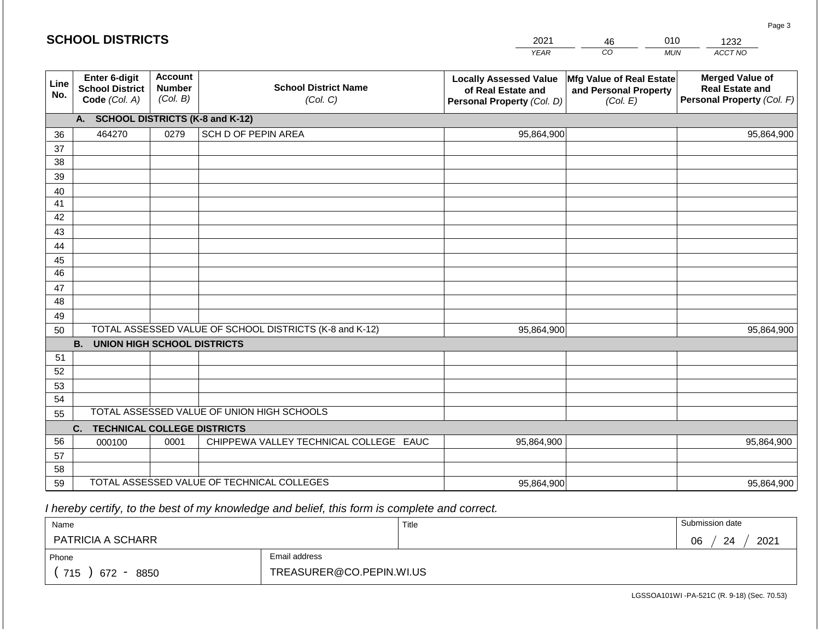|             | <b>SCHOOL DISTRICTS</b>                                                                                                                            |      |                                                         | 2021                                                                              | 46                                                            | 010        | 1232                                                                           |  |
|-------------|----------------------------------------------------------------------------------------------------------------------------------------------------|------|---------------------------------------------------------|-----------------------------------------------------------------------------------|---------------------------------------------------------------|------------|--------------------------------------------------------------------------------|--|
|             |                                                                                                                                                    |      |                                                         | <b>YEAR</b>                                                                       | CO                                                            | <b>MUN</b> | ACCT NO                                                                        |  |
| Line<br>No. | <b>Account</b><br>Enter 6-digit<br><b>School District Name</b><br><b>Number</b><br><b>School District</b><br>(Col. B)<br>Code (Col. A)<br>(Col. C) |      |                                                         | <b>Locally Assessed Value</b><br>of Real Estate and<br>Personal Property (Col. D) | Mfg Value of Real Estate<br>and Personal Property<br>(Col. E) |            | <b>Merged Value of</b><br><b>Real Estate and</b><br>Personal Property (Col. F) |  |
|             | A.                                                                                                                                                 |      | <b>SCHOOL DISTRICTS (K-8 and K-12)</b>                  |                                                                                   |                                                               |            |                                                                                |  |
| 36          | 464270                                                                                                                                             | 0279 | SCH D OF PEPIN AREA                                     | 95,864,900                                                                        |                                                               |            | 95,864,900                                                                     |  |
| 37          |                                                                                                                                                    |      |                                                         |                                                                                   |                                                               |            |                                                                                |  |
| 38          |                                                                                                                                                    |      |                                                         |                                                                                   |                                                               |            |                                                                                |  |
| 39          |                                                                                                                                                    |      |                                                         |                                                                                   |                                                               |            |                                                                                |  |
| 40          |                                                                                                                                                    |      |                                                         |                                                                                   |                                                               |            |                                                                                |  |
| 41          |                                                                                                                                                    |      |                                                         |                                                                                   |                                                               |            |                                                                                |  |
| 42          |                                                                                                                                                    |      |                                                         |                                                                                   |                                                               |            |                                                                                |  |
| 43          |                                                                                                                                                    |      |                                                         |                                                                                   |                                                               |            |                                                                                |  |
| 44<br>45    |                                                                                                                                                    |      |                                                         |                                                                                   |                                                               |            |                                                                                |  |
| 46          |                                                                                                                                                    |      |                                                         |                                                                                   |                                                               |            |                                                                                |  |
| 47          |                                                                                                                                                    |      |                                                         |                                                                                   |                                                               |            |                                                                                |  |
| 48          |                                                                                                                                                    |      |                                                         |                                                                                   |                                                               |            |                                                                                |  |
| 49          |                                                                                                                                                    |      |                                                         |                                                                                   |                                                               |            |                                                                                |  |
| 50          |                                                                                                                                                    |      | TOTAL ASSESSED VALUE OF SCHOOL DISTRICTS (K-8 and K-12) | 95,864,900                                                                        |                                                               |            | 95,864,900                                                                     |  |
|             | <b>B.</b><br><b>UNION HIGH SCHOOL DISTRICTS</b>                                                                                                    |      |                                                         |                                                                                   |                                                               |            |                                                                                |  |
| 51          |                                                                                                                                                    |      |                                                         |                                                                                   |                                                               |            |                                                                                |  |
| 52          |                                                                                                                                                    |      |                                                         |                                                                                   |                                                               |            |                                                                                |  |
| 53          |                                                                                                                                                    |      |                                                         |                                                                                   |                                                               |            |                                                                                |  |
| 54          |                                                                                                                                                    |      |                                                         |                                                                                   |                                                               |            |                                                                                |  |
| 55          |                                                                                                                                                    |      | TOTAL ASSESSED VALUE OF UNION HIGH SCHOOLS              |                                                                                   |                                                               |            |                                                                                |  |
|             | <b>TECHNICAL COLLEGE DISTRICTS</b><br>C.                                                                                                           |      |                                                         |                                                                                   |                                                               |            |                                                                                |  |
| 56          | 000100                                                                                                                                             | 0001 | CHIPPEWA VALLEY TECHNICAL COLLEGE EAUC                  | 95,864,900                                                                        |                                                               |            | 95,864,900                                                                     |  |
| 57<br>58    |                                                                                                                                                    |      |                                                         |                                                                                   |                                                               |            |                                                                                |  |
| 59          |                                                                                                                                                    |      | TOTAL ASSESSED VALUE OF TECHNICAL COLLEGES              | 95,864,900                                                                        |                                                               |            | 95,864,900                                                                     |  |
|             |                                                                                                                                                    |      |                                                         |                                                                                   |                                                               |            |                                                                                |  |

 *I hereby certify, to the best of my knowledge and belief, this form is complete and correct.*

| Name               |                          | Title | Submission date  |
|--------------------|--------------------------|-------|------------------|
| PATRICIA A SCHARR  |                          |       | 2021<br>06<br>24 |
| Phone              | Email address            |       |                  |
| 715<br>672<br>8850 | TREASURER@CO.PEPIN.WI.US |       |                  |

LGSSOA101WI -PA-521C (R. 9-18) (Sec. 70.53)

Page 3

| <b>SCHOOL DISTRICTS</b> |
|-------------------------|
|-------------------------|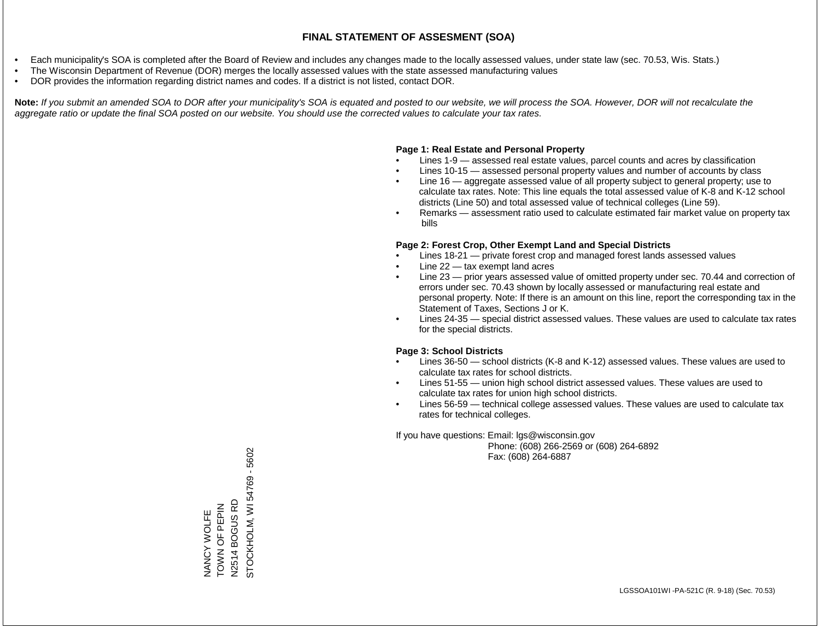- Each municipality's SOA is completed after the Board of Review and includes any changes made to the locally assessed values, under state law (sec. 70.53, Wis. Stats.)
- The Wisconsin Department of Revenue (DOR) merges the locally assessed values with the state assessed manufacturing values
- DOR provides the information regarding district names and codes. If a district is not listed, contact DOR.

Note: If you submit an amended SOA to DOR after your municipality's SOA is equated and posted to our website, we will process the SOA. However, DOR will not recalculate the *aggregate ratio or update the final SOA posted on our website. You should use the corrected values to calculate your tax rates.*

#### **Page 1: Real Estate and Personal Property**

- Lines 1-9 assessed real estate values, parcel counts and acres by classification
- Lines 10-15 assessed personal property values and number of accounts by class
- Line 16 aggregate assessed value of all property subject to general property; use to calculate tax rates. Note: This line equals the total assessed value of K-8 and K-12 school districts (Line 50) and total assessed value of technical colleges (Line 59).
- Remarks assessment ratio used to calculate estimated fair market value on property tax bills

#### **Page 2: Forest Crop, Other Exempt Land and Special Districts**

- Lines 18-21 private forest crop and managed forest lands assessed values
- Line  $22 -$  tax exempt land acres
- Line 23 prior years assessed value of omitted property under sec. 70.44 and correction of errors under sec. 70.43 shown by locally assessed or manufacturing real estate and personal property. Note: If there is an amount on this line, report the corresponding tax in the Statement of Taxes, Sections J or K.
- Lines 24-35 special district assessed values. These values are used to calculate tax rates for the special districts.

#### **Page 3: School Districts**

- Lines 36-50 school districts (K-8 and K-12) assessed values. These values are used to calculate tax rates for school districts.
- Lines 51-55 union high school district assessed values. These values are used to calculate tax rates for union high school districts.
- Lines 56-59 technical college assessed values. These values are used to calculate tax rates for technical colleges.

If you have questions: Email: lgs@wisconsin.gov

 Phone: (608) 266-2569 or (608) 264-6892 Fax: (608) 264-6887

STOCKHOLM, WI 54769 - 5602 STOCKHOLM, WI 54769 - 5602NANCY WOLFE<br>TOWN OF PEPIN **BOGUS RD** N2514 BOGUS RD TOWN OF PEPIN NANCY WOLFE N2514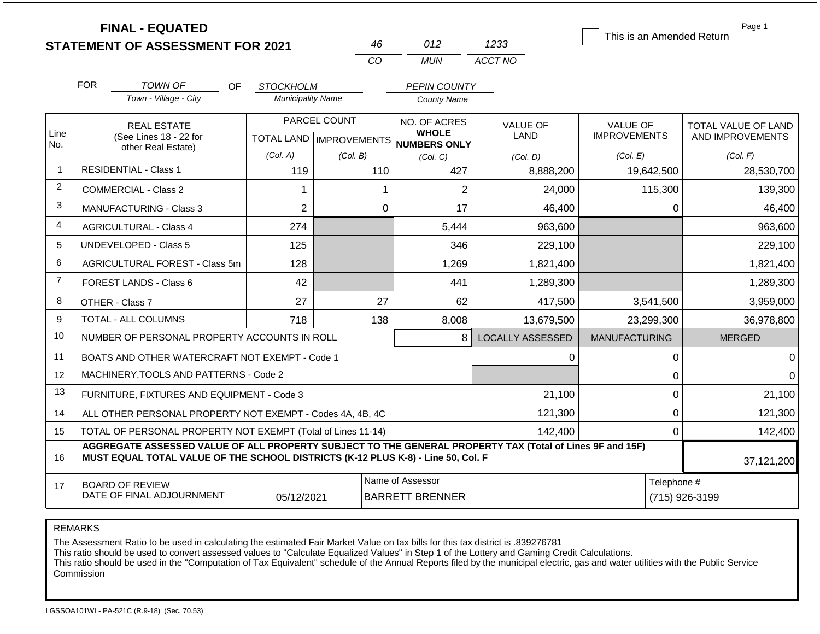|                |                                                                   | <b>FINAL - EQUATED</b><br><b>STATEMENT OF ASSESSMENT FOR 2021</b>                                                                                                                            |                          |              | 46                                                  | 012                                        | 1233                          | This is an Amended Return | Page 1              |
|----------------|-------------------------------------------------------------------|----------------------------------------------------------------------------------------------------------------------------------------------------------------------------------------------|--------------------------|--------------|-----------------------------------------------------|--------------------------------------------|-------------------------------|---------------------------|---------------------|
|                |                                                                   |                                                                                                                                                                                              |                          |              | CO                                                  | <b>MUN</b>                                 | ACCT NO                       |                           |                     |
|                | <b>FOR</b>                                                        | TOWN OF<br>OF.                                                                                                                                                                               | <b>STOCKHOLM</b>         |              |                                                     | <b>PEPIN COUNTY</b>                        |                               |                           |                     |
|                |                                                                   | Town - Village - City                                                                                                                                                                        | <b>Municipality Name</b> |              |                                                     | <b>County Name</b>                         |                               |                           |                     |
|                |                                                                   | <b>REAL ESTATE</b>                                                                                                                                                                           |                          | PARCEL COUNT |                                                     | NO. OF ACRES                               | <b>VALUE OF</b>               | <b>VALUE OF</b>           | TOTAL VALUE OF LAND |
| Line<br>No.    |                                                                   | (See Lines 18 - 22 for<br>other Real Estate)                                                                                                                                                 |                          |              | <b>WHOLE</b><br>TOTAL LAND MPROVEMENTS NUMBERS ONLY |                                            | LAND                          | <b>IMPROVEMENTS</b>       | AND IMPROVEMENTS    |
|                |                                                                   |                                                                                                                                                                                              | (Col. A)                 | (Col. B)     |                                                     | (Col, C)                                   | (Col. D)                      | (Col. E)                  | (Col. F)            |
| $\mathbf{1}$   |                                                                   | <b>RESIDENTIAL - Class 1</b>                                                                                                                                                                 | 119                      |              | 110                                                 | 427                                        | 8,888,200                     | 19,642,500                | 28,530,700          |
| $\overline{2}$ |                                                                   | <b>COMMERCIAL - Class 2</b>                                                                                                                                                                  | 1                        |              | 1                                                   | $\overline{2}$                             | 24,000                        | 115,300                   | 139,300             |
| 3              |                                                                   | MANUFACTURING - Class 3                                                                                                                                                                      | $\overline{2}$           |              | $\overline{0}$                                      | 17                                         | 46,400                        | 0                         | 46,400              |
| 4              |                                                                   | <b>AGRICULTURAL - Class 4</b>                                                                                                                                                                | 274                      |              |                                                     | 5,444                                      | 963,600                       |                           | 963,600             |
| 5              |                                                                   | UNDEVELOPED - Class 5                                                                                                                                                                        | 125                      |              |                                                     | 346                                        | 229,100                       |                           | 229,100             |
| 6              |                                                                   | AGRICULTURAL FOREST - Class 5m                                                                                                                                                               | 128                      |              |                                                     | 1,269                                      | 1,821,400                     |                           | 1,821,400           |
| $\overline{7}$ |                                                                   | FOREST LANDS - Class 6                                                                                                                                                                       | 42                       |              |                                                     | 441                                        | 1,289,300                     |                           | 1,289,300           |
| 8              |                                                                   | OTHER - Class 7                                                                                                                                                                              | 27                       |              | 27                                                  | 62                                         | 417,500                       | 3,541,500                 | 3,959,000           |
| 9              |                                                                   | <b>TOTAL - ALL COLUMNS</b>                                                                                                                                                                   | 718                      |              | 138                                                 | 8,008                                      | 13,679,500                    | 23,299,300                | 36,978,800          |
| 10             |                                                                   | NUMBER OF PERSONAL PROPERTY ACCOUNTS IN ROLL                                                                                                                                                 |                          |              |                                                     | 8                                          | <b>LOCALLY ASSESSED</b>       | <b>MANUFACTURING</b>      | <b>MERGED</b>       |
| 11             |                                                                   | BOATS AND OTHER WATERCRAFT NOT EXEMPT - Code 1                                                                                                                                               |                          |              |                                                     |                                            | 0                             | 0                         | $\Omega$            |
| 12             |                                                                   | MACHINERY, TOOLS AND PATTERNS - Code 2                                                                                                                                                       |                          |              |                                                     |                                            |                               | $\mathbf 0$               | $\Omega$            |
| 13             |                                                                   | FURNITURE, FIXTURES AND EQUIPMENT - Code 3                                                                                                                                                   |                          |              |                                                     |                                            | 21,100                        | $\pmb{0}$                 | 21,100              |
| 14             |                                                                   | ALL OTHER PERSONAL PROPERTY NOT EXEMPT - Codes 4A, 4B, 4C                                                                                                                                    |                          |              |                                                     |                                            | 121,300                       | $\overline{0}$            | 121,300             |
| 15             | TOTAL OF PERSONAL PROPERTY NOT EXEMPT (Total of Lines 11-14)      |                                                                                                                                                                                              |                          |              |                                                     |                                            | 142,400                       | $\mathbf 0$               | 142,400             |
| 16             |                                                                   | AGGREGATE ASSESSED VALUE OF ALL PROPERTY SUBJECT TO THE GENERAL PROPERTY TAX (Total of Lines 9F and 15F)<br>MUST EQUAL TOTAL VALUE OF THE SCHOOL DISTRICTS (K-12 PLUS K-8) - Line 50, Col. F |                          |              |                                                     |                                            |                               |                           | 37,121,200          |
| 17             | <b>BOARD OF REVIEW</b><br>DATE OF FINAL ADJOURNMENT<br>05/12/2021 |                                                                                                                                                                                              |                          |              |                                                     | Name of Assessor<br><b>BARRETT BRENNER</b> | Telephone #<br>(715) 926-3199 |                           |                     |

The Assessment Ratio to be used in calculating the estimated Fair Market Value on tax bills for this tax district is .839276781

This ratio should be used to convert assessed values to "Calculate Equalized Values" in Step 1 of the Lottery and Gaming Credit Calculations.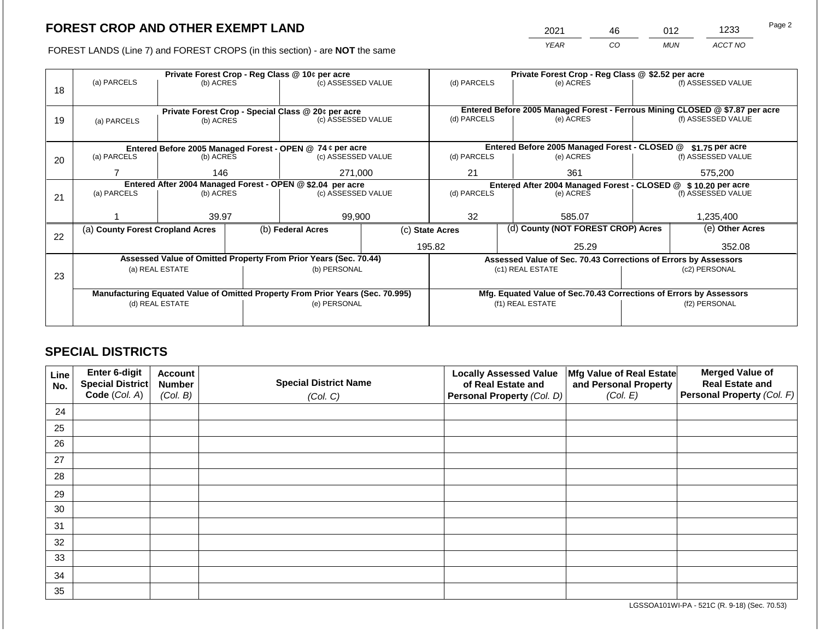2021 46 012 1233

FOREST LANDS (Line 7) and FOREST CROPS (in this section) - are **NOT** the same *YEAR CO MUN ACCT NO*

|    |                                                            |                 |  | Private Forest Crop - Reg Class @ 10¢ per acre                                 |                                               | Private Forest Crop - Reg Class @ \$2.52 per acre |                                                               |                                                                    |                                                                                                    |                    |
|----|------------------------------------------------------------|-----------------|--|--------------------------------------------------------------------------------|-----------------------------------------------|---------------------------------------------------|---------------------------------------------------------------|--------------------------------------------------------------------|----------------------------------------------------------------------------------------------------|--------------------|
|    | (a) PARCELS                                                | (b) ACRES       |  | (c) ASSESSED VALUE                                                             |                                               | (d) PARCELS                                       |                                                               | (e) ACRES                                                          |                                                                                                    | (f) ASSESSED VALUE |
| 18 |                                                            |                 |  |                                                                                |                                               |                                                   |                                                               |                                                                    |                                                                                                    |                    |
|    |                                                            |                 |  |                                                                                |                                               |                                                   |                                                               |                                                                    |                                                                                                    |                    |
|    |                                                            |                 |  | Private Forest Crop - Special Class @ 20¢ per acre<br>(c) ASSESSED VALUE       |                                               | (d) PARCELS<br>(e) ACRES                          |                                                               |                                                                    | Entered Before 2005 Managed Forest - Ferrous Mining CLOSED @ \$7.87 per acre<br>(f) ASSESSED VALUE |                    |
| 19 | (a) PARCELS                                                | (b) ACRES       |  |                                                                                |                                               |                                                   |                                                               |                                                                    |                                                                                                    |                    |
|    |                                                            |                 |  |                                                                                |                                               |                                                   |                                                               |                                                                    |                                                                                                    |                    |
|    | Entered Before 2005 Managed Forest - OPEN @ 74 ¢ per acre  |                 |  |                                                                                | Entered Before 2005 Managed Forest - CLOSED @ |                                                   | \$1.75 per acre                                               |                                                                    |                                                                                                    |                    |
| 20 | (a) PARCELS                                                | (b) ACRES       |  | (c) ASSESSED VALUE                                                             |                                               | (d) PARCELS                                       |                                                               | (e) ACRES                                                          |                                                                                                    | (f) ASSESSED VALUE |
|    |                                                            |                 |  |                                                                                |                                               |                                                   |                                                               |                                                                    |                                                                                                    |                    |
|    |                                                            | 146             |  | 271,000                                                                        |                                               |                                                   | 21<br>361                                                     |                                                                    | 575,200                                                                                            |                    |
|    | Entered After 2004 Managed Forest - OPEN @ \$2.04 per acre |                 |  |                                                                                |                                               |                                                   | Entered After 2004 Managed Forest - CLOSED @ \$10.20 per acre |                                                                    |                                                                                                    |                    |
| 21 | (a) PARCELS                                                | (b) ACRES       |  | (c) ASSESSED VALUE                                                             |                                               | (d) PARCELS                                       |                                                               | (e) ACRES                                                          |                                                                                                    | (f) ASSESSED VALUE |
|    |                                                            |                 |  |                                                                                |                                               |                                                   |                                                               |                                                                    |                                                                                                    |                    |
|    |                                                            | 39.97           |  | 99,900                                                                         |                                               | 32                                                |                                                               | 585.07                                                             |                                                                                                    | 1,235,400          |
|    | (a) County Forest Cropland Acres                           |                 |  | (b) Federal Acres                                                              |                                               | (c) State Acres                                   |                                                               | (d) County (NOT FOREST CROP) Acres                                 |                                                                                                    | (e) Other Acres    |
| 22 |                                                            |                 |  |                                                                                |                                               |                                                   |                                                               |                                                                    |                                                                                                    |                    |
|    |                                                            |                 |  |                                                                                |                                               | 195.82                                            |                                                               | 25.29                                                              |                                                                                                    | 352.08             |
|    |                                                            |                 |  | Assessed Value of Omitted Property From Prior Years (Sec. 70.44)               |                                               |                                                   |                                                               | Assessed Value of Sec. 70.43 Corrections of Errors by Assessors    |                                                                                                    |                    |
|    |                                                            | (a) REAL ESTATE |  | (b) PERSONAL                                                                   |                                               |                                                   |                                                               | (c1) REAL ESTATE                                                   |                                                                                                    | (c2) PERSONAL      |
| 23 |                                                            |                 |  |                                                                                |                                               |                                                   |                                                               |                                                                    |                                                                                                    |                    |
|    |                                                            |                 |  | Manufacturing Equated Value of Omitted Property From Prior Years (Sec. 70.995) |                                               |                                                   |                                                               | Mfg. Equated Value of Sec.70.43 Corrections of Errors by Assessors |                                                                                                    |                    |
|    | (d) REAL ESTATE                                            |                 |  | (e) PERSONAL                                                                   | (f1) REAL ESTATE                              |                                                   |                                                               | (f2) PERSONAL                                                      |                                                                                                    |                    |
|    |                                                            |                 |  |                                                                                |                                               |                                                   |                                                               |                                                                    |                                                                                                    |                    |
|    |                                                            |                 |  |                                                                                |                                               |                                                   |                                                               |                                                                    |                                                                                                    |                    |

# **SPECIAL DISTRICTS**

| Line<br>No. | Enter 6-digit<br>Special District<br>Code (Col. A) | <b>Account</b><br><b>Number</b><br>(Col. B) | <b>Special District Name</b><br>(Col. C) | <b>Locally Assessed Value</b><br>of Real Estate and<br><b>Personal Property (Col. D)</b> | Mfg Value of Real Estate<br>and Personal Property<br>(Col. E) | <b>Merged Value of</b><br><b>Real Estate and</b><br>Personal Property (Col. F) |
|-------------|----------------------------------------------------|---------------------------------------------|------------------------------------------|------------------------------------------------------------------------------------------|---------------------------------------------------------------|--------------------------------------------------------------------------------|
| 24          |                                                    |                                             |                                          |                                                                                          |                                                               |                                                                                |
| 25          |                                                    |                                             |                                          |                                                                                          |                                                               |                                                                                |
| 26          |                                                    |                                             |                                          |                                                                                          |                                                               |                                                                                |
| 27          |                                                    |                                             |                                          |                                                                                          |                                                               |                                                                                |
| 28          |                                                    |                                             |                                          |                                                                                          |                                                               |                                                                                |
| 29          |                                                    |                                             |                                          |                                                                                          |                                                               |                                                                                |
| 30          |                                                    |                                             |                                          |                                                                                          |                                                               |                                                                                |
| 31          |                                                    |                                             |                                          |                                                                                          |                                                               |                                                                                |
| 32          |                                                    |                                             |                                          |                                                                                          |                                                               |                                                                                |
| 33          |                                                    |                                             |                                          |                                                                                          |                                                               |                                                                                |
| 34          |                                                    |                                             |                                          |                                                                                          |                                                               |                                                                                |
| 35          |                                                    |                                             |                                          |                                                                                          |                                                               |                                                                                |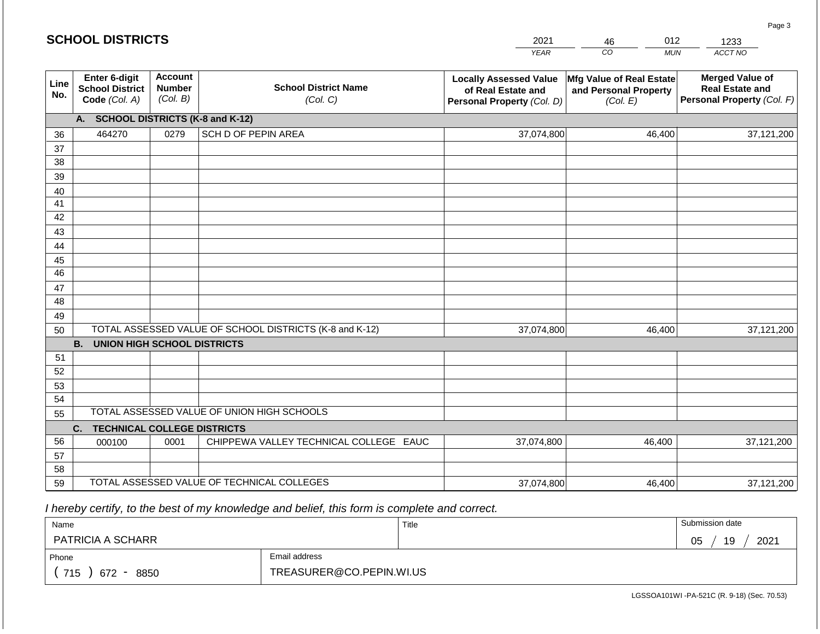#### *YEAR*  2021 *CO*  46 *MUN*  012 *ACCT NO*  1233 **Line No. Enter 6-digit School District Code** *(Col. A)* **Account Number** *(Col. B)* **School District Name** *(Col. C)* **Locally Assessed Value of Real Estate and Personal Property** *(Col. D)* **Mfg Value of Real Estate and Personal Property** *(Col. E)* **Merged Value of Real Estate and Personal Property** *(Col. F)* **A. SCHOOL DISTRICTS (K-8 and K-12)** 36 37 38 39 40 41 42 43 44 45 46 47 48 49 50 TOTAL ASSESSED VALUE OF SCHOOL DISTRICTS (K-8 and K-12) **B. UNION HIGH SCHOOL DISTRICTS** 51 52 53 54 55 **C. TECHNICAL COLLEGE DISTRICTS** 56 57 58 59 TOTAL ASSESSED VALUE OF TECHNICAL COLLEGES TOTAL ASSESSED VALUE OF UNION HIGH SCHOOLS 464270 0279 SCH D OF PEPIN AREA 37,074,800 37,074,800 000100 | 0001 | CHIPPEWA VALLEY TECHNICAL COLLEGE EAUC 37,074,800 46,400 37,121,200 46,400 37,121,200 46,400 37,121,200 37,074,800 46,400 37,121,200

 *I hereby certify, to the best of my knowledge and belief, this form is complete and correct.*

| Name               |                          | Title | Submission date  |
|--------------------|--------------------------|-------|------------------|
| PATRICIA A SCHARR  |                          |       | 19<br>2021<br>05 |
| Phone              | Email address            |       |                  |
| 715<br>672<br>8850 | TREASURER@CO.PEPIN.WI.US |       |                  |

Page 3

|  |  |  |  | <b>SCHOOL DISTRICTS</b> |  |  |  |
|--|--|--|--|-------------------------|--|--|--|
|--|--|--|--|-------------------------|--|--|--|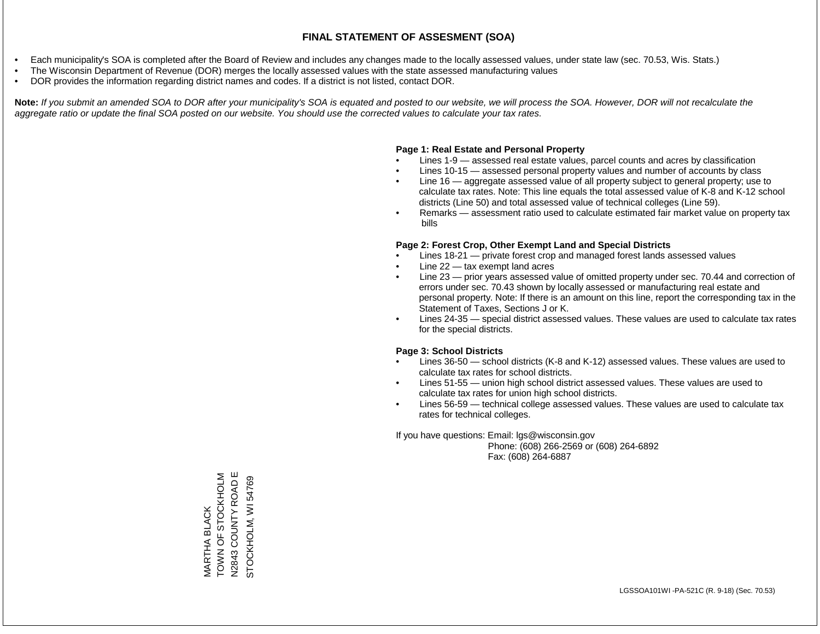- Each municipality's SOA is completed after the Board of Review and includes any changes made to the locally assessed values, under state law (sec. 70.53, Wis. Stats.)
- The Wisconsin Department of Revenue (DOR) merges the locally assessed values with the state assessed manufacturing values
- DOR provides the information regarding district names and codes. If a district is not listed, contact DOR.

Note: If you submit an amended SOA to DOR after your municipality's SOA is equated and posted to our website, we will process the SOA. However, DOR will not recalculate the *aggregate ratio or update the final SOA posted on our website. You should use the corrected values to calculate your tax rates.*

### **Page 1: Real Estate and Personal Property**

- Lines 1-9 assessed real estate values, parcel counts and acres by classification
- Lines 10-15 assessed personal property values and number of accounts by class
- Line 16 aggregate assessed value of all property subject to general property; use to calculate tax rates. Note: This line equals the total assessed value of K-8 and K-12 school districts (Line 50) and total assessed value of technical colleges (Line 59).
- Remarks assessment ratio used to calculate estimated fair market value on property tax bills

### **Page 2: Forest Crop, Other Exempt Land and Special Districts**

- Lines 18-21 private forest crop and managed forest lands assessed values
- Line  $22 -$  tax exempt land acres
- Line 23 prior years assessed value of omitted property under sec. 70.44 and correction of errors under sec. 70.43 shown by locally assessed or manufacturing real estate and personal property. Note: If there is an amount on this line, report the corresponding tax in the Statement of Taxes, Sections J or K.
- Lines 24-35 special district assessed values. These values are used to calculate tax rates for the special districts.

### **Page 3: School Districts**

- Lines 36-50 school districts (K-8 and K-12) assessed values. These values are used to calculate tax rates for school districts.
- Lines 51-55 union high school district assessed values. These values are used to calculate tax rates for union high school districts.
- Lines 56-59 technical college assessed values. These values are used to calculate tax rates for technical colleges.

If you have questions: Email: lgs@wisconsin.gov

 Phone: (608) 266-2569 or (608) 264-6892 Fax: (608) 264-6887

MARTHA BLACK<br>TOWN OF STOCKHOLM TOWN OF STOCKHOLM N2843 COUNTY ROAD E N2843 COUNTY ROAD E STOCKHOLM, WI 54769 STOCKHOLM, WI 54769MARTHA BLACK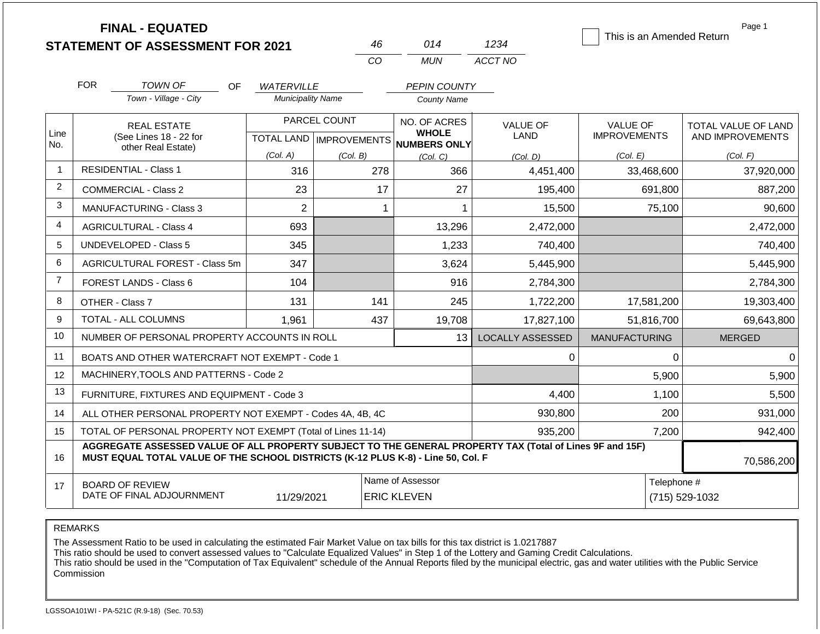|                |                                                                                                                                                                                              | <b>FINAL - EQUATED</b><br><b>STATEMENT OF ASSESSMENT FOR 2021</b> |                          |              | 46  | 014                                                  | 1234                    | This is an Amended Return | Page 1                        |  |
|----------------|----------------------------------------------------------------------------------------------------------------------------------------------------------------------------------------------|-------------------------------------------------------------------|--------------------------|--------------|-----|------------------------------------------------------|-------------------------|---------------------------|-------------------------------|--|
|                |                                                                                                                                                                                              |                                                                   |                          |              | CO  | <b>MUN</b>                                           | ACCT NO                 |                           |                               |  |
|                | <b>FOR</b>                                                                                                                                                                                   | <b>TOWN OF</b><br>OF.                                             | WATERVILLE               |              |     | PEPIN COUNTY                                         |                         |                           |                               |  |
|                |                                                                                                                                                                                              | Town - Village - City                                             | <b>Municipality Name</b> |              |     | <b>County Name</b>                                   |                         |                           |                               |  |
|                |                                                                                                                                                                                              | <b>REAL ESTATE</b>                                                |                          | PARCEL COUNT |     | NO. OF ACRES                                         | <b>VALUE OF</b>         | <b>VALUE OF</b>           | TOTAL VALUE OF LAND           |  |
| Line<br>No.    |                                                                                                                                                                                              | (See Lines 18 - 22 for                                            |                          |              |     | <b>WHOLE</b><br>TOTAL LAND IMPROVEMENTS NUMBERS ONLY | LAND                    | <b>IMPROVEMENTS</b>       | AND IMPROVEMENTS              |  |
|                |                                                                                                                                                                                              | other Real Estate)                                                | (Col. A)                 | (Col. B)     |     | (Col. C)                                             | (Col. D)                | (Col. E)                  | (Col. F)                      |  |
| $\mathbf{1}$   |                                                                                                                                                                                              | <b>RESIDENTIAL - Class 1</b>                                      | 316                      |              | 278 | 366                                                  | 4,451,400               | 33,468,600                | 37,920,000                    |  |
| $\overline{2}$ |                                                                                                                                                                                              | <b>COMMERCIAL - Class 2</b>                                       | 23                       |              | 17  | 27                                                   | 195,400                 | 691,800                   | 887,200                       |  |
| 3              |                                                                                                                                                                                              | <b>MANUFACTURING - Class 3</b>                                    | $\overline{2}$           |              | 1   | 1                                                    | 15,500                  | 75,100                    | 90,600                        |  |
| 4              |                                                                                                                                                                                              | <b>AGRICULTURAL - Class 4</b>                                     | 693                      |              |     | 13,296                                               | 2,472,000               |                           | 2,472,000                     |  |
| 5              |                                                                                                                                                                                              | UNDEVELOPED - Class 5                                             | 345                      |              |     | 1,233                                                | 740,400                 |                           | 740,400                       |  |
| 6              |                                                                                                                                                                                              | AGRICULTURAL FOREST - Class 5m                                    | 347                      |              |     | 3,624                                                | 5,445,900               |                           | 5,445,900                     |  |
| $\overline{7}$ |                                                                                                                                                                                              | <b>FOREST LANDS - Class 6</b>                                     | 104                      |              |     | 916                                                  | 2,784,300               |                           | 2,784,300                     |  |
| 8              |                                                                                                                                                                                              | OTHER - Class 7                                                   | 131                      |              | 141 | 245                                                  | 1,722,200               | 17,581,200                | 19,303,400                    |  |
| 9              |                                                                                                                                                                                              | TOTAL - ALL COLUMNS                                               | 1.961                    |              | 437 | 19,708                                               | 17,827,100              | 51,816,700                | 69,643,800                    |  |
| 10             |                                                                                                                                                                                              | NUMBER OF PERSONAL PROPERTY ACCOUNTS IN ROLL                      |                          |              |     | 13                                                   | <b>LOCALLY ASSESSED</b> | <b>MANUFACTURING</b>      | <b>MERGED</b>                 |  |
| 11             |                                                                                                                                                                                              | BOATS AND OTHER WATERCRAFT NOT EXEMPT - Code 1                    |                          |              |     |                                                      | 0                       | 0                         | $\Omega$                      |  |
| 12             |                                                                                                                                                                                              | MACHINERY, TOOLS AND PATTERNS - Code 2                            |                          |              |     |                                                      |                         | 5,900                     | 5,900                         |  |
| 13             |                                                                                                                                                                                              | FURNITURE, FIXTURES AND EQUIPMENT - Code 3                        |                          |              |     |                                                      | 4,400                   | 1,100                     | 5,500                         |  |
| 14             |                                                                                                                                                                                              | ALL OTHER PERSONAL PROPERTY NOT EXEMPT - Codes 4A, 4B, 4C         |                          |              |     |                                                      | 930,800                 | 200                       | 931,000                       |  |
| 15             |                                                                                                                                                                                              | TOTAL OF PERSONAL PROPERTY NOT EXEMPT (Total of Lines 11-14)      |                          |              |     | 935,200                                              | 7,200                   | 942,400                   |                               |  |
| 16             | AGGREGATE ASSESSED VALUE OF ALL PROPERTY SUBJECT TO THE GENERAL PROPERTY TAX (Total of Lines 9F and 15F)<br>MUST EQUAL TOTAL VALUE OF THE SCHOOL DISTRICTS (K-12 PLUS K-8) - Line 50, Col. F |                                                                   |                          |              |     |                                                      |                         |                           | 70,586,200                    |  |
| 17             | <b>BOARD OF REVIEW</b><br>DATE OF FINAL ADJOURNMENT<br>11/29/2021                                                                                                                            |                                                                   |                          |              |     | Name of Assessor<br><b>ERIC KLEVEN</b>               |                         |                           | Telephone #<br>(715) 529-1032 |  |

The Assessment Ratio to be used in calculating the estimated Fair Market Value on tax bills for this tax district is 1.0217887

This ratio should be used to convert assessed values to "Calculate Equalized Values" in Step 1 of the Lottery and Gaming Credit Calculations.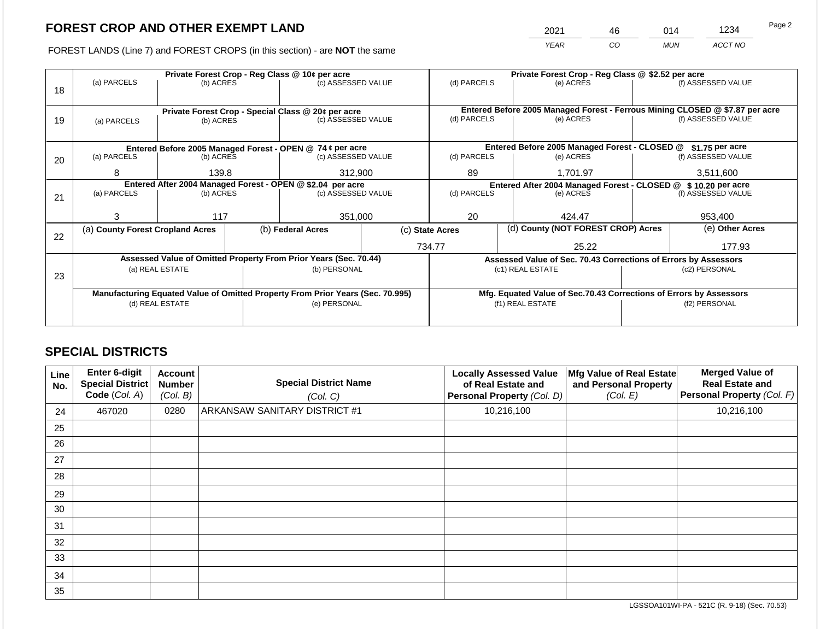2021 46 014 1234

FOREST LANDS (Line 7) and FOREST CROPS (in this section) - are **NOT** the same *YEAR CO MUN ACCT NO*

|    |                                                                                |                 |  | Private Forest Crop - Reg Class @ 10¢ per acre                   |                                               | Private Forest Crop - Reg Class @ \$2.52 per acre |                                                                              |                                                                    |                    |                    |
|----|--------------------------------------------------------------------------------|-----------------|--|------------------------------------------------------------------|-----------------------------------------------|---------------------------------------------------|------------------------------------------------------------------------------|--------------------------------------------------------------------|--------------------|--------------------|
|    | (a) PARCELS                                                                    | (b) ACRES       |  | (c) ASSESSED VALUE                                               |                                               | (d) PARCELS                                       |                                                                              | (e) ACRES                                                          |                    | (f) ASSESSED VALUE |
| 18 |                                                                                |                 |  |                                                                  |                                               |                                                   |                                                                              |                                                                    |                    |                    |
|    |                                                                                |                 |  |                                                                  |                                               |                                                   |                                                                              |                                                                    |                    |                    |
|    |                                                                                |                 |  | Private Forest Crop - Special Class @ 20¢ per acre               |                                               |                                                   | Entered Before 2005 Managed Forest - Ferrous Mining CLOSED @ \$7.87 per acre |                                                                    |                    |                    |
| 19 | (a) PARCELS                                                                    | (b) ACRES       |  | (c) ASSESSED VALUE                                               |                                               | (d) PARCELS                                       |                                                                              | (e) ACRES                                                          |                    | (f) ASSESSED VALUE |
|    |                                                                                |                 |  |                                                                  |                                               |                                                   |                                                                              |                                                                    |                    |                    |
|    | Entered Before 2005 Managed Forest - OPEN @ 74 ¢ per acre                      |                 |  |                                                                  | Entered Before 2005 Managed Forest - CLOSED @ |                                                   | \$1.75 per acre                                                              |                                                                    |                    |                    |
| 20 | (a) PARCELS                                                                    | (b) ACRES       |  | (c) ASSESSED VALUE                                               |                                               | (d) PARCELS                                       |                                                                              | (e) ACRES                                                          |                    | (f) ASSESSED VALUE |
|    |                                                                                |                 |  |                                                                  |                                               |                                                   |                                                                              |                                                                    |                    |                    |
|    | 8                                                                              | 139.8           |  | 312,900                                                          |                                               | 89<br>1,701.97                                    |                                                                              |                                                                    | 3,511,600          |                    |
|    | Entered After 2004 Managed Forest - OPEN @ \$2.04 per acre                     |                 |  |                                                                  |                                               |                                                   | Entered After 2004 Managed Forest - CLOSED @ \$10.20 per acre                |                                                                    |                    |                    |
| 21 | (a) PARCELS                                                                    | (b) ACRES       |  | (c) ASSESSED VALUE                                               |                                               | (d) PARCELS<br>(e) ACRES                          |                                                                              |                                                                    | (f) ASSESSED VALUE |                    |
|    |                                                                                |                 |  |                                                                  |                                               |                                                   |                                                                              |                                                                    |                    |                    |
|    | 3                                                                              | 117             |  | 351,000                                                          |                                               | 20                                                |                                                                              | 424.47                                                             |                    | 953,400            |
|    | (a) County Forest Cropland Acres                                               |                 |  | (b) Federal Acres                                                |                                               | (c) State Acres                                   |                                                                              | (d) County (NOT FOREST CROP) Acres                                 |                    | (e) Other Acres    |
| 22 |                                                                                |                 |  |                                                                  |                                               |                                                   |                                                                              |                                                                    |                    |                    |
|    |                                                                                |                 |  |                                                                  |                                               | 734.77                                            |                                                                              | 25.22                                                              |                    | 177.93             |
|    |                                                                                |                 |  | Assessed Value of Omitted Property From Prior Years (Sec. 70.44) |                                               |                                                   |                                                                              | Assessed Value of Sec. 70.43 Corrections of Errors by Assessors    |                    |                    |
|    |                                                                                | (a) REAL ESTATE |  | (b) PERSONAL                                                     |                                               |                                                   |                                                                              | (c1) REAL ESTATE                                                   |                    | (c2) PERSONAL      |
| 23 |                                                                                |                 |  |                                                                  |                                               |                                                   |                                                                              |                                                                    |                    |                    |
|    | Manufacturing Equated Value of Omitted Property From Prior Years (Sec. 70.995) |                 |  |                                                                  |                                               |                                                   |                                                                              | Mfg. Equated Value of Sec.70.43 Corrections of Errors by Assessors |                    |                    |
|    | (d) REAL ESTATE                                                                |                 |  | (e) PERSONAL                                                     |                                               |                                                   |                                                                              | (f1) REAL ESTATE                                                   | (f2) PERSONAL      |                    |
|    |                                                                                |                 |  |                                                                  |                                               |                                                   |                                                                              |                                                                    |                    |                    |
|    |                                                                                |                 |  |                                                                  |                                               |                                                   |                                                                              |                                                                    |                    |                    |

# **SPECIAL DISTRICTS**

| Line<br>No. | Enter 6-digit<br><b>Special District</b><br>Code (Col. A) | Account<br><b>Number</b><br>(Col. B) | <b>Special District Name</b><br>(Col. C) | <b>Locally Assessed Value</b><br>of Real Estate and<br>Personal Property (Col. D) | Mfg Value of Real Estate<br>and Personal Property<br>(Col. E) | <b>Merged Value of</b><br><b>Real Estate and</b><br>Personal Property (Col. F) |
|-------------|-----------------------------------------------------------|--------------------------------------|------------------------------------------|-----------------------------------------------------------------------------------|---------------------------------------------------------------|--------------------------------------------------------------------------------|
| 24          | 467020                                                    | 0280                                 | <b>ARKANSAW SANITARY DISTRICT #1</b>     | 10,216,100                                                                        |                                                               | 10,216,100                                                                     |
| 25          |                                                           |                                      |                                          |                                                                                   |                                                               |                                                                                |
| 26          |                                                           |                                      |                                          |                                                                                   |                                                               |                                                                                |
| 27          |                                                           |                                      |                                          |                                                                                   |                                                               |                                                                                |
| 28          |                                                           |                                      |                                          |                                                                                   |                                                               |                                                                                |
| 29          |                                                           |                                      |                                          |                                                                                   |                                                               |                                                                                |
| 30          |                                                           |                                      |                                          |                                                                                   |                                                               |                                                                                |
| 31          |                                                           |                                      |                                          |                                                                                   |                                                               |                                                                                |
| 32          |                                                           |                                      |                                          |                                                                                   |                                                               |                                                                                |
| 33          |                                                           |                                      |                                          |                                                                                   |                                                               |                                                                                |
| 34          |                                                           |                                      |                                          |                                                                                   |                                                               |                                                                                |
| 35          |                                                           |                                      |                                          |                                                                                   |                                                               |                                                                                |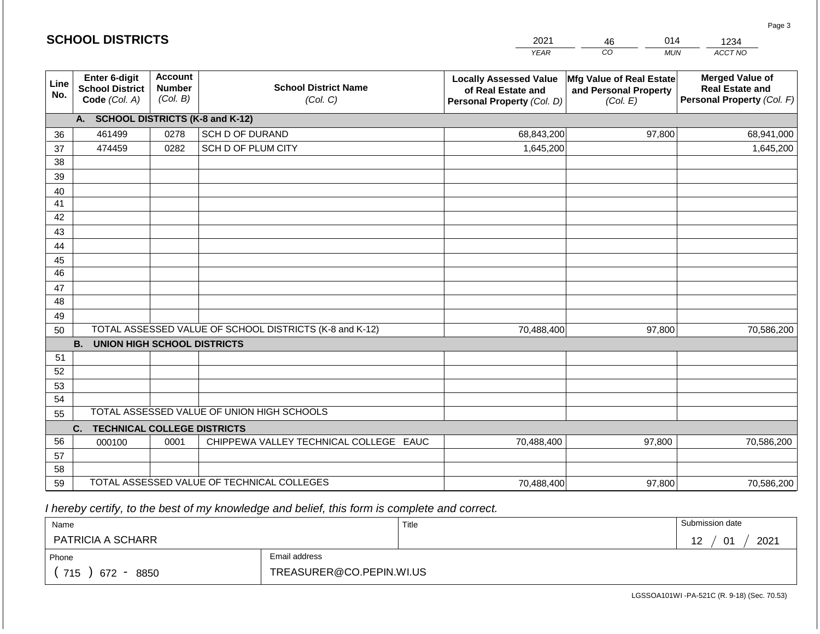|                       |                                                          |                                             |                                                                                                                              | <b>YEAR</b> | $\overline{co}$<br><b>MUN</b>                                 | ACCT NO                                                                        |  |  |  |  |  |
|-----------------------|----------------------------------------------------------|---------------------------------------------|------------------------------------------------------------------------------------------------------------------------------|-------------|---------------------------------------------------------------|--------------------------------------------------------------------------------|--|--|--|--|--|
| Line<br>No.           | Enter 6-digit<br><b>School District</b><br>Code (Col. A) | <b>Account</b><br><b>Number</b><br>(Col. B) | <b>Locally Assessed Value</b><br><b>School District Name</b><br>of Real Estate and<br>(Col. C)<br>Personal Property (Col. D) |             | Mfg Value of Real Estate<br>and Personal Property<br>(Col. E) | <b>Merged Value of</b><br><b>Real Estate and</b><br>Personal Property (Col. F) |  |  |  |  |  |
|                       | <b>SCHOOL DISTRICTS (K-8 and K-12)</b><br>A.             |                                             |                                                                                                                              |             |                                                               |                                                                                |  |  |  |  |  |
| 36                    | 461499                                                   | 0278                                        | SCH D OF DURAND                                                                                                              | 68,843,200  | 97,800                                                        | 68,941,000                                                                     |  |  |  |  |  |
| 37                    | 474459                                                   | 0282                                        | SCH D OF PLUM CITY                                                                                                           | 1,645,200   |                                                               | 1,645,200                                                                      |  |  |  |  |  |
| 38                    |                                                          |                                             |                                                                                                                              |             |                                                               |                                                                                |  |  |  |  |  |
| 39                    |                                                          |                                             |                                                                                                                              |             |                                                               |                                                                                |  |  |  |  |  |
| 40                    |                                                          |                                             |                                                                                                                              |             |                                                               |                                                                                |  |  |  |  |  |
| 41                    |                                                          |                                             |                                                                                                                              |             |                                                               |                                                                                |  |  |  |  |  |
| 42                    |                                                          |                                             |                                                                                                                              |             |                                                               |                                                                                |  |  |  |  |  |
| 43                    |                                                          |                                             |                                                                                                                              |             |                                                               |                                                                                |  |  |  |  |  |
| 44                    |                                                          |                                             |                                                                                                                              |             |                                                               |                                                                                |  |  |  |  |  |
| 45<br>$\overline{46}$ |                                                          |                                             |                                                                                                                              |             |                                                               |                                                                                |  |  |  |  |  |
| 47                    |                                                          |                                             |                                                                                                                              |             |                                                               |                                                                                |  |  |  |  |  |
| 48                    |                                                          |                                             |                                                                                                                              |             |                                                               |                                                                                |  |  |  |  |  |
| 49                    |                                                          |                                             |                                                                                                                              |             |                                                               |                                                                                |  |  |  |  |  |
| 50                    |                                                          |                                             | TOTAL ASSESSED VALUE OF SCHOOL DISTRICTS (K-8 and K-12)                                                                      | 70,488,400  | 97,800                                                        | 70,586,200                                                                     |  |  |  |  |  |
|                       | <b>B.</b><br><b>UNION HIGH SCHOOL DISTRICTS</b>          |                                             |                                                                                                                              |             |                                                               |                                                                                |  |  |  |  |  |
| 51                    |                                                          |                                             |                                                                                                                              |             |                                                               |                                                                                |  |  |  |  |  |
| 52                    |                                                          |                                             |                                                                                                                              |             |                                                               |                                                                                |  |  |  |  |  |
| 53                    |                                                          |                                             |                                                                                                                              |             |                                                               |                                                                                |  |  |  |  |  |
| 54                    |                                                          |                                             |                                                                                                                              |             |                                                               |                                                                                |  |  |  |  |  |
| 55                    |                                                          |                                             | TOTAL ASSESSED VALUE OF UNION HIGH SCHOOLS                                                                                   |             |                                                               |                                                                                |  |  |  |  |  |
|                       | C.<br><b>TECHNICAL COLLEGE DISTRICTS</b>                 |                                             |                                                                                                                              |             |                                                               |                                                                                |  |  |  |  |  |
| 56                    | 000100                                                   | 0001                                        | CHIPPEWA VALLEY TECHNICAL COLLEGE EAUC                                                                                       | 70,488,400  | 97,800                                                        | 70,586,200                                                                     |  |  |  |  |  |
| 57                    |                                                          |                                             |                                                                                                                              |             |                                                               |                                                                                |  |  |  |  |  |
| 58<br>59              |                                                          |                                             | TOTAL ASSESSED VALUE OF TECHNICAL COLLEGES                                                                                   |             |                                                               |                                                                                |  |  |  |  |  |
|                       |                                                          |                                             |                                                                                                                              | 70,488,400  | 97,800                                                        | 70,586,200                                                                     |  |  |  |  |  |

2021

46

014

 *I hereby certify, to the best of my knowledge and belief, this form is complete and correct.*

**SCHOOL DISTRICTS**

| Name                                           |                          | Title | Submission date        |
|------------------------------------------------|--------------------------|-------|------------------------|
| PATRICIA A SCHARR                              |                          |       | 2021<br>01<br><u>_</u> |
| Phone                                          | Email address            |       |                        |
| 715<br>8850<br>672<br>$\overline{\phantom{0}}$ | TREASURER@CO.PEPIN.WI.US |       |                        |

Page 3

1234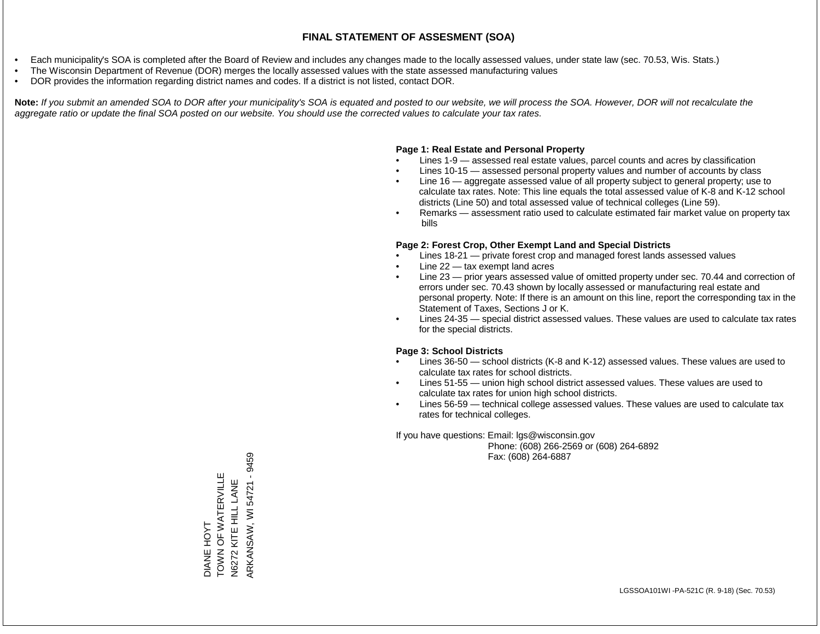- Each municipality's SOA is completed after the Board of Review and includes any changes made to the locally assessed values, under state law (sec. 70.53, Wis. Stats.)
- The Wisconsin Department of Revenue (DOR) merges the locally assessed values with the state assessed manufacturing values
- DOR provides the information regarding district names and codes. If a district is not listed, contact DOR.

Note: If you submit an amended SOA to DOR after your municipality's SOA is equated and posted to our website, we will process the SOA. However, DOR will not recalculate the *aggregate ratio or update the final SOA posted on our website. You should use the corrected values to calculate your tax rates.*

### **Page 1: Real Estate and Personal Property**

- Lines 1-9 assessed real estate values, parcel counts and acres by classification
- Lines 10-15 assessed personal property values and number of accounts by class
- Line 16 aggregate assessed value of all property subject to general property; use to calculate tax rates. Note: This line equals the total assessed value of K-8 and K-12 school districts (Line 50) and total assessed value of technical colleges (Line 59).
- Remarks assessment ratio used to calculate estimated fair market value on property tax bills

### **Page 2: Forest Crop, Other Exempt Land and Special Districts**

- Lines 18-21 private forest crop and managed forest lands assessed values
- Line  $22 -$  tax exempt land acres
- Line 23 prior years assessed value of omitted property under sec. 70.44 and correction of errors under sec. 70.43 shown by locally assessed or manufacturing real estate and personal property. Note: If there is an amount on this line, report the corresponding tax in the Statement of Taxes, Sections J or K.
- Lines 24-35 special district assessed values. These values are used to calculate tax rates for the special districts.

### **Page 3: School Districts**

- Lines 36-50 school districts (K-8 and K-12) assessed values. These values are used to calculate tax rates for school districts.
- Lines 51-55 union high school district assessed values. These values are used to calculate tax rates for union high school districts.
- Lines 56-59 technical college assessed values. These values are used to calculate tax rates for technical colleges.

If you have questions: Email: lgs@wisconsin.gov

 Phone: (608) 266-2569 or (608) 264-6892 Fax: (608) 264-6887

 $-9459$ ARKANSAW, WI 54721 - 9459TOWN OF WATERVILLE DIANE HOYT<br>TOWN OF WATERVILLE KITE HILL LANE N6272 KITE HILL LANE ARKANSAW, WI 54721 N6272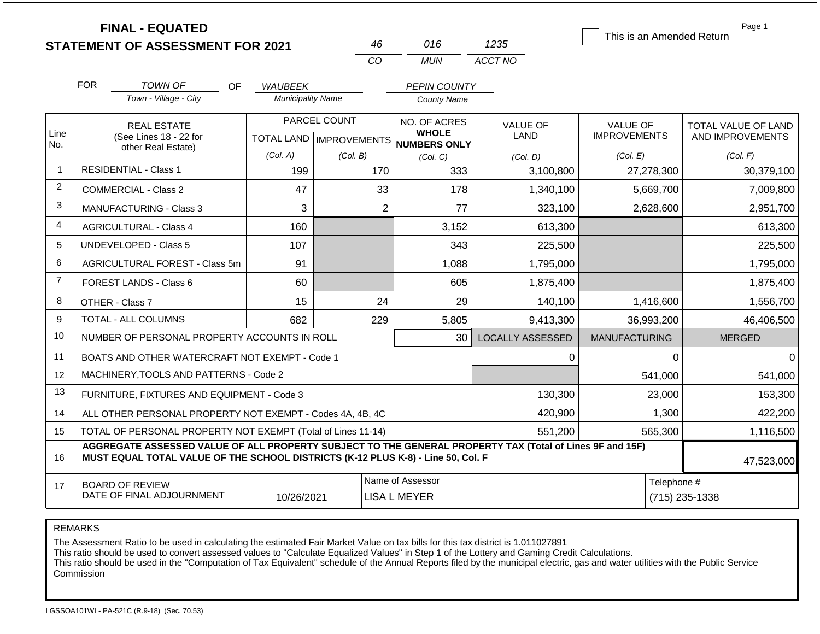|                |                                                                                                                                                                                              | <b>FINAL - EQUATED</b><br><b>STATEMENT OF ASSESSMENT FOR 2021</b> |                          |                | 46<br>CO | 016<br><b>MUN</b>                                   | 1235<br>ACCT NO         | This is an Amended Return | Page 1              |
|----------------|----------------------------------------------------------------------------------------------------------------------------------------------------------------------------------------------|-------------------------------------------------------------------|--------------------------|----------------|----------|-----------------------------------------------------|-------------------------|---------------------------|---------------------|
|                |                                                                                                                                                                                              |                                                                   |                          |                |          |                                                     |                         |                           |                     |
|                | <b>FOR</b>                                                                                                                                                                                   | <b>TOWN OF</b><br>OF.                                             | <b>WAUBEEK</b>           |                |          | <b>PEPIN COUNTY</b>                                 |                         |                           |                     |
|                |                                                                                                                                                                                              | Town - Village - City                                             | <b>Municipality Name</b> |                |          | <b>County Name</b>                                  |                         |                           |                     |
|                |                                                                                                                                                                                              | <b>REAL ESTATE</b>                                                |                          | PARCEL COUNT   |          | NO. OF ACRES                                        | <b>VALUE OF</b>         | <b>VALUE OF</b>           | TOTAL VALUE OF LAND |
| Line<br>No.    |                                                                                                                                                                                              | (See Lines 18 - 22 for                                            |                          |                |          | <b>WHOLE</b><br>TOTAL LAND MPROVEMENTS NUMBERS ONLY | <b>LAND</b>             | <b>IMPROVEMENTS</b>       | AND IMPROVEMENTS    |
|                |                                                                                                                                                                                              | other Real Estate)                                                | (Col. A)                 | (Col. B)       |          | (Col. C)                                            | (Col. D)                | (Col. E)                  | (Col. F)            |
| $\mathbf{1}$   |                                                                                                                                                                                              | <b>RESIDENTIAL - Class 1</b>                                      | 199                      |                | 170      | 333                                                 | 3,100,800               | 27,278,300                | 30,379,100          |
| $\overline{2}$ |                                                                                                                                                                                              | <b>COMMERCIAL - Class 2</b>                                       | 47                       |                | 33       | 178                                                 | 1,340,100               | 5,669,700                 | 7,009,800           |
| 3              | 3<br><b>MANUFACTURING - Class 3</b>                                                                                                                                                          |                                                                   |                          | $\overline{2}$ | 77       | 323,100                                             | 2,628,600               | 2,951,700                 |                     |
| $\overline{4}$ | 160<br><b>AGRICULTURAL - Class 4</b>                                                                                                                                                         |                                                                   |                          |                | 3,152    | 613,300                                             |                         | 613,300                   |                     |
| 5              |                                                                                                                                                                                              | UNDEVELOPED - Class 5                                             | 107                      |                |          | 343                                                 | 225,500                 |                           | 225,500             |
| 6              |                                                                                                                                                                                              | AGRICULTURAL FOREST - Class 5m                                    | 91                       |                |          | 1,088                                               | 1,795,000               |                           | 1,795,000           |
| $\overline{7}$ |                                                                                                                                                                                              | <b>FOREST LANDS - Class 6</b>                                     | 60                       |                |          | 605                                                 | 1,875,400               |                           | 1,875,400           |
| 8              |                                                                                                                                                                                              | OTHER - Class 7                                                   | 15                       |                | 24       | 29                                                  | 140,100                 | 1,416,600                 | 1,556,700           |
| 9              |                                                                                                                                                                                              | TOTAL - ALL COLUMNS                                               | 682                      |                | 229      | 5,805                                               | 9,413,300               | 36,993,200                | 46,406,500          |
| 10             |                                                                                                                                                                                              | NUMBER OF PERSONAL PROPERTY ACCOUNTS IN ROLL                      |                          |                |          | 30                                                  | <b>LOCALLY ASSESSED</b> | <b>MANUFACTURING</b>      | <b>MERGED</b>       |
| 11             |                                                                                                                                                                                              | BOATS AND OTHER WATERCRAFT NOT EXEMPT - Code 1                    |                          |                |          |                                                     | 0                       | 0                         | 0                   |
| 12             |                                                                                                                                                                                              | MACHINERY, TOOLS AND PATTERNS - Code 2                            |                          |                |          |                                                     |                         | 541,000                   | 541,000             |
| 13             |                                                                                                                                                                                              | FURNITURE, FIXTURES AND EQUIPMENT - Code 3                        |                          |                |          |                                                     | 130,300                 | 23,000                    | 153,300             |
| 14             |                                                                                                                                                                                              | ALL OTHER PERSONAL PROPERTY NOT EXEMPT - Codes 4A, 4B, 4C         |                          |                |          |                                                     | 420,900                 | 1,300                     | 422,200             |
| 15             | TOTAL OF PERSONAL PROPERTY NOT EXEMPT (Total of Lines 11-14)                                                                                                                                 |                                                                   |                          |                |          |                                                     | 551,200                 | 565,300                   | 1,116,500           |
| 16             | AGGREGATE ASSESSED VALUE OF ALL PROPERTY SUBJECT TO THE GENERAL PROPERTY TAX (Total of Lines 9F and 15F)<br>MUST EQUAL TOTAL VALUE OF THE SCHOOL DISTRICTS (K-12 PLUS K-8) - Line 50, Col. F |                                                                   |                          |                |          |                                                     |                         |                           | 47,523,000          |
| 17             | Name of Assessor<br>Telephone #<br><b>BOARD OF REVIEW</b><br>DATE OF FINAL ADJOURNMENT<br>10/26/2021<br><b>LISA L MEYER</b>                                                                  |                                                                   |                          |                |          |                                                     |                         |                           | (715) 235-1338      |

The Assessment Ratio to be used in calculating the estimated Fair Market Value on tax bills for this tax district is 1.011027891

This ratio should be used to convert assessed values to "Calculate Equalized Values" in Step 1 of the Lottery and Gaming Credit Calculations.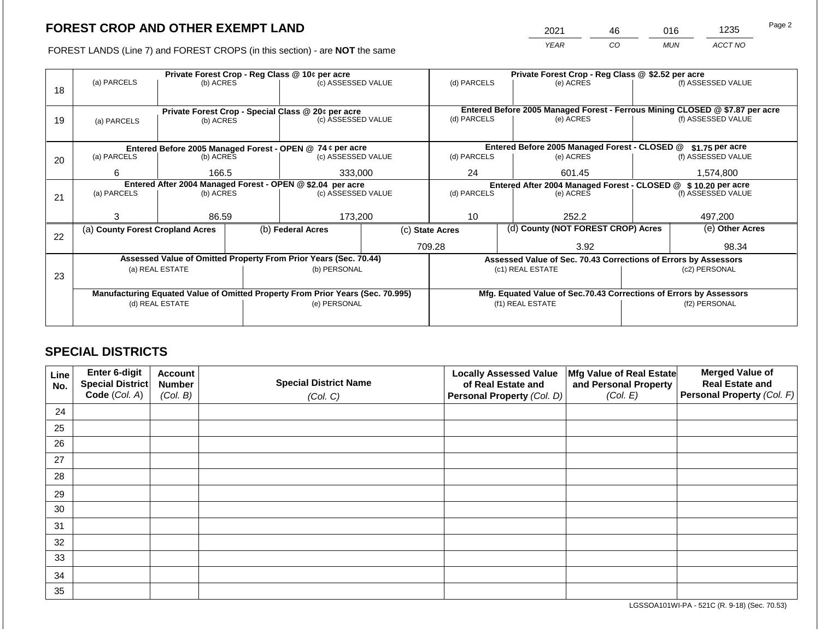2021 46 016 1235

FOREST LANDS (Line 7) and FOREST CROPS (in this section) - are **NOT** the same *YEAR CO MUN ACCT NO*

|    |                                                                                |                 | Private Forest Crop - Reg Class @ \$2.52 per acre |                                                                  |         |                                                                              |  |                                                                    |                 |                    |
|----|--------------------------------------------------------------------------------|-----------------|---------------------------------------------------|------------------------------------------------------------------|---------|------------------------------------------------------------------------------|--|--------------------------------------------------------------------|-----------------|--------------------|
|    | (a) PARCELS                                                                    | (b) ACRES       |                                                   | (c) ASSESSED VALUE                                               |         | (d) PARCELS                                                                  |  | (e) ACRES                                                          |                 | (f) ASSESSED VALUE |
| 18 |                                                                                |                 |                                                   |                                                                  |         |                                                                              |  |                                                                    |                 |                    |
|    |                                                                                |                 |                                                   |                                                                  |         |                                                                              |  |                                                                    |                 |                    |
|    |                                                                                |                 |                                                   | Private Forest Crop - Special Class @ 20¢ per acre               |         | Entered Before 2005 Managed Forest - Ferrous Mining CLOSED @ \$7.87 per acre |  |                                                                    |                 |                    |
| 19 | (a) PARCELS                                                                    | (b) ACRES       |                                                   | (c) ASSESSED VALUE                                               |         | (d) PARCELS                                                                  |  | (e) ACRES                                                          |                 | (f) ASSESSED VALUE |
|    |                                                                                |                 |                                                   |                                                                  |         |                                                                              |  |                                                                    |                 |                    |
|    |                                                                                |                 |                                                   | Entered Before 2005 Managed Forest - OPEN @ 74 ¢ per acre        |         |                                                                              |  | Entered Before 2005 Managed Forest - CLOSED @                      |                 | \$1.75 per acre    |
| 20 | (a) PARCELS                                                                    | (b) ACRES       |                                                   | (c) ASSESSED VALUE                                               |         | (d) PARCELS                                                                  |  | (e) ACRES                                                          |                 | (f) ASSESSED VALUE |
|    |                                                                                |                 |                                                   |                                                                  |         | 24                                                                           |  |                                                                    |                 |                    |
|    | 6                                                                              | 166.5           |                                                   |                                                                  | 333,000 |                                                                              |  | 601.45                                                             |                 | 1,574,800          |
|    | Entered After 2004 Managed Forest - OPEN @ \$2.04 per acre                     |                 |                                                   |                                                                  |         | Entered After 2004 Managed Forest - CLOSED @ \$10.20 per acre                |  |                                                                    |                 |                    |
| 21 | (a) PARCELS                                                                    | (b) ACRES       |                                                   | (c) ASSESSED VALUE                                               |         | (d) PARCELS                                                                  |  | (e) ACRES                                                          |                 | (f) ASSESSED VALUE |
|    |                                                                                |                 |                                                   |                                                                  |         |                                                                              |  |                                                                    |                 |                    |
|    | 3                                                                              | 86.59           |                                                   | 173,200                                                          |         | 10                                                                           |  | 252.2                                                              |                 | 497,200            |
|    | (a) County Forest Cropland Acres                                               |                 |                                                   | (b) Federal Acres                                                |         | (d) County (NOT FOREST CROP) Acres<br>(c) State Acres                        |  |                                                                    | (e) Other Acres |                    |
| 22 |                                                                                |                 |                                                   |                                                                  |         |                                                                              |  |                                                                    |                 |                    |
|    |                                                                                |                 |                                                   |                                                                  |         | 709.28                                                                       |  | 3.92                                                               |                 | 98.34              |
|    |                                                                                |                 |                                                   | Assessed Value of Omitted Property From Prior Years (Sec. 70.44) |         |                                                                              |  | Assessed Value of Sec. 70.43 Corrections of Errors by Assessors    |                 |                    |
|    |                                                                                | (a) REAL ESTATE |                                                   | (b) PERSONAL                                                     |         |                                                                              |  | (c1) REAL ESTATE                                                   |                 | (c2) PERSONAL      |
| 23 |                                                                                |                 |                                                   |                                                                  |         |                                                                              |  |                                                                    |                 |                    |
|    | Manufacturing Equated Value of Omitted Property From Prior Years (Sec. 70.995) |                 |                                                   |                                                                  |         |                                                                              |  | Mfg. Equated Value of Sec.70.43 Corrections of Errors by Assessors |                 |                    |
|    |                                                                                | (d) REAL ESTATE |                                                   | (e) PERSONAL                                                     |         |                                                                              |  | (f1) REAL ESTATE                                                   | (f2) PERSONAL   |                    |
|    |                                                                                |                 |                                                   |                                                                  |         |                                                                              |  |                                                                    |                 |                    |
|    |                                                                                |                 |                                                   |                                                                  |         |                                                                              |  |                                                                    |                 |                    |

# **SPECIAL DISTRICTS**

| Line<br>No. | Enter 6-digit<br>Special District<br>Code (Col. A) | <b>Account</b><br><b>Number</b><br>(Col. B) | <b>Special District Name</b><br>(Col. C) | <b>Locally Assessed Value</b><br>of Real Estate and<br><b>Personal Property (Col. D)</b> | Mfg Value of Real Estate<br>and Personal Property<br>(Col. E) | <b>Merged Value of</b><br><b>Real Estate and</b><br>Personal Property (Col. F) |
|-------------|----------------------------------------------------|---------------------------------------------|------------------------------------------|------------------------------------------------------------------------------------------|---------------------------------------------------------------|--------------------------------------------------------------------------------|
| 24          |                                                    |                                             |                                          |                                                                                          |                                                               |                                                                                |
| 25          |                                                    |                                             |                                          |                                                                                          |                                                               |                                                                                |
| 26          |                                                    |                                             |                                          |                                                                                          |                                                               |                                                                                |
| 27          |                                                    |                                             |                                          |                                                                                          |                                                               |                                                                                |
| 28          |                                                    |                                             |                                          |                                                                                          |                                                               |                                                                                |
| 29          |                                                    |                                             |                                          |                                                                                          |                                                               |                                                                                |
| 30          |                                                    |                                             |                                          |                                                                                          |                                                               |                                                                                |
| 31          |                                                    |                                             |                                          |                                                                                          |                                                               |                                                                                |
| 32          |                                                    |                                             |                                          |                                                                                          |                                                               |                                                                                |
| 33          |                                                    |                                             |                                          |                                                                                          |                                                               |                                                                                |
| 34          |                                                    |                                             |                                          |                                                                                          |                                                               |                                                                                |
| 35          |                                                    |                                             |                                          |                                                                                          |                                                               |                                                                                |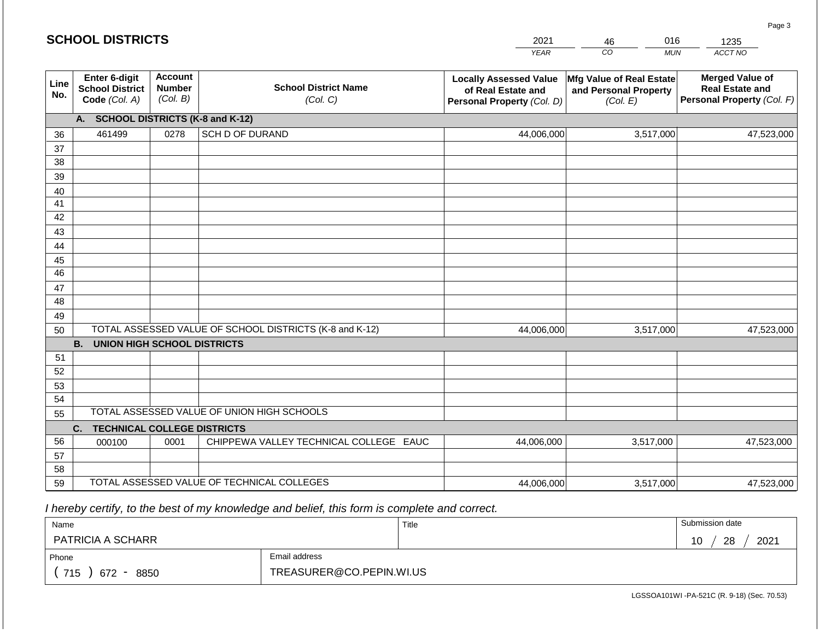|             | <b>SCHOOL DISTRICTS</b>                                  |                                             |                                                         | 2021                                                                              | 016<br>46                                                     | 1235                                                                           |
|-------------|----------------------------------------------------------|---------------------------------------------|---------------------------------------------------------|-----------------------------------------------------------------------------------|---------------------------------------------------------------|--------------------------------------------------------------------------------|
|             |                                                          |                                             |                                                         | <b>YEAR</b>                                                                       | CO<br><b>MUN</b>                                              | ACCT NO                                                                        |
| Line<br>No. | Enter 6-digit<br><b>School District</b><br>Code (Col. A) | <b>Account</b><br><b>Number</b><br>(Col. B) | <b>School District Name</b><br>(Col. C)                 | <b>Locally Assessed Value</b><br>of Real Estate and<br>Personal Property (Col. D) | Mfg Value of Real Estate<br>and Personal Property<br>(Col. E) | <b>Merged Value of</b><br><b>Real Estate and</b><br>Personal Property (Col. F) |
|             | <b>SCHOOL DISTRICTS (K-8 and K-12)</b><br>A.             |                                             |                                                         |                                                                                   |                                                               |                                                                                |
| 36          | 461499                                                   | 0278                                        | <b>SCH D OF DURAND</b>                                  | 44,006,000                                                                        | 3,517,000                                                     | 47,523,000                                                                     |
| 37          |                                                          |                                             |                                                         |                                                                                   |                                                               |                                                                                |
| 38          |                                                          |                                             |                                                         |                                                                                   |                                                               |                                                                                |
| 39          |                                                          |                                             |                                                         |                                                                                   |                                                               |                                                                                |
| 40          |                                                          |                                             |                                                         |                                                                                   |                                                               |                                                                                |
| 41          |                                                          |                                             |                                                         |                                                                                   |                                                               |                                                                                |
| 42          |                                                          |                                             |                                                         |                                                                                   |                                                               |                                                                                |
| 43          |                                                          |                                             |                                                         |                                                                                   |                                                               |                                                                                |
| 44<br>45    |                                                          |                                             |                                                         |                                                                                   |                                                               |                                                                                |
| 46          |                                                          |                                             |                                                         |                                                                                   |                                                               |                                                                                |
| 47          |                                                          |                                             |                                                         |                                                                                   |                                                               |                                                                                |
| 48          |                                                          |                                             |                                                         |                                                                                   |                                                               |                                                                                |
| 49          |                                                          |                                             |                                                         |                                                                                   |                                                               |                                                                                |
| 50          |                                                          |                                             | TOTAL ASSESSED VALUE OF SCHOOL DISTRICTS (K-8 and K-12) | 44,006,000                                                                        | 3,517,000                                                     | 47,523,000                                                                     |
|             | <b>B.</b><br><b>UNION HIGH SCHOOL DISTRICTS</b>          |                                             |                                                         |                                                                                   |                                                               |                                                                                |
| 51          |                                                          |                                             |                                                         |                                                                                   |                                                               |                                                                                |
| 52          |                                                          |                                             |                                                         |                                                                                   |                                                               |                                                                                |
| 53          |                                                          |                                             |                                                         |                                                                                   |                                                               |                                                                                |
| 54          |                                                          |                                             |                                                         |                                                                                   |                                                               |                                                                                |
| 55          |                                                          |                                             | TOTAL ASSESSED VALUE OF UNION HIGH SCHOOLS              |                                                                                   |                                                               |                                                                                |
|             | <b>TECHNICAL COLLEGE DISTRICTS</b><br>C.                 |                                             |                                                         |                                                                                   |                                                               |                                                                                |
| 56          | 000100                                                   | 0001                                        | CHIPPEWA VALLEY TECHNICAL COLLEGE EAUC                  | 44,006,000                                                                        | 3,517,000                                                     | 47,523,000                                                                     |
| 57          |                                                          |                                             |                                                         |                                                                                   |                                                               |                                                                                |
| 58<br>59    |                                                          |                                             | TOTAL ASSESSED VALUE OF TECHNICAL COLLEGES              |                                                                                   |                                                               |                                                                                |
|             |                                                          |                                             |                                                         | 44,006,000                                                                        | 3,517,000                                                     | 47,523,000                                                                     |

 *I hereby certify, to the best of my knowledge and belief, this form is complete and correct.*

| Name                                           |                          | Title | Submission date         |
|------------------------------------------------|--------------------------|-------|-------------------------|
| PATRICIA A SCHARR                              |                          |       | 28<br>2021<br>1 N<br>ັບ |
| Phone                                          | Email address            |       |                         |
| 715<br>8850<br>672<br>$\overline{\phantom{0}}$ | TREASURER@CO.PEPIN.WI.US |       |                         |

Page 3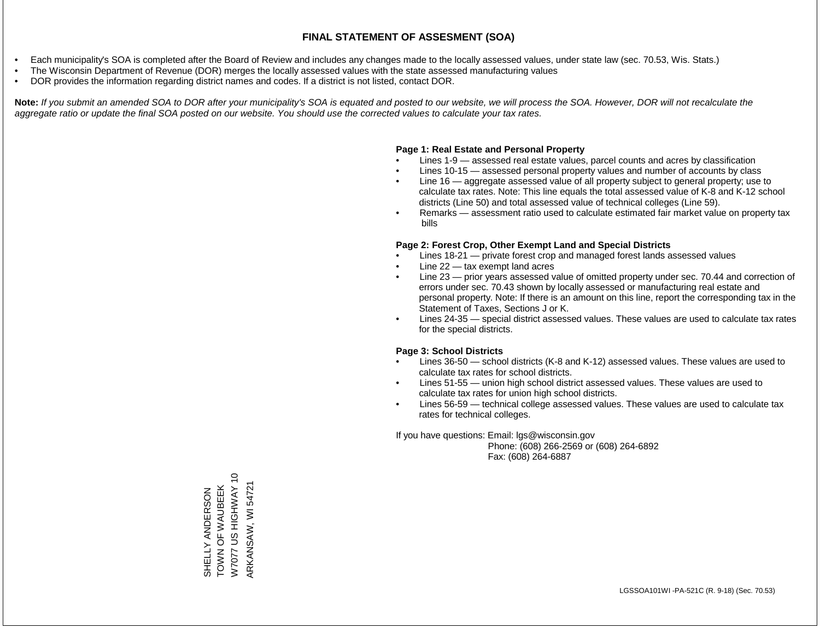- Each municipality's SOA is completed after the Board of Review and includes any changes made to the locally assessed values, under state law (sec. 70.53, Wis. Stats.)
- The Wisconsin Department of Revenue (DOR) merges the locally assessed values with the state assessed manufacturing values
- DOR provides the information regarding district names and codes. If a district is not listed, contact DOR.

Note: If you submit an amended SOA to DOR after your municipality's SOA is equated and posted to our website, we will process the SOA. However, DOR will not recalculate the *aggregate ratio or update the final SOA posted on our website. You should use the corrected values to calculate your tax rates.*

### **Page 1: Real Estate and Personal Property**

- Lines 1-9 assessed real estate values, parcel counts and acres by classification
- Lines 10-15 assessed personal property values and number of accounts by class
- Line 16 aggregate assessed value of all property subject to general property; use to calculate tax rates. Note: This line equals the total assessed value of K-8 and K-12 school districts (Line 50) and total assessed value of technical colleges (Line 59).
- Remarks assessment ratio used to calculate estimated fair market value on property tax bills

### **Page 2: Forest Crop, Other Exempt Land and Special Districts**

- Lines 18-21 private forest crop and managed forest lands assessed values
- Line  $22 -$  tax exempt land acres
- Line 23 prior years assessed value of omitted property under sec. 70.44 and correction of errors under sec. 70.43 shown by locally assessed or manufacturing real estate and personal property. Note: If there is an amount on this line, report the corresponding tax in the Statement of Taxes, Sections J or K.
- Lines 24-35 special district assessed values. These values are used to calculate tax rates for the special districts.

### **Page 3: School Districts**

- Lines 36-50 school districts (K-8 and K-12) assessed values. These values are used to calculate tax rates for school districts.
- Lines 51-55 union high school district assessed values. These values are used to calculate tax rates for union high school districts.
- Lines 56-59 technical college assessed values. These values are used to calculate tax rates for technical colleges.

If you have questions: Email: lgs@wisconsin.gov

 Phone: (608) 266-2569 or (608) 264-6892 Fax: (608) 264-6887

SHELLY ANDERSON<br>TOWN OF WAUBEEK<br>W7077 US HIGHWAY 10 W7077 US HIGHWAY 10 ARKANSAW, WI 54721 TOWN OF WAUBEEK ARKANSAW, WI 54721SHELLY ANDERSON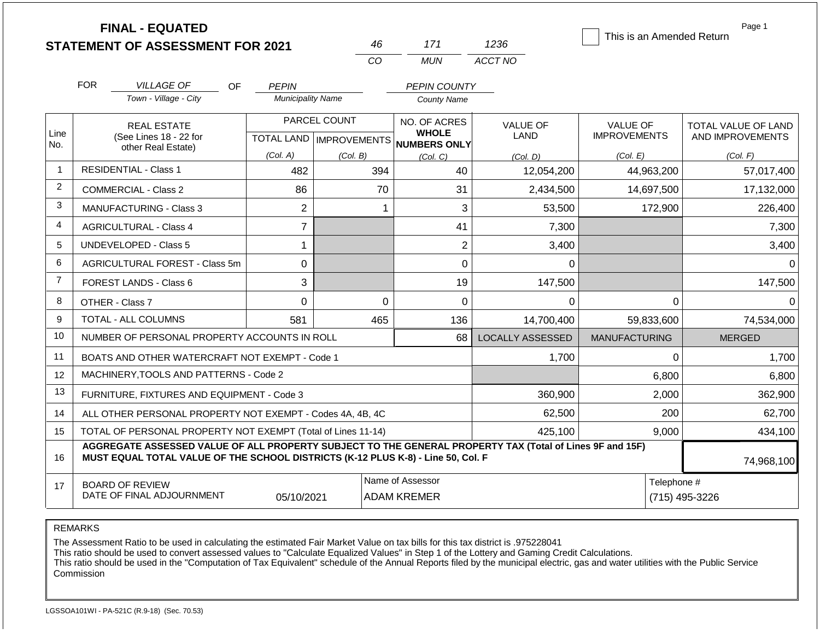|                | <b>FINAL - EQUATED</b>                                                                                                                                                                       |                                  |                           |                                     |                         | This is an Amended Return | Page 1                  |
|----------------|----------------------------------------------------------------------------------------------------------------------------------------------------------------------------------------------|----------------------------------|---------------------------|-------------------------------------|-------------------------|---------------------------|-------------------------|
|                | <b>STATEMENT OF ASSESSMENT FOR 2021</b>                                                                                                                                                      |                                  | 46                        | 171                                 | 1236                    |                           |                         |
|                |                                                                                                                                                                                              |                                  | CO                        | <b>MUN</b>                          | ACCT NO                 |                           |                         |
|                | <b>FOR</b><br><b>VILLAGE OF</b><br><b>OF</b>                                                                                                                                                 | <b>PEPIN</b>                     |                           | PEPIN COUNTY                        |                         |                           |                         |
|                | Town - Village - City                                                                                                                                                                        | <b>Municipality Name</b>         |                           | <b>County Name</b>                  |                         |                           |                         |
|                | <b>REAL ESTATE</b>                                                                                                                                                                           |                                  | PARCEL COUNT              | NO. OF ACRES                        | <b>VALUE OF</b>         | VALUE OF                  | TOTAL VALUE OF LAND     |
| Line<br>No.    | (See Lines 18 - 22 for                                                                                                                                                                       |                                  | TOTAL LAND   IMPROVEMENTS | <b>WHOLE</b><br><b>NUMBERS ONLY</b> | <b>LAND</b>             | <b>IMPROVEMENTS</b>       | <b>AND IMPROVEMENTS</b> |
|                | other Real Estate)                                                                                                                                                                           | (Col. A)                         | (Col. B)                  | (Col, C)                            | (Col, D)                | (Col. E)                  | (Col. F)                |
| $\mathbf 1$    | <b>RESIDENTIAL - Class 1</b>                                                                                                                                                                 | 482                              | 394                       | 40                                  | 12,054,200              | 44,963,200                | 57,017,400              |
| 2              | <b>COMMERCIAL - Class 2</b>                                                                                                                                                                  | 86                               | 70                        | 31                                  | 2,434,500               | 14,697,500                | 17,132,000              |
| 3              | $\overline{2}$<br><b>MANUFACTURING - Class 3</b>                                                                                                                                             |                                  | 1                         | 3                                   | 53,500                  | 172,900                   | 226,400                 |
| 4              | $\overline{7}$<br><b>AGRICULTURAL - Class 4</b>                                                                                                                                              |                                  |                           | 41                                  | 7,300                   |                           | 7,300                   |
| 5              | <b>UNDEVELOPED - Class 5</b>                                                                                                                                                                 | 1                                |                           | $\overline{2}$                      | 3,400                   |                           | 3,400                   |
| 6              | AGRICULTURAL FOREST - Class 5m                                                                                                                                                               | $\Omega$                         |                           | 0                                   | 0                       |                           | $\Omega$                |
| $\overline{7}$ | FOREST LANDS - Class 6                                                                                                                                                                       | 3                                |                           | 19                                  | 147,500                 |                           | 147,500                 |
| 8              | OTHER - Class 7                                                                                                                                                                              | $\overline{0}$                   | $\mathbf 0$               | 0                                   | 0                       | 0                         | 0                       |
| 9              | TOTAL - ALL COLUMNS                                                                                                                                                                          | 581                              | 465                       | 136                                 | 14,700,400              | 59,833,600                | 74,534,000              |
| 10             | NUMBER OF PERSONAL PROPERTY ACCOUNTS IN ROLL                                                                                                                                                 |                                  |                           | 68                                  | <b>LOCALLY ASSESSED</b> | <b>MANUFACTURING</b>      | <b>MERGED</b>           |
| 11             | BOATS AND OTHER WATERCRAFT NOT EXEMPT - Code 1                                                                                                                                               |                                  |                           |                                     | 1,700                   | 0                         | 1,700                   |
| 12             | MACHINERY, TOOLS AND PATTERNS - Code 2                                                                                                                                                       |                                  |                           |                                     |                         | 6,800                     | 6,800                   |
| 13             | FURNITURE, FIXTURES AND EQUIPMENT - Code 3                                                                                                                                                   |                                  |                           |                                     | 360,900                 | 2,000                     | 362,900                 |
| 14             | ALL OTHER PERSONAL PROPERTY NOT EXEMPT - Codes 4A, 4B, 4C                                                                                                                                    |                                  |                           | 62,500                              | 200                     | 62,700                    |                         |
| 15             | TOTAL OF PERSONAL PROPERTY NOT EXEMPT (Total of Lines 11-14)                                                                                                                                 |                                  |                           | 425,100                             | 9,000                   | 434,100                   |                         |
| 16             | AGGREGATE ASSESSED VALUE OF ALL PROPERTY SUBJECT TO THE GENERAL PROPERTY TAX (Total of Lines 9F and 15F)<br>MUST EQUAL TOTAL VALUE OF THE SCHOOL DISTRICTS (K-12 PLUS K-8) - Line 50, Col. F |                                  |                           |                                     |                         |                           | 74,968,100              |
| 17             | <b>BOARD OF REVIEW</b>                                                                                                                                                                       |                                  |                           | Name of Assessor                    |                         | Telephone #               |                         |
|                | DATE OF FINAL ADJOURNMENT                                                                                                                                                                    | 05/10/2021<br><b>ADAM KREMER</b> | (715) 495-3226            |                                     |                         |                           |                         |

The Assessment Ratio to be used in calculating the estimated Fair Market Value on tax bills for this tax district is .975228041

This ratio should be used to convert assessed values to "Calculate Equalized Values" in Step 1 of the Lottery and Gaming Credit Calculations.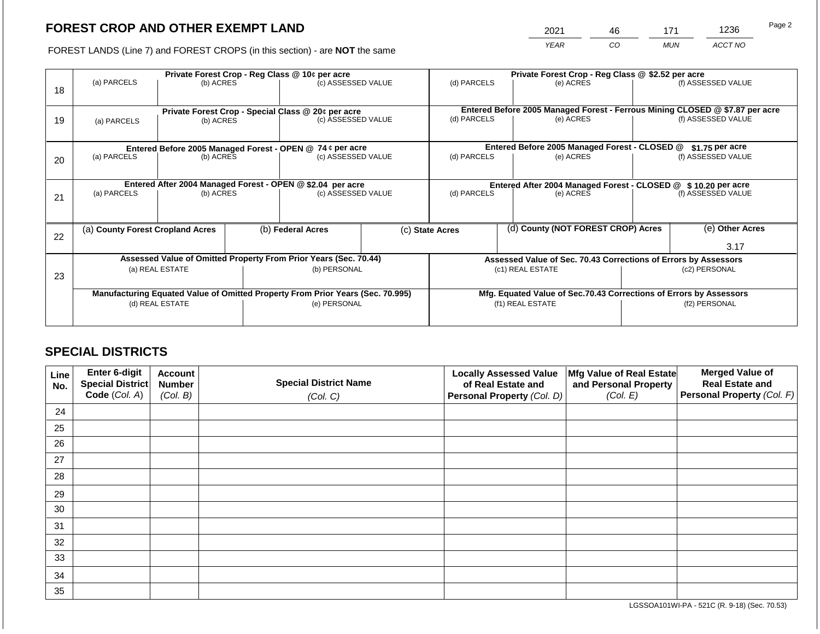2021 46 171 1236

Page 2

FOREST LANDS (Line 7) and FOREST CROPS (in this section) - are **NOT** the same *YEAR CO MUN ACCT NO*

|    |                                                                                |                 |                                                                          | Private Forest Crop - Reg Class @ 10¢ per acre                   |                                                                                                          | Private Forest Crop - Reg Class @ \$2.52 per acre                  |             |                                                                 |               |                    |
|----|--------------------------------------------------------------------------------|-----------------|--------------------------------------------------------------------------|------------------------------------------------------------------|----------------------------------------------------------------------------------------------------------|--------------------------------------------------------------------|-------------|-----------------------------------------------------------------|---------------|--------------------|
| 18 | (a) PARCELS                                                                    | (b) ACRES       |                                                                          |                                                                  | (c) ASSESSED VALUE                                                                                       |                                                                    | (d) PARCELS | (e) ACRES                                                       |               | (f) ASSESSED VALUE |
| 19 | (a) PARCELS                                                                    | (b) ACRES       | Private Forest Crop - Special Class @ 20¢ per acre<br>(c) ASSESSED VALUE |                                                                  | Entered Before 2005 Managed Forest - Ferrous Mining CLOSED @ \$7.87 per acre<br>(d) PARCELS<br>(e) ACRES |                                                                    |             | (f) ASSESSED VALUE                                              |               |                    |
|    |                                                                                |                 |                                                                          |                                                                  |                                                                                                          |                                                                    |             |                                                                 |               |                    |
|    |                                                                                |                 |                                                                          | Entered Before 2005 Managed Forest - OPEN @ 74 ¢ per acre        |                                                                                                          |                                                                    |             | Entered Before 2005 Managed Forest - CLOSED @                   |               | $$1.75$ per acre   |
| 20 | (a) PARCELS                                                                    | (b) ACRES       |                                                                          | (c) ASSESSED VALUE                                               |                                                                                                          | (d) PARCELS                                                        |             | (e) ACRES                                                       |               | (f) ASSESSED VALUE |
|    |                                                                                |                 |                                                                          | Entered After 2004 Managed Forest - OPEN @ \$2.04 per acre       |                                                                                                          | Entered After 2004 Managed Forest - CLOSED @ \$10.20 per acre      |             |                                                                 |               |                    |
| 21 | (a) PARCELS                                                                    | (b) ACRES       |                                                                          | (c) ASSESSED VALUE                                               |                                                                                                          | (d) PARCELS                                                        |             | (e) ACRES                                                       |               | (f) ASSESSED VALUE |
|    |                                                                                |                 |                                                                          |                                                                  |                                                                                                          |                                                                    |             |                                                                 |               |                    |
| 22 | (a) County Forest Cropland Acres                                               |                 |                                                                          | (b) Federal Acres                                                |                                                                                                          | (c) State Acres                                                    |             | (d) County (NOT FOREST CROP) Acres                              |               | (e) Other Acres    |
|    |                                                                                |                 |                                                                          |                                                                  |                                                                                                          |                                                                    |             |                                                                 |               | 3.17               |
|    |                                                                                |                 |                                                                          | Assessed Value of Omitted Property From Prior Years (Sec. 70.44) |                                                                                                          |                                                                    |             | Assessed Value of Sec. 70.43 Corrections of Errors by Assessors |               |                    |
| 23 |                                                                                | (a) REAL ESTATE |                                                                          | (b) PERSONAL                                                     |                                                                                                          |                                                                    |             | (c1) REAL ESTATE                                                |               | (c2) PERSONAL      |
|    |                                                                                |                 |                                                                          |                                                                  |                                                                                                          |                                                                    |             |                                                                 |               |                    |
|    | Manufacturing Equated Value of Omitted Property From Prior Years (Sec. 70.995) |                 |                                                                          |                                                                  |                                                                                                          | Mfg. Equated Value of Sec.70.43 Corrections of Errors by Assessors |             |                                                                 |               |                    |
|    |                                                                                | (d) REAL ESTATE |                                                                          | (e) PERSONAL                                                     |                                                                                                          | (f1) REAL ESTATE                                                   |             |                                                                 | (f2) PERSONAL |                    |
|    |                                                                                |                 |                                                                          |                                                                  |                                                                                                          |                                                                    |             |                                                                 |               |                    |

# **SPECIAL DISTRICTS**

| Line<br>No. | Enter 6-digit<br>Special District<br>Code (Col. A) | <b>Account</b><br><b>Number</b><br>(Col. B) | <b>Special District Name</b><br>(Col. C) | <b>Locally Assessed Value</b><br>of Real Estate and<br><b>Personal Property (Col. D)</b> | Mfg Value of Real Estate<br>and Personal Property<br>(Col. E) | <b>Merged Value of</b><br><b>Real Estate and</b><br>Personal Property (Col. F) |
|-------------|----------------------------------------------------|---------------------------------------------|------------------------------------------|------------------------------------------------------------------------------------------|---------------------------------------------------------------|--------------------------------------------------------------------------------|
| 24          |                                                    |                                             |                                          |                                                                                          |                                                               |                                                                                |
| 25          |                                                    |                                             |                                          |                                                                                          |                                                               |                                                                                |
| 26          |                                                    |                                             |                                          |                                                                                          |                                                               |                                                                                |
| 27          |                                                    |                                             |                                          |                                                                                          |                                                               |                                                                                |
| 28          |                                                    |                                             |                                          |                                                                                          |                                                               |                                                                                |
| 29          |                                                    |                                             |                                          |                                                                                          |                                                               |                                                                                |
| 30          |                                                    |                                             |                                          |                                                                                          |                                                               |                                                                                |
| 31          |                                                    |                                             |                                          |                                                                                          |                                                               |                                                                                |
| 32          |                                                    |                                             |                                          |                                                                                          |                                                               |                                                                                |
| 33          |                                                    |                                             |                                          |                                                                                          |                                                               |                                                                                |
| 34          |                                                    |                                             |                                          |                                                                                          |                                                               |                                                                                |
| 35          |                                                    |                                             |                                          |                                                                                          |                                                               |                                                                                |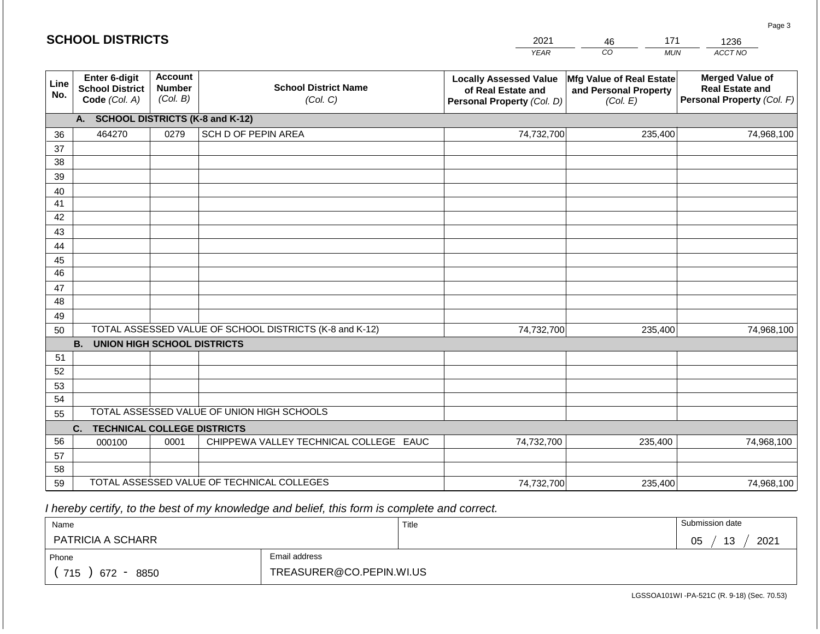|             | <b>SCHOOL DISTRICTS</b>                                  |                                             |                                                         | 2021                                                                              | 171<br>46                                                     | 1236                                                                           |
|-------------|----------------------------------------------------------|---------------------------------------------|---------------------------------------------------------|-----------------------------------------------------------------------------------|---------------------------------------------------------------|--------------------------------------------------------------------------------|
|             |                                                          |                                             |                                                         | <b>YEAR</b>                                                                       | CO<br><b>MUN</b>                                              | ACCT NO                                                                        |
| Line<br>No. | Enter 6-digit<br><b>School District</b><br>Code (Col. A) | <b>Account</b><br><b>Number</b><br>(Col. B) | <b>School District Name</b><br>(Col. C)                 | <b>Locally Assessed Value</b><br>of Real Estate and<br>Personal Property (Col. D) | Mfg Value of Real Estate<br>and Personal Property<br>(Col. E) | <b>Merged Value of</b><br><b>Real Estate and</b><br>Personal Property (Col. F) |
|             | А.                                                       |                                             | <b>SCHOOL DISTRICTS (K-8 and K-12)</b>                  |                                                                                   |                                                               |                                                                                |
| 36          | 464270                                                   | 0279                                        | <b>SCH D OF PEPIN AREA</b>                              | 74,732,700                                                                        | 235,400                                                       | 74,968,100                                                                     |
| 37          |                                                          |                                             |                                                         |                                                                                   |                                                               |                                                                                |
| 38          |                                                          |                                             |                                                         |                                                                                   |                                                               |                                                                                |
| 39          |                                                          |                                             |                                                         |                                                                                   |                                                               |                                                                                |
| 40          |                                                          |                                             |                                                         |                                                                                   |                                                               |                                                                                |
| 41          |                                                          |                                             |                                                         |                                                                                   |                                                               |                                                                                |
| 42          |                                                          |                                             |                                                         |                                                                                   |                                                               |                                                                                |
| 43          |                                                          |                                             |                                                         |                                                                                   |                                                               |                                                                                |
| 44          |                                                          |                                             |                                                         |                                                                                   |                                                               |                                                                                |
| 45<br>46    |                                                          |                                             |                                                         |                                                                                   |                                                               |                                                                                |
| 47          |                                                          |                                             |                                                         |                                                                                   |                                                               |                                                                                |
| 48          |                                                          |                                             |                                                         |                                                                                   |                                                               |                                                                                |
| 49          |                                                          |                                             |                                                         |                                                                                   |                                                               |                                                                                |
| 50          |                                                          |                                             | TOTAL ASSESSED VALUE OF SCHOOL DISTRICTS (K-8 and K-12) | 74,732,700                                                                        | 235,400                                                       | 74,968,100                                                                     |
|             | <b>UNION HIGH SCHOOL DISTRICTS</b><br><b>B.</b>          |                                             |                                                         |                                                                                   |                                                               |                                                                                |
| 51          |                                                          |                                             |                                                         |                                                                                   |                                                               |                                                                                |
| 52          |                                                          |                                             |                                                         |                                                                                   |                                                               |                                                                                |
| 53          |                                                          |                                             |                                                         |                                                                                   |                                                               |                                                                                |
| 54          |                                                          |                                             |                                                         |                                                                                   |                                                               |                                                                                |
| 55          |                                                          |                                             | TOTAL ASSESSED VALUE OF UNION HIGH SCHOOLS              |                                                                                   |                                                               |                                                                                |
|             | <b>TECHNICAL COLLEGE DISTRICTS</b><br>C.                 |                                             |                                                         |                                                                                   |                                                               |                                                                                |
| 56          | 000100                                                   | 0001                                        | CHIPPEWA VALLEY TECHNICAL COLLEGE EAUC                  | 74,732,700                                                                        | 235,400                                                       | 74,968,100                                                                     |
| 57          |                                                          |                                             |                                                         |                                                                                   |                                                               |                                                                                |
| 58          |                                                          |                                             |                                                         |                                                                                   |                                                               |                                                                                |
| 59          |                                                          |                                             | TOTAL ASSESSED VALUE OF TECHNICAL COLLEGES              | 74,732,700                                                                        | 235,400                                                       | 74,968,100                                                                     |

 *I hereby certify, to the best of my knowledge and belief, this form is complete and correct.*

| Name                                           |                          | Title | Submission date  |
|------------------------------------------------|--------------------------|-------|------------------|
| PATRICIA A SCHARR                              |                          |       | 13<br>2021<br>05 |
| Phone                                          | Email address            |       |                  |
| 715<br>672<br>8850<br>$\overline{\phantom{0}}$ | TREASURER@CO.PEPIN.WI.US |       |                  |

LGSSOA101WI -PA-521C (R. 9-18) (Sec. 70.53)

Page 3

| <b>SCHOOL DISTRICTS</b> |  |
|-------------------------|--|
|-------------------------|--|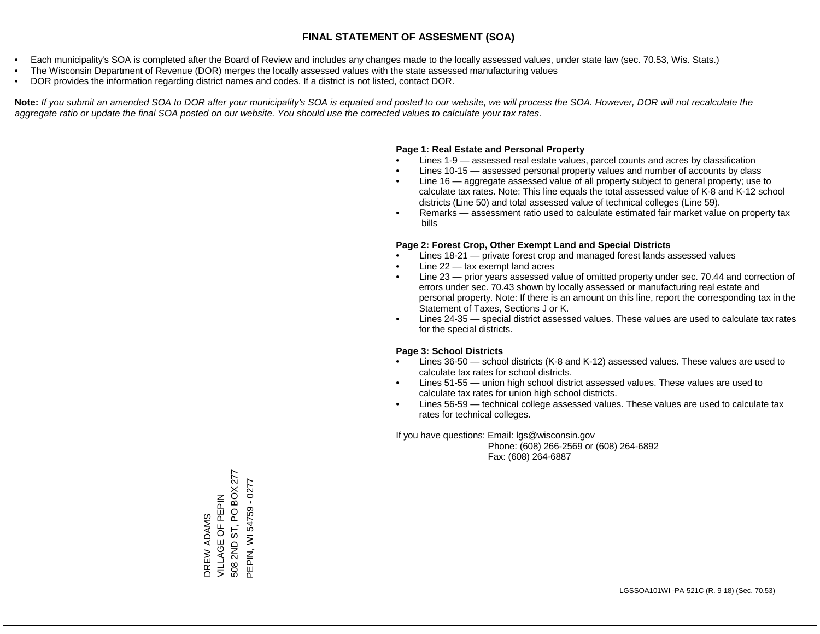- Each municipality's SOA is completed after the Board of Review and includes any changes made to the locally assessed values, under state law (sec. 70.53, Wis. Stats.)
- The Wisconsin Department of Revenue (DOR) merges the locally assessed values with the state assessed manufacturing values
- DOR provides the information regarding district names and codes. If a district is not listed, contact DOR.

Note: If you submit an amended SOA to DOR after your municipality's SOA is equated and posted to our website, we will process the SOA. However, DOR will not recalculate the *aggregate ratio or update the final SOA posted on our website. You should use the corrected values to calculate your tax rates.*

### **Page 1: Real Estate and Personal Property**

- Lines 1-9 assessed real estate values, parcel counts and acres by classification
- Lines 10-15 assessed personal property values and number of accounts by class
- Line 16 aggregate assessed value of all property subject to general property; use to calculate tax rates. Note: This line equals the total assessed value of K-8 and K-12 school districts (Line 50) and total assessed value of technical colleges (Line 59).
- Remarks assessment ratio used to calculate estimated fair market value on property tax bills

### **Page 2: Forest Crop, Other Exempt Land and Special Districts**

- Lines 18-21 private forest crop and managed forest lands assessed values
- Line  $22 -$  tax exempt land acres
- Line 23 prior years assessed value of omitted property under sec. 70.44 and correction of errors under sec. 70.43 shown by locally assessed or manufacturing real estate and personal property. Note: If there is an amount on this line, report the corresponding tax in the Statement of Taxes, Sections J or K.
- Lines 24-35 special district assessed values. These values are used to calculate tax rates for the special districts.

### **Page 3: School Districts**

- Lines 36-50 school districts (K-8 and K-12) assessed values. These values are used to calculate tax rates for school districts.
- Lines 51-55 union high school district assessed values. These values are used to calculate tax rates for union high school districts.
- Lines 56-59 technical college assessed values. These values are used to calculate tax rates for technical colleges.

If you have questions: Email: lgs@wisconsin.gov

 Phone: (608) 266-2569 or (608) 264-6892 Fax: (608) 264-6887

ST, PO BOX 277 508 2ND ST, PO BOX 277 PEPIN, WI 54759 - 0277 PEPIN, WI 54759 - 0277DREW ADAMS<br>VILLAGE OF PEPIN VILLAGE OF PEPIN 508 2ND S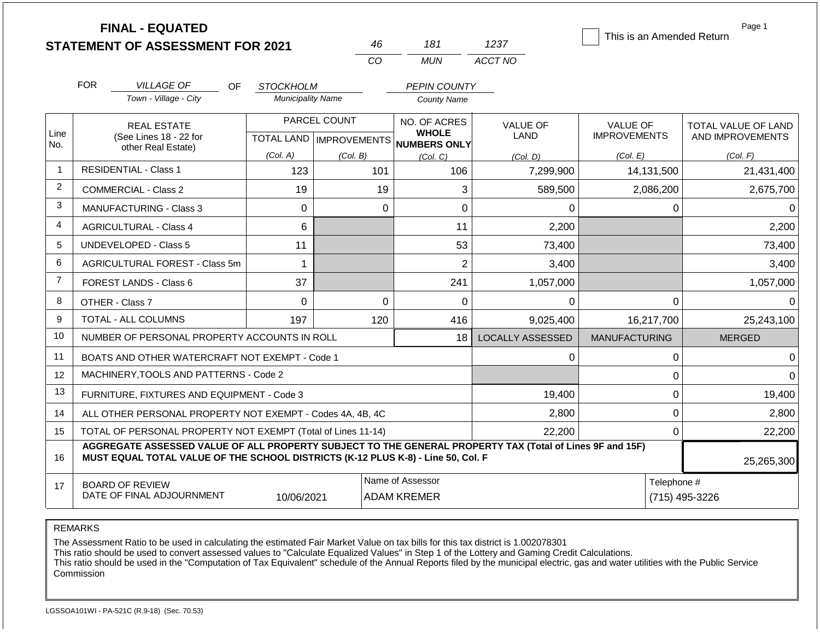|                |            | <b>FINAL - EQUATED</b><br><b>STATEMENT OF ASSESSMENT FOR 2021</b>                                                                                                                            |                           |              | 46          | 181                                    | 1237                    | This is an Amended Return              | Page 1                                         |
|----------------|------------|----------------------------------------------------------------------------------------------------------------------------------------------------------------------------------------------|---------------------------|--------------|-------------|----------------------------------------|-------------------------|----------------------------------------|------------------------------------------------|
|                |            |                                                                                                                                                                                              |                           |              | CO.         | <b>MUN</b>                             | ACCT NO                 |                                        |                                                |
|                | <b>FOR</b> | <b>VILLAGE OF</b><br>OF.                                                                                                                                                                     | <b>STOCKHOLM</b>          |              |             | <b>PEPIN COUNTY</b>                    |                         |                                        |                                                |
|                |            | Town - Village - City                                                                                                                                                                        | <b>Municipality Name</b>  |              |             | <b>County Name</b>                     |                         |                                        |                                                |
| Line           |            | <b>REAL ESTATE</b><br>(See Lines 18 - 22 for                                                                                                                                                 | TOTAL LAND   IMPROVEMENTS | PARCEL COUNT |             | NO. OF ACRES<br><b>WHOLE</b>           | <b>VALUE OF</b><br>LAND | <b>VALUE OF</b><br><b>IMPROVEMENTS</b> | <b>TOTAL VALUE OF LAND</b><br>AND IMPROVEMENTS |
| No.            |            | other Real Estate)                                                                                                                                                                           | (Col. A)                  | (Col. B)     |             | <b>NUMBERS ONLY</b><br>(Col, C)        | (Col. D)                | (Col. E)                               | (Col. F)                                       |
| $\mathbf 1$    |            | <b>RESIDENTIAL - Class 1</b>                                                                                                                                                                 | 123                       |              | 101         | 106                                    | 7,299,900               | 14,131,500                             | 21,431,400                                     |
| $\overline{2}$ |            | <b>COMMERCIAL - Class 2</b>                                                                                                                                                                  | 19                        |              | 19          | 3                                      | 589,500                 | 2,086,200                              | 2,675,700                                      |
| 3              |            | <b>MANUFACTURING - Class 3</b>                                                                                                                                                               | $\Omega$                  |              | $\Omega$    | 0                                      | 0                       |                                        | $\Omega$<br>$\Omega$                           |
| 4              |            | <b>AGRICULTURAL - Class 4</b>                                                                                                                                                                | 6                         |              |             | 11                                     | 2,200                   |                                        | 2,200                                          |
| 5              |            | <b>UNDEVELOPED - Class 5</b>                                                                                                                                                                 | 11                        |              |             | 53                                     | 73,400                  |                                        | 73,400                                         |
| 6              |            | AGRICULTURAL FOREST - Class 5m                                                                                                                                                               | $\mathbf 1$               |              |             | $\overline{2}$                         | 3.400                   |                                        | 3,400                                          |
| $\overline{7}$ |            | FOREST LANDS - Class 6                                                                                                                                                                       | 37                        |              |             | 241                                    | 1,057,000               |                                        | 1,057,000                                      |
| 8              |            | OTHER - Class 7                                                                                                                                                                              | $\mathbf 0$               |              | $\mathbf 0$ | 0                                      | 0                       |                                        | $\mathbf 0$<br>$\Omega$                        |
| 9              |            | <b>TOTAL - ALL COLUMNS</b>                                                                                                                                                                   | 197                       |              | 120         | 416                                    | 9,025,400               | 16,217,700                             | 25,243,100                                     |
| 10             |            | NUMBER OF PERSONAL PROPERTY ACCOUNTS IN ROLL                                                                                                                                                 |                           |              |             | 18 <sup>1</sup>                        | LOCALLY ASSESSED        | <b>MANUFACTURING</b>                   | <b>MERGED</b>                                  |
| 11             |            | BOATS AND OTHER WATERCRAFT NOT EXEMPT - Code 1                                                                                                                                               |                           |              |             |                                        | $\Omega$                |                                        | $\pmb{0}$<br>$\Omega$                          |
| 12             |            | MACHINERY, TOOLS AND PATTERNS - Code 2                                                                                                                                                       |                           |              |             |                                        |                         |                                        | $\pmb{0}$<br>$\Omega$                          |
| 13             |            | FURNITURE, FIXTURES AND EQUIPMENT - Code 3                                                                                                                                                   |                           |              |             |                                        | 19,400                  |                                        | 0<br>19,400                                    |
| 14             |            | ALL OTHER PERSONAL PROPERTY NOT EXEMPT - Codes 4A, 4B, 4C                                                                                                                                    |                           |              |             |                                        | 2,800                   |                                        | $\mathbf 0$<br>2,800                           |
| 15             |            | TOTAL OF PERSONAL PROPERTY NOT EXEMPT (Total of Lines 11-14)                                                                                                                                 |                           |              |             |                                        | 22.200                  |                                        | $\Omega$<br>22,200                             |
| 16             |            | AGGREGATE ASSESSED VALUE OF ALL PROPERTY SUBJECT TO THE GENERAL PROPERTY TAX (Total of Lines 9F and 15F)<br>MUST EQUAL TOTAL VALUE OF THE SCHOOL DISTRICTS (K-12 PLUS K-8) - Line 50, Col. F |                           |              |             |                                        |                         |                                        | 25,265,300                                     |
| 17             |            | <b>BOARD OF REVIEW</b><br>DATE OF FINAL ADJOURNMENT                                                                                                                                          | 10/06/2021                |              |             | Name of Assessor<br><b>ADAM KREMER</b> |                         |                                        | Telephone #<br>(715) 495-3226                  |

The Assessment Ratio to be used in calculating the estimated Fair Market Value on tax bills for this tax district is 1.002078301

This ratio should be used to convert assessed values to "Calculate Equalized Values" in Step 1 of the Lottery and Gaming Credit Calculations.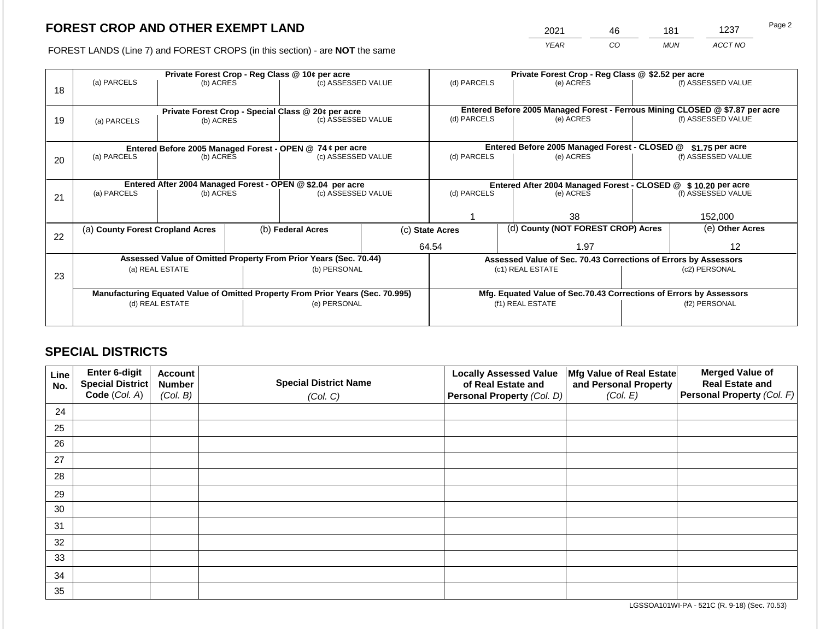2021 46 181 1237

FOREST LANDS (Line 7) and FOREST CROPS (in this section) - are **NOT** the same *YEAR CO MUN ACCT NO*

|    |                                                                                |                                                                                | Private Forest Crop - Reg Class @ 10¢ per acre |                                                                  | Private Forest Crop - Reg Class @ \$2.52 per acre |                                                               |                  |                                               |                                                                    |                                                                              |
|----|--------------------------------------------------------------------------------|--------------------------------------------------------------------------------|------------------------------------------------|------------------------------------------------------------------|---------------------------------------------------|---------------------------------------------------------------|------------------|-----------------------------------------------|--------------------------------------------------------------------|------------------------------------------------------------------------------|
| 18 | (a) PARCELS                                                                    | (b) ACRES                                                                      |                                                | (c) ASSESSED VALUE                                               |                                                   | (d) PARCELS                                                   |                  | (e) ACRES                                     |                                                                    | (f) ASSESSED VALUE                                                           |
|    |                                                                                |                                                                                |                                                |                                                                  |                                                   |                                                               |                  |                                               |                                                                    |                                                                              |
|    |                                                                                | Private Forest Crop - Special Class @ 20¢ per acre<br>(b) ACRES<br>(a) PARCELS |                                                |                                                                  |                                                   |                                                               |                  |                                               |                                                                    | Entered Before 2005 Managed Forest - Ferrous Mining CLOSED @ \$7.87 per acre |
| 19 |                                                                                |                                                                                |                                                | (c) ASSESSED VALUE                                               |                                                   | (d) PARCELS                                                   |                  | (e) ACRES                                     |                                                                    | (f) ASSESSED VALUE                                                           |
|    |                                                                                |                                                                                |                                                |                                                                  |                                                   |                                                               |                  |                                               |                                                                    |                                                                              |
|    |                                                                                |                                                                                |                                                | Entered Before 2005 Managed Forest - OPEN @ 74 ¢ per acre        |                                                   |                                                               |                  | Entered Before 2005 Managed Forest - CLOSED @ |                                                                    | \$1.75 per acre                                                              |
| 20 | (a) PARCELS                                                                    | (b) ACRES                                                                      |                                                | (c) ASSESSED VALUE                                               |                                                   | (d) PARCELS                                                   |                  | (e) ACRES                                     |                                                                    | (f) ASSESSED VALUE                                                           |
|    |                                                                                |                                                                                |                                                |                                                                  |                                                   |                                                               |                  |                                               |                                                                    |                                                                              |
|    |                                                                                |                                                                                |                                                | Entered After 2004 Managed Forest - OPEN @ \$2.04 per acre       |                                                   | Entered After 2004 Managed Forest - CLOSED @ \$10.20 per acre |                  |                                               |                                                                    |                                                                              |
| 21 | (a) PARCELS                                                                    | (b) ACRES                                                                      |                                                | (c) ASSESSED VALUE                                               |                                                   | (d) PARCELS                                                   |                  | (e) ACRES                                     |                                                                    | (f) ASSESSED VALUE                                                           |
|    |                                                                                |                                                                                |                                                |                                                                  |                                                   |                                                               |                  |                                               |                                                                    |                                                                              |
|    |                                                                                |                                                                                |                                                |                                                                  |                                                   |                                                               |                  | 38                                            |                                                                    | 152,000                                                                      |
| 22 | (a) County Forest Cropland Acres                                               |                                                                                |                                                | (b) Federal Acres                                                |                                                   | (c) State Acres                                               |                  | (d) County (NOT FOREST CROP) Acres            |                                                                    | (e) Other Acres                                                              |
|    |                                                                                |                                                                                |                                                |                                                                  |                                                   |                                                               |                  | 1.97                                          |                                                                    | 12                                                                           |
|    |                                                                                |                                                                                |                                                |                                                                  |                                                   | 64.54                                                         |                  |                                               |                                                                    |                                                                              |
|    |                                                                                |                                                                                |                                                | Assessed Value of Omitted Property From Prior Years (Sec. 70.44) |                                                   |                                                               |                  |                                               | Assessed Value of Sec. 70.43 Corrections of Errors by Assessors    |                                                                              |
| 23 | (a) REAL ESTATE                                                                |                                                                                | (b) PERSONAL                                   |                                                                  |                                                   |                                                               | (c1) REAL ESTATE |                                               | (c2) PERSONAL                                                      |                                                                              |
|    |                                                                                |                                                                                |                                                |                                                                  |                                                   |                                                               |                  |                                               |                                                                    |                                                                              |
|    | Manufacturing Equated Value of Omitted Property From Prior Years (Sec. 70.995) |                                                                                |                                                |                                                                  |                                                   |                                                               |                  |                                               | Mfg. Equated Value of Sec.70.43 Corrections of Errors by Assessors |                                                                              |
|    |                                                                                | (d) REAL ESTATE                                                                |                                                | (e) PERSONAL                                                     |                                                   |                                                               |                  | (f1) REAL ESTATE                              |                                                                    | (f2) PERSONAL                                                                |
|    |                                                                                |                                                                                |                                                |                                                                  |                                                   |                                                               |                  |                                               |                                                                    |                                                                              |
|    |                                                                                |                                                                                |                                                |                                                                  |                                                   |                                                               |                  |                                               |                                                                    |                                                                              |

# **SPECIAL DISTRICTS**

| Line<br>No. | Enter 6-digit<br><b>Special District</b><br>Code (Col. A) | <b>Account</b><br><b>Number</b><br>(Col. B) | <b>Special District Name</b><br>(Col. C) | <b>Locally Assessed Value</b><br>of Real Estate and<br>Personal Property (Col. D) | Mfg Value of Real Estate<br>and Personal Property<br>(Col. E) | <b>Merged Value of</b><br><b>Real Estate and</b><br>Personal Property (Col. F) |
|-------------|-----------------------------------------------------------|---------------------------------------------|------------------------------------------|-----------------------------------------------------------------------------------|---------------------------------------------------------------|--------------------------------------------------------------------------------|
| 24          |                                                           |                                             |                                          |                                                                                   |                                                               |                                                                                |
|             |                                                           |                                             |                                          |                                                                                   |                                                               |                                                                                |
| 25          |                                                           |                                             |                                          |                                                                                   |                                                               |                                                                                |
| 26          |                                                           |                                             |                                          |                                                                                   |                                                               |                                                                                |
| 27          |                                                           |                                             |                                          |                                                                                   |                                                               |                                                                                |
| 28          |                                                           |                                             |                                          |                                                                                   |                                                               |                                                                                |
| 29          |                                                           |                                             |                                          |                                                                                   |                                                               |                                                                                |
| 30          |                                                           |                                             |                                          |                                                                                   |                                                               |                                                                                |
| 31          |                                                           |                                             |                                          |                                                                                   |                                                               |                                                                                |
| 32          |                                                           |                                             |                                          |                                                                                   |                                                               |                                                                                |
| 33          |                                                           |                                             |                                          |                                                                                   |                                                               |                                                                                |
| 34          |                                                           |                                             |                                          |                                                                                   |                                                               |                                                                                |
| 35          |                                                           |                                             |                                          |                                                                                   |                                                               |                                                                                |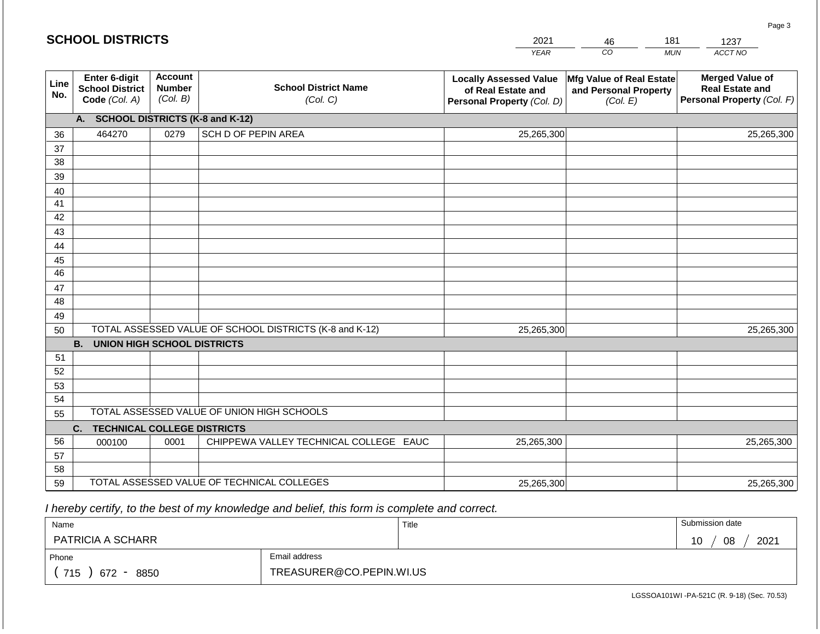|             | <b>SCHOOL DISTRICTS</b>                                  |                                             |                                                         | 2021                                                                              | 181<br>46<br>1237                                             |                                                                                |  |
|-------------|----------------------------------------------------------|---------------------------------------------|---------------------------------------------------------|-----------------------------------------------------------------------------------|---------------------------------------------------------------|--------------------------------------------------------------------------------|--|
|             |                                                          |                                             |                                                         | <b>YEAR</b>                                                                       | CO                                                            | ACCT NO<br><b>MUN</b>                                                          |  |
| Line<br>No. | Enter 6-digit<br><b>School District</b><br>Code (Col. A) | <b>Account</b><br><b>Number</b><br>(Col. B) | <b>School District Name</b><br>(Col. C)                 | <b>Locally Assessed Value</b><br>of Real Estate and<br>Personal Property (Col. D) | Mfg Value of Real Estate<br>and Personal Property<br>(Col. E) | <b>Merged Value of</b><br><b>Real Estate and</b><br>Personal Property (Col. F) |  |
|             | <b>SCHOOL DISTRICTS (K-8 and K-12)</b><br><b>A.</b>      |                                             |                                                         |                                                                                   |                                                               |                                                                                |  |
| 36          | 464270                                                   | 0279                                        | SCH D OF PEPIN AREA                                     | 25,265,300                                                                        |                                                               | 25,265,300                                                                     |  |
| 37          |                                                          |                                             |                                                         |                                                                                   |                                                               |                                                                                |  |
| 38          |                                                          |                                             |                                                         |                                                                                   |                                                               |                                                                                |  |
| 39          |                                                          |                                             |                                                         |                                                                                   |                                                               |                                                                                |  |
| 40          |                                                          |                                             |                                                         |                                                                                   |                                                               |                                                                                |  |
| 41<br>42    |                                                          |                                             |                                                         |                                                                                   |                                                               |                                                                                |  |
| 43          |                                                          |                                             |                                                         |                                                                                   |                                                               |                                                                                |  |
| 44          |                                                          |                                             |                                                         |                                                                                   |                                                               |                                                                                |  |
| 45          |                                                          |                                             |                                                         |                                                                                   |                                                               |                                                                                |  |
| 46          |                                                          |                                             |                                                         |                                                                                   |                                                               |                                                                                |  |
| 47          |                                                          |                                             |                                                         |                                                                                   |                                                               |                                                                                |  |
| 48          |                                                          |                                             |                                                         |                                                                                   |                                                               |                                                                                |  |
| 49          |                                                          |                                             |                                                         |                                                                                   |                                                               |                                                                                |  |
| 50          |                                                          |                                             | TOTAL ASSESSED VALUE OF SCHOOL DISTRICTS (K-8 and K-12) | 25,265,300                                                                        |                                                               | 25,265,300                                                                     |  |
|             | <b>B. UNION HIGH SCHOOL DISTRICTS</b>                    |                                             |                                                         |                                                                                   |                                                               |                                                                                |  |
| 51          |                                                          |                                             |                                                         |                                                                                   |                                                               |                                                                                |  |
| 52          |                                                          |                                             |                                                         |                                                                                   |                                                               |                                                                                |  |
| 53          |                                                          |                                             |                                                         |                                                                                   |                                                               |                                                                                |  |
| 54          |                                                          |                                             | TOTAL ASSESSED VALUE OF UNION HIGH SCHOOLS              |                                                                                   |                                                               |                                                                                |  |
| 55          |                                                          |                                             |                                                         |                                                                                   |                                                               |                                                                                |  |
| 56          | <b>TECHNICAL COLLEGE DISTRICTS</b><br>C.                 | 0001                                        | CHIPPEWA VALLEY TECHNICAL COLLEGE EAUC                  | 25,265,300                                                                        |                                                               | 25,265,300                                                                     |  |
| 57          | 000100                                                   |                                             |                                                         |                                                                                   |                                                               |                                                                                |  |
| 58          |                                                          |                                             |                                                         |                                                                                   |                                                               |                                                                                |  |
| 59          |                                                          |                                             | TOTAL ASSESSED VALUE OF TECHNICAL COLLEGES              | 25,265,300                                                                        |                                                               | 25,265,300                                                                     |  |

 *I hereby certify, to the best of my knowledge and belief, this form is complete and correct.*

| Name                                           |                          | Title | Submission date              |
|------------------------------------------------|--------------------------|-------|------------------------------|
| PATRICIA A SCHARR                              |                          |       | 08<br>2021<br>$\overline{1}$ |
| Phone                                          | Email address            |       |                              |
| 715<br>8850<br>672<br>$\overline{\phantom{0}}$ | TREASURER@CO.PEPIN.WI.US |       |                              |

LGSSOA101WI -PA-521C (R. 9-18) (Sec. 70.53)

Page 3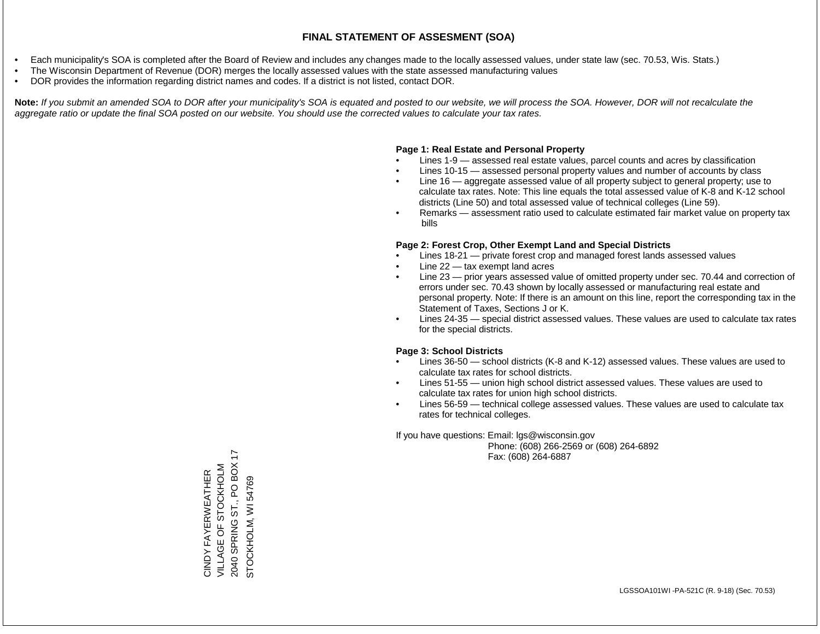- Each municipality's SOA is completed after the Board of Review and includes any changes made to the locally assessed values, under state law (sec. 70.53, Wis. Stats.)
- The Wisconsin Department of Revenue (DOR) merges the locally assessed values with the state assessed manufacturing values
- DOR provides the information regarding district names and codes. If a district is not listed, contact DOR.

Note: If you submit an amended SOA to DOR after your municipality's SOA is equated and posted to our website, we will process the SOA. However, DOR will not recalculate the *aggregate ratio or update the final SOA posted on our website. You should use the corrected values to calculate your tax rates.*

#### **Page 1: Real Estate and Personal Property**

- Lines 1-9 assessed real estate values, parcel counts and acres by classification
- Lines 10-15 assessed personal property values and number of accounts by class
- Line 16 aggregate assessed value of all property subject to general property; use to calculate tax rates. Note: This line equals the total assessed value of K-8 and K-12 school districts (Line 50) and total assessed value of technical colleges (Line 59).
- Remarks assessment ratio used to calculate estimated fair market value on property tax bills

#### **Page 2: Forest Crop, Other Exempt Land and Special Districts**

- Lines 18-21 private forest crop and managed forest lands assessed values
- Line  $22 -$  tax exempt land acres
- Line 23 prior years assessed value of omitted property under sec. 70.44 and correction of errors under sec. 70.43 shown by locally assessed or manufacturing real estate and personal property. Note: If there is an amount on this line, report the corresponding tax in the Statement of Taxes, Sections J or K.
- Lines 24-35 special district assessed values. These values are used to calculate tax rates for the special districts.

#### **Page 3: School Districts**

- Lines 36-50 school districts (K-8 and K-12) assessed values. These values are used to calculate tax rates for school districts.
- Lines 51-55 union high school district assessed values. These values are used to calculate tax rates for union high school districts.
- Lines 56-59 technical college assessed values. These values are used to calculate tax rates for technical colleges.

If you have questions: Email: lgs@wisconsin.gov

 Phone: (608) 266-2569 or (608) 264-6892 Fax: (608) 264-6887

 $\overline{\phantom{0}}$ 2040 SPRING ST., PO BOX 17 VILLAGE OF STOCKHOLM 2040 SPRING ST., PO BOX CINDY FAYERWEATHER<br>VILLAGE OF STOCKHOLM CINDY FAYERWEATHER STOCKHOLM, WI 54769 STOCKHOLM, WI 54769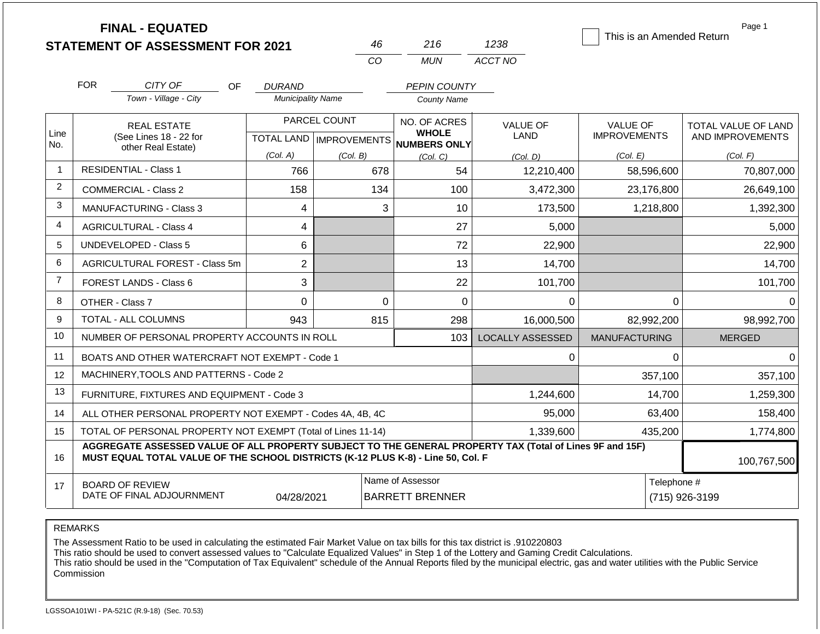|                |            | <b>FINAL - EQUATED</b><br><b>STATEMENT OF ASSESSMENT FOR 2021</b>                                                                                                                            |                          | 46           | 216                                                 | 1238                    | This is an Amended Return | Page 1              |
|----------------|------------|----------------------------------------------------------------------------------------------------------------------------------------------------------------------------------------------|--------------------------|--------------|-----------------------------------------------------|-------------------------|---------------------------|---------------------|
|                |            |                                                                                                                                                                                              |                          | CO           | <b>MUN</b>                                          | ACCT NO                 |                           |                     |
|                | <b>FOR</b> | CITY OF<br><b>OF</b>                                                                                                                                                                         | <b>DURAND</b>            |              | PEPIN COUNTY                                        |                         |                           |                     |
|                |            | Town - Village - City                                                                                                                                                                        | <b>Municipality Name</b> |              | <b>County Name</b>                                  |                         |                           |                     |
|                |            | <b>REAL ESTATE</b>                                                                                                                                                                           |                          | PARCEL COUNT | NO. OF ACRES                                        | <b>VALUE OF</b>         | <b>VALUE OF</b>           | TOTAL VALUE OF LAND |
| Line<br>No.    |            | (See Lines 18 - 22 for<br>other Real Estate)                                                                                                                                                 |                          |              | <b>WHOLE</b><br>TOTAL LAND MPROVEMENTS NUMBERS ONLY | LAND                    | <b>IMPROVEMENTS</b>       | AND IMPROVEMENTS    |
|                |            |                                                                                                                                                                                              | (Col. A)                 | (Col. B)     | (Col. C)                                            | (Col. D)                | (Col. E)                  | (Col. F)            |
| $\mathbf{1}$   |            | <b>RESIDENTIAL - Class 1</b>                                                                                                                                                                 | 766                      | 678          | 54                                                  | 12,210,400              | 58,596,600                | 70,807,000          |
| $\overline{2}$ |            | <b>COMMERCIAL - Class 2</b>                                                                                                                                                                  | 158                      | 134          | 100                                                 | 3,472,300               | 23,176,800                | 26,649,100          |
| 3              |            | <b>MANUFACTURING - Class 3</b>                                                                                                                                                               | 4                        | 3            | 10                                                  | 173,500                 | 1,218,800                 | 1,392,300           |
| 4              |            | <b>AGRICULTURAL - Class 4</b>                                                                                                                                                                | 4                        |              | 27                                                  | 5,000                   |                           | 5,000               |
| 5              |            | UNDEVELOPED - Class 5                                                                                                                                                                        | 6                        |              | 72                                                  | 22,900                  |                           | 22,900              |
| 6              |            | AGRICULTURAL FOREST - Class 5m                                                                                                                                                               | $\overline{2}$           |              | 13                                                  | 14,700                  |                           | 14,700              |
| $\overline{7}$ |            | <b>FOREST LANDS - Class 6</b>                                                                                                                                                                | 3                        |              | 22                                                  | 101,700                 |                           | 101,700             |
| 8              |            | OTHER - Class 7                                                                                                                                                                              | $\Omega$                 | $\Omega$     | $\Omega$                                            | $\Omega$                | $\Omega$                  | $\Omega$            |
| 9              |            | <b>TOTAL - ALL COLUMNS</b>                                                                                                                                                                   | 943                      | 815          | 298                                                 | 16,000,500              | 82.992.200                | 98,992,700          |
| 10             |            | NUMBER OF PERSONAL PROPERTY ACCOUNTS IN ROLL                                                                                                                                                 |                          |              | 103                                                 | <b>LOCALLY ASSESSED</b> | <b>MANUFACTURING</b>      | <b>MERGED</b>       |
| 11             |            | BOATS AND OTHER WATERCRAFT NOT EXEMPT - Code 1                                                                                                                                               |                          |              |                                                     | 0                       | $\Omega$                  | $\Omega$            |
| 12             |            | MACHINERY, TOOLS AND PATTERNS - Code 2                                                                                                                                                       |                          |              |                                                     |                         | 357,100                   | 357,100             |
| 13             |            | FURNITURE, FIXTURES AND EQUIPMENT - Code 3                                                                                                                                                   |                          |              |                                                     | 1,244,600               | 14,700                    | 1,259,300           |
| 14             |            | ALL OTHER PERSONAL PROPERTY NOT EXEMPT - Codes 4A, 4B, 4C                                                                                                                                    |                          |              |                                                     | 95,000                  | 63,400                    | 158,400             |
| 15             |            | TOTAL OF PERSONAL PROPERTY NOT EXEMPT (Total of Lines 11-14)                                                                                                                                 |                          |              |                                                     | 1,339,600               | 435,200                   | 1,774,800           |
| 16             |            | AGGREGATE ASSESSED VALUE OF ALL PROPERTY SUBJECT TO THE GENERAL PROPERTY TAX (Total of Lines 9F and 15F)<br>MUST EQUAL TOTAL VALUE OF THE SCHOOL DISTRICTS (K-12 PLUS K-8) - Line 50, Col. F |                          |              |                                                     |                         |                           | 100,767,500         |
| 17             |            | <b>BOARD OF REVIEW</b><br>DATE OF FINAL ADJOURNMENT                                                                                                                                          | 04/28/2021               |              | Name of Assessor<br><b>BARRETT BRENNER</b>          |                         | Telephone #               | (715) 926-3199      |

The Assessment Ratio to be used in calculating the estimated Fair Market Value on tax bills for this tax district is .910220803

This ratio should be used to convert assessed values to "Calculate Equalized Values" in Step 1 of the Lottery and Gaming Credit Calculations.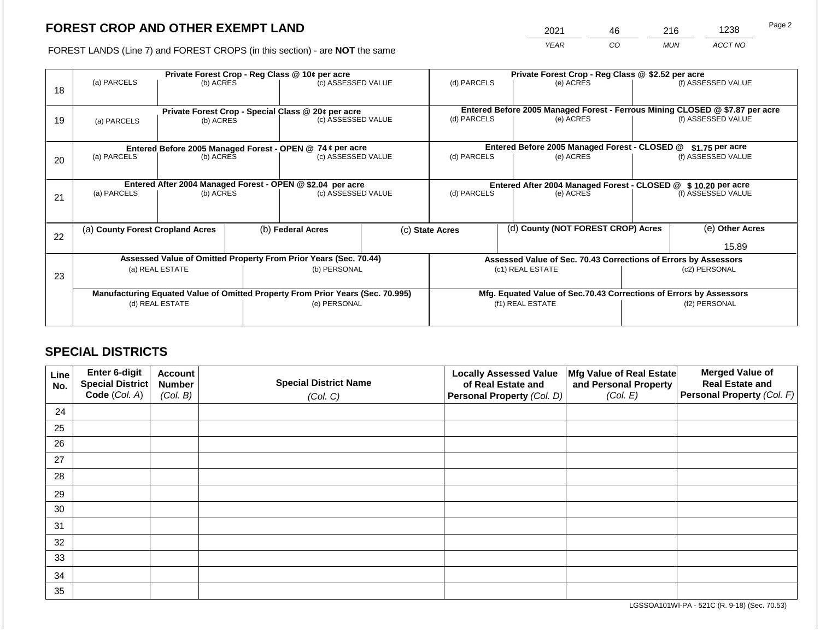2021 46 216 1238

FOREST LANDS (Line 7) and FOREST CROPS (in this section) - are **NOT** the same *YEAR CO MUN ACCT NO*

|    | Private Forest Crop - Reg Class @ 10¢ per acre                                 |                                                                                |  |                                                            |  |                                                                 | Private Forest Crop - Reg Class @ \$2.52 per acre |                                                                              |               |                    |
|----|--------------------------------------------------------------------------------|--------------------------------------------------------------------------------|--|------------------------------------------------------------|--|-----------------------------------------------------------------|---------------------------------------------------|------------------------------------------------------------------------------|---------------|--------------------|
| 18 | (a) PARCELS                                                                    | (b) ACRES                                                                      |  | (c) ASSESSED VALUE                                         |  | (d) PARCELS                                                     |                                                   | (e) ACRES                                                                    |               | (f) ASSESSED VALUE |
|    |                                                                                |                                                                                |  |                                                            |  |                                                                 |                                                   |                                                                              |               |                    |
|    |                                                                                |                                                                                |  |                                                            |  |                                                                 |                                                   | Entered Before 2005 Managed Forest - Ferrous Mining CLOSED @ \$7.87 per acre |               |                    |
| 19 |                                                                                | Private Forest Crop - Special Class @ 20¢ per acre<br>(a) PARCELS<br>(b) ACRES |  | (c) ASSESSED VALUE                                         |  | (d) PARCELS                                                     |                                                   | (e) ACRES                                                                    |               | (f) ASSESSED VALUE |
|    |                                                                                |                                                                                |  |                                                            |  |                                                                 |                                                   |                                                                              |               |                    |
|    |                                                                                |                                                                                |  |                                                            |  |                                                                 |                                                   |                                                                              |               |                    |
|    |                                                                                |                                                                                |  | Entered Before 2005 Managed Forest - OPEN @ 74 ¢ per acre  |  |                                                                 |                                                   | Entered Before 2005 Managed Forest - CLOSED @                                |               | \$1.75 per acre    |
| 20 | (a) PARCELS                                                                    | (b) ACRES                                                                      |  | (c) ASSESSED VALUE                                         |  | (d) PARCELS                                                     |                                                   | (e) ACRES                                                                    |               | (f) ASSESSED VALUE |
|    |                                                                                |                                                                                |  |                                                            |  |                                                                 |                                                   |                                                                              |               |                    |
|    |                                                                                |                                                                                |  | Entered After 2004 Managed Forest - OPEN @ \$2.04 per acre |  | Entered After 2004 Managed Forest - CLOSED @ \$10.20 per acre   |                                                   |                                                                              |               |                    |
| 21 | (a) PARCELS                                                                    | (b) ACRES                                                                      |  | (c) ASSESSED VALUE                                         |  | (d) PARCELS<br>(e) ACRES                                        |                                                   | (f) ASSESSED VALUE                                                           |               |                    |
|    |                                                                                |                                                                                |  |                                                            |  |                                                                 |                                                   |                                                                              |               |                    |
|    |                                                                                |                                                                                |  |                                                            |  |                                                                 |                                                   |                                                                              |               |                    |
|    | (a) County Forest Cropland Acres                                               |                                                                                |  | (b) Federal Acres                                          |  | (c) State Acres                                                 |                                                   | (d) County (NOT FOREST CROP) Acres                                           |               | (e) Other Acres    |
| 22 |                                                                                |                                                                                |  |                                                            |  |                                                                 |                                                   |                                                                              |               |                    |
|    |                                                                                |                                                                                |  |                                                            |  |                                                                 |                                                   |                                                                              |               | 15.89              |
|    |                                                                                | Assessed Value of Omitted Property From Prior Years (Sec. 70.44)               |  |                                                            |  | Assessed Value of Sec. 70.43 Corrections of Errors by Assessors |                                                   |                                                                              |               |                    |
| 23 | (a) REAL ESTATE<br>(b) PERSONAL                                                |                                                                                |  |                                                            |  | (c1) REAL ESTATE                                                | (c2) PERSONAL                                     |                                                                              |               |                    |
|    |                                                                                |                                                                                |  |                                                            |  |                                                                 |                                                   |                                                                              |               |                    |
|    | Manufacturing Equated Value of Omitted Property From Prior Years (Sec. 70.995) |                                                                                |  |                                                            |  |                                                                 |                                                   | Mfg. Equated Value of Sec.70.43 Corrections of Errors by Assessors           |               |                    |
|    |                                                                                | (d) REAL ESTATE                                                                |  | (e) PERSONAL                                               |  |                                                                 |                                                   | (f1) REAL ESTATE                                                             | (f2) PERSONAL |                    |
|    |                                                                                |                                                                                |  |                                                            |  |                                                                 |                                                   |                                                                              |               |                    |
|    |                                                                                |                                                                                |  |                                                            |  |                                                                 |                                                   |                                                                              |               |                    |

# **SPECIAL DISTRICTS**

| Line<br>No. | Enter 6-digit<br>Special District | <b>Account</b><br><b>Number</b> | <b>Special District Name</b> | <b>Locally Assessed Value</b><br>of Real Estate and | Mfg Value of Real Estate<br>and Personal Property | <b>Merged Value of</b><br><b>Real Estate and</b> |
|-------------|-----------------------------------|---------------------------------|------------------------------|-----------------------------------------------------|---------------------------------------------------|--------------------------------------------------|
|             | Code (Col. A)                     | (Col. B)                        | (Col. C)                     | Personal Property (Col. D)                          | (Col. E)                                          | Personal Property (Col. F)                       |
| 24          |                                   |                                 |                              |                                                     |                                                   |                                                  |
| 25          |                                   |                                 |                              |                                                     |                                                   |                                                  |
| 26          |                                   |                                 |                              |                                                     |                                                   |                                                  |
| 27          |                                   |                                 |                              |                                                     |                                                   |                                                  |
| 28          |                                   |                                 |                              |                                                     |                                                   |                                                  |
| 29          |                                   |                                 |                              |                                                     |                                                   |                                                  |
| 30          |                                   |                                 |                              |                                                     |                                                   |                                                  |
| 31          |                                   |                                 |                              |                                                     |                                                   |                                                  |
| 32          |                                   |                                 |                              |                                                     |                                                   |                                                  |
| 33          |                                   |                                 |                              |                                                     |                                                   |                                                  |
| 34          |                                   |                                 |                              |                                                     |                                                   |                                                  |
| 35          |                                   |                                 |                              |                                                     |                                                   |                                                  |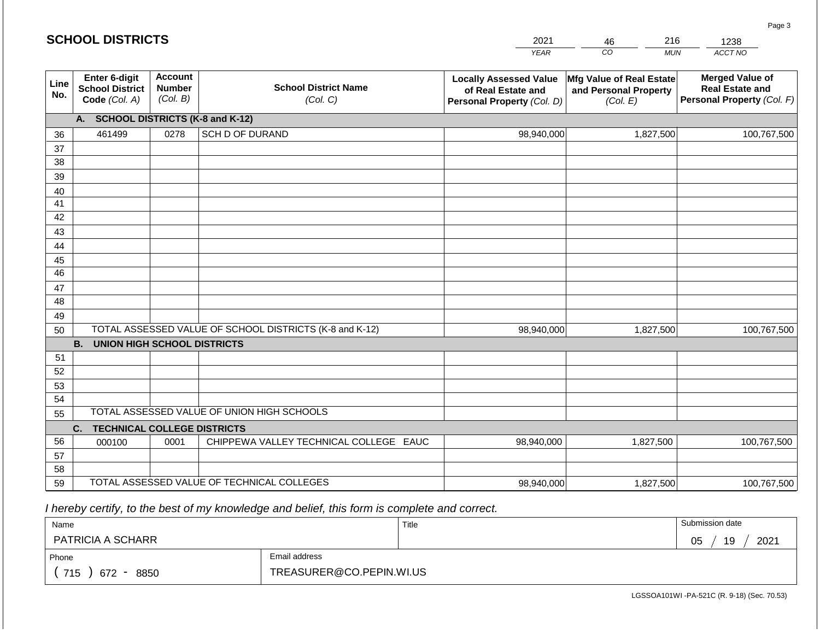|             | <b>SCHOOL DISTRICTS</b><br>2021<br>46                    |                                             |                                                         | 216                                                                               | 1238                                                                 |                                                                                |
|-------------|----------------------------------------------------------|---------------------------------------------|---------------------------------------------------------|-----------------------------------------------------------------------------------|----------------------------------------------------------------------|--------------------------------------------------------------------------------|
|             |                                                          |                                             |                                                         | <b>YEAR</b>                                                                       | CO<br><b>MUN</b>                                                     | ACCT NO                                                                        |
| Line<br>No. | Enter 6-digit<br><b>School District</b><br>Code (Col. A) | <b>Account</b><br><b>Number</b><br>(Col. B) | <b>School District Name</b><br>(Col. C)                 | <b>Locally Assessed Value</b><br>of Real Estate and<br>Personal Property (Col. D) | <b>Mfg Value of Real Estate</b><br>and Personal Property<br>(Col. E) | <b>Merged Value of</b><br><b>Real Estate and</b><br>Personal Property (Col. F) |
|             | <b>SCHOOL DISTRICTS (K-8 and K-12)</b><br>A.             |                                             |                                                         |                                                                                   |                                                                      |                                                                                |
| 36          | 461499                                                   | 0278                                        | <b>SCH D OF DURAND</b>                                  | 98,940,000                                                                        | 1,827,500                                                            | 100,767,500                                                                    |
| 37          |                                                          |                                             |                                                         |                                                                                   |                                                                      |                                                                                |
| 38          |                                                          |                                             |                                                         |                                                                                   |                                                                      |                                                                                |
| 39          |                                                          |                                             |                                                         |                                                                                   |                                                                      |                                                                                |
| 40          |                                                          |                                             |                                                         |                                                                                   |                                                                      |                                                                                |
| 41          |                                                          |                                             |                                                         |                                                                                   |                                                                      |                                                                                |
| 42          |                                                          |                                             |                                                         |                                                                                   |                                                                      |                                                                                |
| 43          |                                                          |                                             |                                                         |                                                                                   |                                                                      |                                                                                |
| 44<br>45    |                                                          |                                             |                                                         |                                                                                   |                                                                      |                                                                                |
| 46          |                                                          |                                             |                                                         |                                                                                   |                                                                      |                                                                                |
| 47          |                                                          |                                             |                                                         |                                                                                   |                                                                      |                                                                                |
| 48          |                                                          |                                             |                                                         |                                                                                   |                                                                      |                                                                                |
| 49          |                                                          |                                             |                                                         |                                                                                   |                                                                      |                                                                                |
| 50          |                                                          |                                             | TOTAL ASSESSED VALUE OF SCHOOL DISTRICTS (K-8 and K-12) | 98,940,000                                                                        | 1,827,500                                                            | 100,767,500                                                                    |
|             | <b>B.</b><br><b>UNION HIGH SCHOOL DISTRICTS</b>          |                                             |                                                         |                                                                                   |                                                                      |                                                                                |
| 51          |                                                          |                                             |                                                         |                                                                                   |                                                                      |                                                                                |
| 52          |                                                          |                                             |                                                         |                                                                                   |                                                                      |                                                                                |
| 53          |                                                          |                                             |                                                         |                                                                                   |                                                                      |                                                                                |
| 54          |                                                          |                                             |                                                         |                                                                                   |                                                                      |                                                                                |
| 55          |                                                          |                                             | TOTAL ASSESSED VALUE OF UNION HIGH SCHOOLS              |                                                                                   |                                                                      |                                                                                |
|             | <b>TECHNICAL COLLEGE DISTRICTS</b><br>C.                 |                                             |                                                         |                                                                                   |                                                                      |                                                                                |
| 56          | 000100                                                   | 0001                                        | CHIPPEWA VALLEY TECHNICAL COLLEGE EAUC                  | 98,940,000                                                                        | 1,827,500                                                            | 100,767,500                                                                    |
| 57<br>58    |                                                          |                                             |                                                         |                                                                                   |                                                                      |                                                                                |
| 59          |                                                          |                                             | TOTAL ASSESSED VALUE OF TECHNICAL COLLEGES              |                                                                                   |                                                                      |                                                                                |
|             |                                                          |                                             |                                                         | 98,940,000                                                                        | 1,827,500                                                            | 100,767,500                                                                    |

 *I hereby certify, to the best of my knowledge and belief, this form is complete and correct.*

| Name                                           |                          | Title | Submission date  |
|------------------------------------------------|--------------------------|-------|------------------|
| PATRICIA A SCHARR                              |                          |       | 19<br>2021<br>05 |
| Phone                                          | Email address            |       |                  |
| 715<br>8850<br>672<br>$\overline{\phantom{0}}$ | TREASURER@CO.PEPIN.WI.US |       |                  |

LGSSOA101WI -PA-521C (R. 9-18) (Sec. 70.53)

Page 3